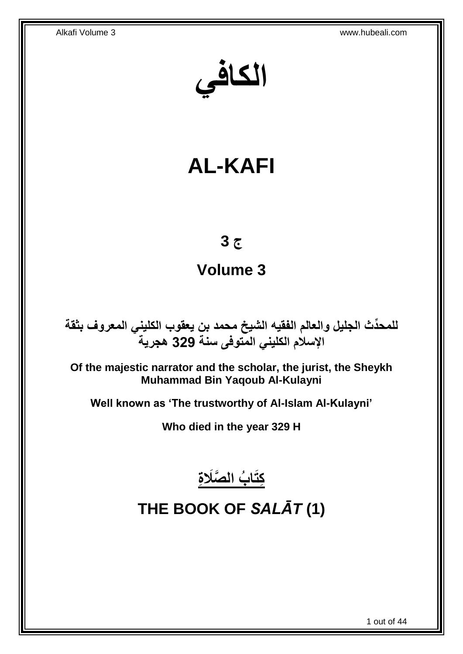**الكافي**

# **AL-KAFI**

# **ج 3**

# **Volume 3**

**دث الجليل والعالم الفقيه الشيخ محمد بن يعقوب الكليني المعروف بثقة للمح ِّ اإلسالم الكليني المتوفى سنة 329 هجرية**

**Of the majestic narrator and the scholar, the jurist, the Sheykh Muhammad Bin Yaqoub Al-Kulayni**

**Well known as 'The trustworthy of Al-Islam Al-Kulayni'**

**Who died in the year 329 H**



# <span id="page-0-0"></span>**THE BOOK OF** *SALĀT* **(1)**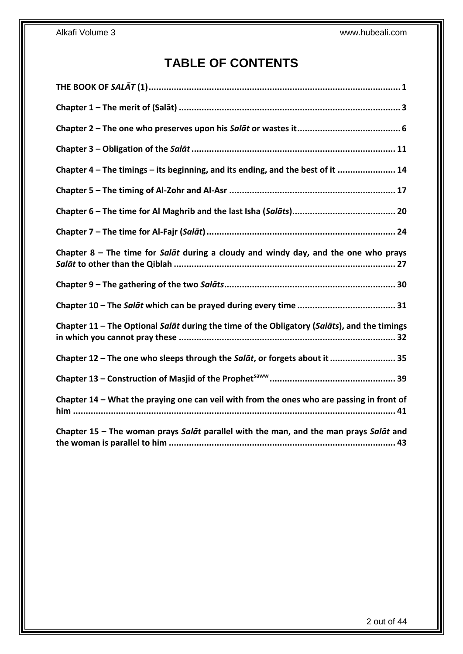# **TABLE OF CONTENTS**

| Chapter 4 - The timings - its beginning, and its ending, and the best of it  14             |
|---------------------------------------------------------------------------------------------|
|                                                                                             |
|                                                                                             |
|                                                                                             |
| Chapter $8$ – The time for Salat during a cloudy and windy day, and the one who prays       |
|                                                                                             |
|                                                                                             |
| Chapter 11 - The Optional Salat during the time of the Obligatory (Salats), and the timings |
| Chapter 12 - The one who sleeps through the Salat, or forgets about it  35                  |
|                                                                                             |
| Chapter 14 - What the praying one can veil with from the ones who are passing in front of   |
| Chapter 15 - The woman prays Salat parallel with the man, and the man prays Salat and       |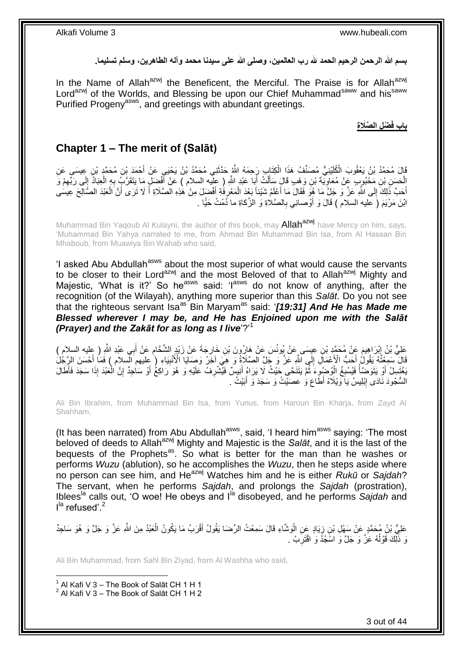**بسم هللا الرحمن الرحيم الحمد هلل رب العالمين، وصلى هللا على سيدنا محمد وآله الطاهرين، وسلم تسليما.**

In the Name of Allah<sup>azwj</sup> the Beneficent, the Merciful. The Praise is for Allah<sup>azwj</sup> Lord<sup>azwj</sup> of the Worlds, and Blessing be upon our Chief Muhammad<sup>saww</sup> and his<sup>saww</sup> Purified Progeny<sup>asws</sup>, and greetings with abundant greetings.

**ْض ِل ال َّصَال ِة باب فَ**

# <span id="page-2-0"></span>**Chapter 1 – The merit of (Salāt)**

قَالَ مُحَمَّدُ بْنُ يَعْقُوبَ الْكُلَيْنِيُّ مُصَنِّفُ هَذَا الْكِتَابِ رَِحِمَهُ اللَّهُ حَدَّثَنِي مُحَمَّدُ بْنُ يَحْيَيِ عَنْ أَحْمَدَ بِنِ مُحَمَّدٍ بْنِ عِجِسَى عَنِ َ ْ َ الْحَسَنِ بْنِ مَحْبُوبٍ عَنْ مُعَاوِيَّةَ بْنِ وَهْبٍ قَالَ سَأَلْتُ أَبَا عَبْدِ اللَّهِ ( عِلْيه السلام ) عَنْ أَفْضَلٍ مَا يَتَقَرَّبُ بِهِ الْعِبَادُ إِلَى رَبِّهِمْ وَ َ َ ْ Í ِ ِ ِ ْ ِ أَحَبّ ذَٰلِكَ ۚ إِلَى اللَّهِ عَنَّ وَ جَلَّ مَا هُوَ فَقَالَ مَا أَعْلَمُ شَيْئاً بَعْدَ الْمَعْرِ فَهِ أَفْضَلَ مِنْ هَٰذِهِ الْصَّلَاةِ أَ لَا تَرَى أَنَّ الْعَبْدَ الصَّالِحَ عِيَسَى  $\frac{1}{2}$ ْ َ َ َ ِ ْ َ ابْنَ مَرْيَمَ (َ عليه السلام ) قَالَ وَ أُوْصلنِي بِالصَّلاةِ وَ الزَّكاةِ ما دُمْتُ حَيًّا . **∶** َ

Muhammad Bin Yaqoub Al Kulayni, the author of this book, may **Allah<sup>azwj</sup>** have Mercy on him, says, 'Muhammad Bin Yahya narrated to me, from Ahmad Bin Muhammad Bin Isa, from Al Hassan Bin Mhaboub, from Muawiya Bin Wahab who said,

'I asked Abu Abdullah<sup>asws</sup> about the most superior of what would cause the servants to be closer to their Lord<sup>azwj</sup> and the most Beloved of that to Allah<sup>azwj</sup> Mighty and Majestic, 'What is it?' So he<sup>asws</sup> said: ' $I^{asws}$  do not know of anything, after the recognition (of the Wilayah), anything more superior than this *Salāt*. Do you not see that the righteous servant Isa<sup>as</sup> Bin Maryam<sup>as</sup> said: '[19:31] And He has Made me *Blessed wherever I may be, and He has Enjoined upon me with the Salāt (Prayer) and the Zakāt for as long as I live*'?' 1

َعْلِيُّ بْنُ إِبْرَاهِيمَ عَنْ مُحَمَّدٍ بْنِ عِيِسَى عَنْ يُونُسَ عَنْ هَارُونَ بْنِ خَارِجَةَ عَنْ زَيْدٍ الشَّحَامِ عَنْ أَبِي عَبْدِ اللَّهِ ( عِليه السلام )<br>-ِ َ ِ **∶** قَالَ سَمِعْتُهُ يَقُولُ أَحَبُّ الْأَعْمَالِ إِلَى اللَّهِ عَنَّ وَ جَلَّ الصَّلَاَةُ وَ هِيَ آخَرُ وَصَايَا الْأَنْبِيَاءِ ( عِليهم السلام ) فَمَا أَحْسَنَ الرِّجُلُ ِ  $\frac{1}{2}$ َ َ يَعْتَسِلُ أَوْ يَتَوَصَّأُ فَيُسْبِغُ الْوُضْوِءَ ثُمَّ يَتَنَحَّى حَيْثُ لَا يَرَاهُ أَنِيسٌ فَيَشْرِفُ عَلَيْهِ وَ هُوَ رَاكِعُ أَوْ سَاحِدٌ إِنَّ الْعَبْدَ إِذَا سَجَدَ فَأَطَلَ ِ َ ្ញ ْ ِ ا<br>ا َ ْ ِ َ السُّجُودَ نَادَى إِبْلِيسُ يَاۤ وَيْلَاّهْ أَطَّاعَ وَٰ عَصَيْتُ وَ سَجَدَ وَ أَبَيْتُ ۚ ـِ ِ َ

Ali Bin Ibrahim, from Muhammad Bin Isa, from Yunus, from Haroun Bin Kharja, from Zayd Al Shahham,

(It has been narrated) from Abu Abdullah<sup>asws</sup>, said, 'I heard him<sup>asws</sup> saying: 'The most beloved of deeds to Allahazwj Mighty and Majestic is the *Salāt*, and it is the last of the bequests of the Prophets<sup>as</sup>. So what is better for the man than he washes or performs *Wuzu* (ablution), so he accomplishes the *Wuzu*, then he steps aside where no person can see him, and Heazwj Watches him and he is either *Rukū* or *Sajdah*? The servant, when he performs *Sajdah*, and prolongs the *Sajdah* (prostration), Iblees<sup>la</sup> calls out, 'O woe! He obeys and I<sup>la</sup> disobeyed, and he performs *Sajdah* and l<sup>la</sup> refused'.<sup>2</sup>

عَلِيُّ بْنُ مُحَمَّدٍ عَنْ سَهْلِ بْنِ زِيَادٍ عَنِ الْوَشَاءِ قَالَ سَمِعْتُ الرِّضَا يَقُولُ أَقْرَبُ مَا يَكُونُ الْعَبْدُ مِنَ اللَّهِ عَزَّ وَ جَلَّ وَ هُوَ سَاحِدٌ ْ َ ْ ٍ<br>ة وَ ذَلِّكَ قَوْلُهُ عَزَّ وَ جَلَّ وَ اسْجُدَ وَ اقْتَرَبْ . ِ ُ

Ali Bin Muhammad, from Sahl Bin Ziyad, from Al Washha who said,

 $1$  Al Kafi V 3 – The Book of Salāt CH 1 H 1  $2$  Al Kafi V 3 – The Book of Salāt CH 1 H 2

1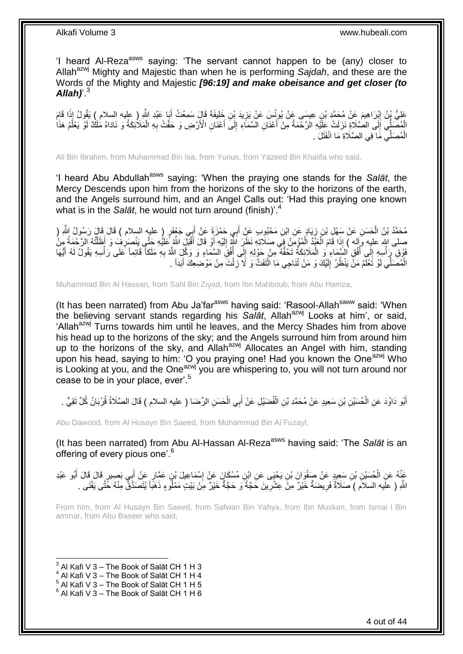'I heard Al-Reza<sup>asws</sup> saying: 'The servant cannot happen to be (any) closer to Allah<sup>azwj</sup> Mighty and Majestic than when he is performing *Sajdah*, and these are the Words of the Mighty and Majestic *[96:19] and make obeisance and get closer (to Allah)*'.<sup>3</sup>

عَلِيُّ بِنُ إِبْرَاهِيمَ عَنْ مُحَمَّدِ بْنِ عِيسَى عَنْ يُونُسَ عَنْ يَزِيدَ بْنِ خَلِيفَةَ قَالَ سَمِعْتُ أَيَا عَبْدِ اللَّهِ ( عِليه السلام ) يَقُولُ إِذَا قَامَ<br>وَمِنْ اللَّهِ السلام ) يَقُولُ إِذَا قَامَ َ ِ ِ الْمُصَلِّي إِلَى الْصَّلَاةِ نَزَلَتْ عِلَيْهِ الْرَحْمَةُ مِنْ أَعْنَانِ الْسَّمَاءِ إِلَى أَعْنَانِ الْأَرْضِ وَ حَفَّتْ بِهِ الْمَلَائِكَةُ وَ نَادَاهُ مَلَكٌ لَوْ يَعْلَمُ هَذَا  $\frac{1}{2}$ َ יִי (ו ْ ْ ِ َ الْمُصَلِّي مَا فِي الصَّلَاةِ مَا انْفَثَلَ . ْ

Ali Bin Ibrahim, from Muhammad Bin Isa, from Yunus, from Yazeed Bin Khalifa who said,

'I heard Abu Abdullah<sup>asws</sup> saying: 'When the praying one stands for the Salat, the Mercy Descends upon him from the horizons of the sky to the horizons of the earth, and the Angels surround him, and an Angel Calls out: 'Had this praying one known what is in the *Salāt*, he would not turn around (finish)<sup>4</sup>

مُحَمَّدُ بْنُ الْحَسَنِ عَنْ سَهْلِ بْنِ زِيَادٍ عَنِ ابْنِ مَحْبُوبٍ عَنِْ أَبِي حَمْزَةٍ عَنْ أَبِي جَعْفَرٍ ( عليهِ السلام ) قَالَ قَالَ رَسُولُ اللَّهِ ( َ َ ِ صلى اللهِ عليه وَإِلَه ) إِذَا قَامَ اَلْعَنَّذُ اَلْمُؤْمِنُ فِي صَلاَتِهِ نَظَلَ اللَّهُ إِلَيْهِ أَوْ قَالَ أَقْبَلَ اللَّهُ عَلَيْهِ جَتَّي يَنْصَرِفُ وَ أَظَلَّتْهُ الرَّحْمَةُ مِن<br>يَمْسُلْسِ اللهِ عليه وآله ) إِذَا ْ ْ ْ َ َ لَ ِ قَوْقِ رَِأْسِهِ إِلَى أُفُقٍ السَّمَاءِ وَ الْمَلَائِكَةُ تَحُفُّهُ مِنْ حَوْلِهِ إِلَى أُفُقِّ السَّمَاءِ وَ وَكَّلَ اللَّهُ بِهِ مَلَكاً قَائِماً عَلَى رَأْسِهِ يَقُولُ لَهُ أَيُّهَا ُ ِ ْ ُ  $\frac{1}{2}$ :<br>ا ْ ِ َ الْمُصَلِّي لَوْ تَعْلَّمُ مَنْ يَنْظُرُ إِلَيْكَ وَ مَنْ تُنَاجِي مَا الْتَفَتَّ وَ لَا ۖ زِلْتَ مِنْ مَوْضِعِكَ أَبَداً . َ ْ ِ ْ لَ  $\frac{1}{2}$ ْ

Muhammad Bin Al Hassan, from Sahl Bin Ziyad, from Ibn Mahboub, from Abu Hamza,

(It has been narrated) from Abu Ja'far<sup>asws</sup> having said: 'Rasool-Allah<sup>saww</sup> said: 'When the believing servant stands regarding his Salat, Allah<sup>azwj</sup> Looks at him', or said, 'Allah<sup>azwj</sup> Turns towards him until he leaves, and the Mercy Shades him from above his head up to the horizons of the sky; and the Angels surround him from around him up to the horizons of the sky, and Allah<sup>azwj</sup> Allocates an Angel with him, standing upon his head, saying to him: 'O you praying one! Had you known the One<sup>azwj</sup> Who is Looking at you, and the One<sup>azwj</sup> you are whispering to, you will not turn around nor cease to be in your place, ever'.<sup>5</sup>

أَبُو دَاوُدَ عَنِ الْحُسَيْنِ بْنِ سَعِيدٍ عَنْ مُحَمَّدِ بْنِ الْفُضَيْلِ عَنْ أَبِي الْحَسَنِ الرِّضَا ( عليه السلام ) قَالَ الصَّلَاةُ قُرْبَانُ كُلِّ نَقِيٍّ . ْ َ ْ ْ َ

Abu Dawood, from Al Husayn Bin Saeed, from Muhammad Bin Al Fuzayl,

(It has been narrated) from Abu Al-Hassan Al-Reza<sup>asws</sup> having said: 'The *Salāt* is an offering of every pious one'.<sup>6</sup>

َ عَذْهُ عَنِ الْحُسَيْنِ بْنِ سَعِيدٍ عَنْ صَفْوَانَ بْنِ يَحْيَى عَنِ ابْنِ مُسْكَانَ عَنْ إِسْمَاعِيلَ بْنِ عَمَّارٍ عَنْ أَبِي بَصِيرٍ قَالَ قَالَ أَبُو عَبْدِ ِ ْ َ اللَّهِ ( علَيه السلاَم ) َصَلَاةٌ فَرِيضَةٌ خَيْرٌ مِنْ عِشْرِينَ حَجَّةٌ وَ حَجَّةٌ خَيْرٌ مِنْ بَيْتٍ مَمْلُو ءٍ ذَهَبًا يُتَصَدَّقُ مِنْهُ خَتَّى يَفْنَى . **∶** ِ

From him, from Al Husayn Bin Saeed, from Safwan Bin Yahya, from Ibn Muskan, from Ismai l Bin ammar, from Abu Baseer who said,

<sup>1</sup>  $3$  Al Kafi V 3 – The Book of Salāt CH 1 H 3

 $<sup>4</sup>$  Al Kafi V 3 – The Book of Salāt CH 1 H 4</sup>

 $<sup>5</sup>$  Al Kafi V 3 – The Book of Salāt CH 1 H 5</sup>

 $^6$  Al Kafi V 3 – The Book of Salāt CH 1 H 6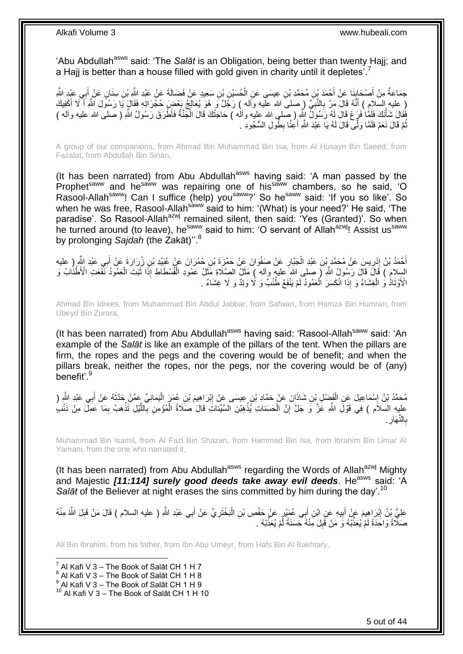'Abu Abdullah<sup>asws</sup> said: 'The Salat is an Obligation, being better than twenty Hajj; and a Hajj is better than a house filled with gold given in charity until it depletes<sup>'.7</sup>

جَمَاعَةٌ مِنْ أَصْحَابِنَا عَنْ أَحْمَدَ بْنِ مُحَمَّدِ بْنِ عِيسَى عَنِ الْحُسَيْنِ بْنِ سَعِيدٍ عَنْ فَضَالَةَ عَنْ عَبْدِ اللَّهِ بْنِ سِنَانٍ عَنْ أَبِي عَبْدٍ اللَّهِ َ **∣** َ َ ْ ( عليه السلام ) أَنَّهُ قَالَ مَرَّ بِالنَّبِيِّ ( صلى الله عليه واله ) رَجَٰلٌ وَ هُوَ يُعَالِجُ بَعْضٍ حُجُرَاتِهِ فَقَالٍ يَا رَسُولَ اللَّهِ أَ لَّا أَعْفِيكَ ِ **∶** َ َ فَقَالَ شَأْنَكَ فَلَمَنْا فَرَغَ قَالَ لَمُه رَسُولٌ النَّهِ ( صلى الله عليه وآلمه ) حَاجَنُكَ قَالَ الْجَنَّةُ فَأَطْرَقَ رَسُولُ اللَّهِ ( صلى الله عليه وآله ) ْ ْ ِ نُّمَّ قَالَ نَعَمْ فَلَمَّا وَلَّى قَالَ لَهُ يَا عَبْدَ اللَّهِ أَعِنَّا بِطُولِ السُّجُودِ . َ ُ

A group of our companions, from Ahmad Bin Muhammad Bin Isa, from Al Husayn Bin Saeed, from Fazalat, from Abdullah Bin Sinan,

(It has been narrated) from Abu Abdullah<sup>asws</sup> having said: 'A man passed by the Prophet<sup>saww</sup> and he<sup>saww</sup> was repairing one of his<sup>saww</sup> chambers, so he said, 'O Rasool-Allah<sup>saww</sup>! Can I suffice (help) you<sup>saww</sup>?' So he<sup>saww</sup> said: 'If you so like'. So when he was free, Rasool-Allahsaww said to him: '(What) is your need?' He said, 'The paradise'. So Rasool-Allah<sup>azwj</sup> remained silent, then said: 'Yes (Granted)'. So when he turned around (to leave), he<sup>saww</sup> said to him: 'O servant of Allah<sup>azwj</sup>! Assist us<sup>saww</sup> by prolonging *Sajdah* (the Zakāt)''.<sup>8</sup>

أَحْمَدُ بْنُ إِدْرِيسَ عَنْ مُحَمَّدٍ بْنِ عَبْدِ الْجَبَّارِ عَنْ صَفْوَانَ عَنْ حَمْزَةَ بْنِ حُمْرَانَ عَنْ عُبَيْدِ بْنِ زُرَارَةَ عَنْ أَبِي عَبْدِ اللَّهِ رِ عليه ِ ْ ِ ِ َ السِلامِ ) قَالَ قَالَ رَسُولُ اللَّهِ لَر صلى الله عليه وآله ) مَثَلُ الصِّلَاةِ مَثَلُ عَمُودِ الْفُسْطَاطِ إِذَا ثَبَتَ الْعَمُودُ نَفَعَتِ الْأَطْنَابُ وَ َ ْ َ ْ َ الْأَوْتَادُ وَ الْغِشَاءُ وَ إِذَا الْكَسَرَ الْعَمُودُ لَمْ يَنْفَعْ طُنُبٌ وَ لَا وَتِدٌ وَ لَا غِشَاءٌ . ْ ْ

Ahmad Bin Idrees, from Muhammad Bin Abdul Jabbar, from Safwan, from Hamza Bin Humran, from Ubeyd Bin Zurara,

(It has been narrated) from Abu Abdullah<sup>asws</sup> having said: 'Rasool-Allah<sup>saww</sup> said: 'An example of the *Salāt* is like an example of the pillars of the tent. When the pillars are firm, the ropes and the pegs and the covering would be of benefit; and when the pillars break, neither the ropes, nor the pegs, nor the covering would be of (any) benefit'.<sup>9</sup>

مُحَمَّدُ بْنُ إِسْمَاعِيلَ عَنِ الْفَضْلِ بْنِ شَاذَانَ عَنْ حَمَّادِ بْنِ عِيسَى عَنْ إِبْرَاهِيمَ بْنِ عُمَرٍ الْيَمَانِيِّ عَمَّنْ حَدَّثَهُ عَنْ أَبِي عَبْدِ الثَّهِ ( ْ ِ ْ ֖֧֓<u>֓</u> َ َ عليِه السلاَم ) فِي قَوْلَِ اللَّهِ عَٰزَ وَ جَلَّ إِنَّ الْحَسَناتِ يُذْهِبْنَ السَّيِّئاتِ قَالَ صَلَاةُ الْمُؤْمِنِ بِاللَّيْلِ تَذْهَبُ بِمَا عَمِلَّ مِنْ ذَنْبٍ َّ ِ ْ **ٔ** ْ ِ ِ **ٔ:** . ِ َِار النَّ ِ ب

Muhammad Bin Isamil, from Al Fazl Bin Shazan, from Hammad Bin Isa, from Ibrahim Bin Umar Al Yamani, from the one who narrated it,

(It has been narrated) from Abu Abdullah<sup>asws</sup> regarding the Words of Allah<sup>azwj</sup> Mighty and Majestic [11:114] surely good deeds take away evil deeds. He<sup>asws</sup> said: 'A Salat of the Believer at night erases the sins committed by him during the day'.<sup>10</sup>

عَلِيُّ بِنُ إِبْرَاهِيمَ عَنْ أَبِيهِ عَنِ ابْنِ أَبِي عُمَيْرٍ عَنْ حَفْصِ بْنِ الْبَخْتَرِيِّ عَنْ أَبِي عَبْدِ اللَّهِ ( عليه السلام ) قَالَ مَنْ قَبِلَ اللَّهُ مِنْهُ َ **∶** ْ َ **!** َ ِ ِ صَلِّاً ۚ وَ احۡدَةٗ لَمْ يُعَذِّبۡهُ وَ مَنْ قَٰبِلَ مِّنْهُ حَسَنَةٌ لَّمْ يُعَذِّبۡهُ ۚ ـ لَ **!** 

Ali Bin Ibrahim, from his father, from Ibn Abu Umeyr, from Hafs Bin Al Bakhtary,

7 Al Kafi V 3 – The Book of Salāt CH 1 H 7

 $^8$  Al Kafi V 3 – The Book of Salāt CH 1 H 8

 $^9$  Al Kafi V 3 – The Book of Salāt CH 1 H 9

 $10$  Al Kafi V 3 – The Book of Salāt CH 1 H 10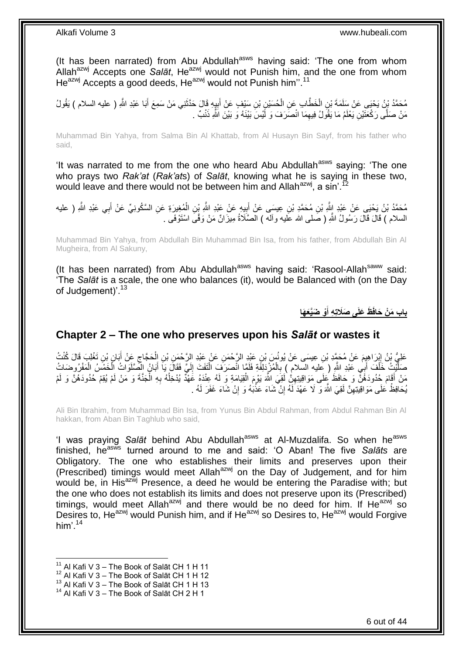(It has been narrated) from Abu Abdullah<sup>asws</sup> having said: 'The one from whom Allah<sup>azwj</sup> Accepts one *Salāt*, He<sup>azwj</sup> would not Punish him, and the one from whom  $He^{azwj}$  Accepts a good deeds. He<sup> $azwj}$ </sup> would not Punish him<sup>".11</sup>

مُحَمَّدُ بِنُ يَحْيَى عَنْ سَلَمَةَ بْنِ الْخَطَّابِ عَنِ الْحُسَيْنِ بْنِ سَيْفٍ عَنْ أَبِيِهِ قَالَ حَذَّثَنِي مَنْ سَمِعَ أَبَا عَبْدِ اللَّهِ ( عليه السلام ) يَقُولُ َ ِ َ ْ ْ مَنْ صَلَّى رَكْعَتَيْنِ يَعْلَمُ مَا يَقُولُ فِيهِمَا انْصَرَفَ وَ لَّيْسَ بَيْنَهُ وَ بَيْنَ اللَّهِ ذَنْبٌ . ِ

Muhammad Bin Yahya, from Salma Bin Al Khattab, from Al Husayn Bin Sayf, from his father who said,

'It was narrated to me from the one who heard Abu Abdullah<sup>asws</sup> saying: 'The one who prays two *Rak'at* (*Rak'at*s) of *Salāt*, knowing what he is saying in these two, would leave and there would not be between him and Allah<sup>azwj</sup>. a sin'.<sup>12</sup>

مُحَمَّدُ بْنُ يَحْيَى عَنْ عَبْدِ إِلَّهِ بْنِ مُحَمَّدِ بْنِ عِيسَى عَنْ أَبِيهِ عَنْ عَبْدِ اللَّهِ بِّنِ الْمُغِيرَةِ عَنِ السَّكُونِيِّ عَنْ أَبِي عَبْدِ اللَّهِ ( عليه **∶** َ ْ ِ َ السلام ) قَالَ قَالَ رَسُولُ اللَّهِ ( صَلى الله عَليه وآله ) الصَّلَاةُ مِيزَانٌ مَنْ وَفَّى اسْتَوْفَى .

Muhammad Bin Yahya, from Abdullah Bin Muhammad Bin Isa, from his father, from Abdullah Bin Al Mugheira, from Al Sakuny,

(It has been narrated) from Abu Abdullah<sup>asws</sup> having said: 'Rasool-Allah<sup>saww</sup> said: 'The *Salāt* is a scale, the one who balances (it), would be Balanced with (on the Day of Judgement)'.<sup>13</sup>

> **ْو َضَّيَع َها باب َم ْن َحافَ َظ َعلَى َصَالتِ ِه أ َ**

## <span id="page-5-0"></span>**Chapter 2 – The one who preserves upon his** *Salāt* **or wastes it**

عَلِيُّ بْنُ إِبْرَاهِيِمَ عَنْ مُحَمَّدِ بْنِ عِيسَى عَنْ يُونُسَ بْنِ عَنْدِ الرَّحْمَنِ عَنْ عَنْدِ الرَّحْمَنِ بْنِ الْحَجَّاجِ عَنْ أَبَانٍ بْنِ تَغْلِبَ قَالَ كُنْتُ ِ َ  $\zeta$ ْ صَلَّيْتُ خَلْفَ أَبِي عَبْدِ اللَّهِ ( عَليه السلام ) بِالْمُزْدَلِفَةِ فَلَمَّا انْصَرَفَ الْتَفَتَ إِلَيَّ فَقَالَ يَا أَبَانُ الصَّلَوَاتُ الْخَمْسُ الْمَفْرُوضَاتُ َ لَ ِ ْ ْ ِ اُ ْ َّ ْ ْ مَنْ أَقَامَ حُدُودَهُنَّ وَ حَافَظَ عَلَى مَوَاقِيتِهِنُّ لَقِيَ اللَّهَ يَوْمَ الْقِيَامَةِ وَ لَهُ عِنْدَهُ عَهْدٌ يُدْخِلُهُ بِهِ الْجَنَّةَ وَ مَنْ لَمْ يُقِمْ حُدُودَهُنَّ وَ لَمْ ْ ِ ُ ْ ِ يُحَافِظُ عَلَى مَوَ اقِبِتِهِنَّ لَقِيَ اللَّهَ وَ ۖ لَا عَهْدَ لَهُ إِنْ شَاءَ عَذَّبَهُ وَ ۚ إِنْ شَاءَ غَفَرَ لَهُ . ِ ِ ֧<u>׀</u>

Ali Bin Ibrahim, from Muhammad Bin Isa, from Yunus Bin Abdul Rahman, from Abdul Rahman Bin Al hakkan, from Aban Bin Taghlub who said,

'I was praying Salat behind Abu Abdullah<sup>asws</sup> at Al-Muzdalifa. So when he<sup>asws</sup> finished, he<sup>asws</sup> turned around to me and said: 'O Aban! The five Salats are Obligatory. The one who establishes their limits and preserves upon their (Prescribed) timings would meet Allah<sup>azwj</sup> on the Day of Judgement, and for him would be, in His<sup>azwj</sup> Presence, a deed he would be entering the Paradise with; but the one who does not establish its limits and does not preserve upon its (Prescribed) timings, would meet Allah<sup>azwj</sup> and there would be no deed for him. If He $^{a}$ zwj so Desires to, He<sup>azwj</sup> would Punish him, and if He<sup>azwj</sup> so Desires to, He<sup>azwj</sup> would Forgive him' $14$ 

- $12$  Al Kafi V 3 The Book of Salāt CH 1 H 12
- $^{13}$  Al Kafi V 3 The Book of Salāt CH 1 H 13

 $11$  Al Kafi V 3 – The Book of Salāt CH 1 H 11

<sup>&</sup>lt;sup>14</sup> Al Kafi V 3 - The Book of Salāt CH 2 H 1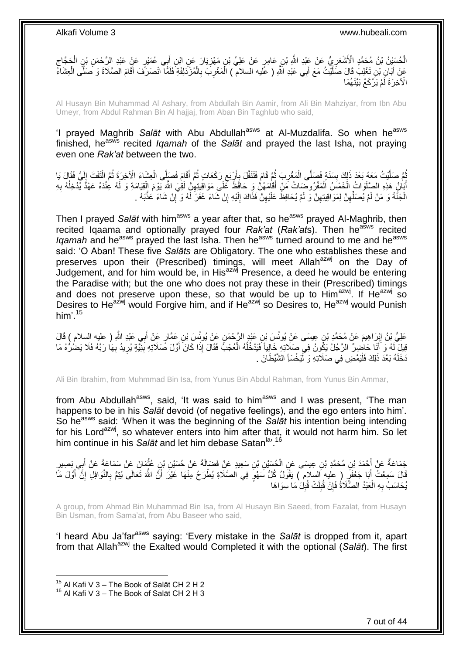## الْحُسَيْنُ بْنُ مُحَمَّدٍ الْأَشْعَرِيُّ عَنْ عَبْدِ اللَّهِ بْنِ عَامِرٍ عَنْ عَلِيِّ بْنِ مَهْزِيَارَ عَنِ ابْنِ أَبِي عُمَيْرٍ عَنْ عَبْدِ الرَّحْمَنِ بْنِ الْحَجَّاجِ َ **∶** ِ ْ ِ ْ عَنْ أَبَانِ بْنِ تَغْلِبَ قَالَ صَلَّيْتُ مَعَ أَبِي عَبْدِ الَّلَهِ ( عَلَيه السلام ) الْمَغْرِبَ بِالْمُزْ كَلِفَةِ فَلَمَّا انْصَرَفَ أَقَامَ الصَّلَاةَ وَ صَلَّى الْعِشَاءَ َ ֪֪֪֪֦֦֪֪֦֪֪֦֦֦֧֦֪֪֪֦֞֟֟֟֟֘֟֟֟֟֟֟֟֟֟֟֬֟֓֕֓֕֓֕֓֞֞֟֡֟֟֡֟֟֟֓֞֟֞֟֟֡֡֬֞֟֟֓֞֞֟֞֟֓֞֟֟ ْ َ ْ ِ ِ ْ الْآخِرَةَ لَّمْ يَرْكَعْ بَيْنَهُمَا

Al Husayn Bin Muhammad Al Ashary, from Abdullah Bin Aamir, from Ali Bin Mahziyar, from Ibn Abu Umeyr, from Abdul Rahman Bin Al hajjaj, from Aban Bin Taghlub who said,

'I prayed Maghrib *Salāt* with Abu Abdullah<sup>asws</sup> at Al-Muzdalifa. So when he<sup>asws</sup> finished, he<sup>asws</sup> recited *Igamah* of the *Salāt* and prayed the last Isha, not praying even one *Rak'at* between the two.

ثُمَّ صَلَّيْتُ مَعَهُ بَعْدَ ذَلِكَ بِسَنَةٍ فَصَلَّى الْمَغْرِبَ ثُمَّ قَامَ فَتَنَفَّلَ بِأَرْبَعِ رَكَعَاتٍ ثُمَّ أَقَامَ فَصَلَّى الْعِشَاءَ الْآخِرَةِ ثُمَّ الْتَفَتَ إِلَيَّ فَقَالَ يَا َّ ُ ْ َ ا پایا<br>سال ِ اُ ِ ُ ِ ْ **∣ ٔ** لَ  $\frac{1}{4}$ ْ ُ اَبَانُ مَذِهِ الصَّلَوَاتُ الْخَمْسَ اَلْمَفْرُوضَناتُ مِّنْ أَقَامَهُنَّ وَ حَافَظَ عَلَى مَوَاقِيتِهِنِّ لَمَي اللَّهَ يَوْمَ الْقِيَامَةِ وَ لَمُه عِنْدًهُ عَهْدً يُّدْخِلُهُ بِهِ َ ْ ْ ِ ُ ْ ِ الْجَنَّةَ وَ مَنْ لَمْ يُصَلِّهِنَّ لِمَوَاقِيتِهِنَّ وَ لَمْ يُحَافِظُ عَلَيْهِنَّ فَذَاكَ إِلَيْهِ إِنْ شَاءَ غَفَرَ لَّهُ وَ إِنْ شَاءَ عَذَّبَهُ . ِ لَ ِ ِ ِ ِ ِّ ْ ِ

Then I prayed *Salāt* with him<sup>asws</sup> a year after that, so he<sup>asws</sup> prayed Al-Maghrib, then recited Igaama and optionally prayed four *Rak'at* (*Rak'ats*). Then he<sup>asws</sup> recited *Igamah* and he<sup>asws</sup> prayed the last Isha. Then he<sup>asws</sup> turned around to me and he<sup>asws</sup> said: 'O Aban! These five *Salāts* are Obligatory. The one who establishes these and preserves upon their (Prescribed) timings, will meet Allah<sup>azwj</sup> on the Day of Judgement, and for him would be, in His<sup>azwj</sup> Presence, a deed he would be entering the Paradise with; but the one who does not pray these in their (Prescribed) timings and does not preserve upon these, so that would be up to Him<sup>azwj</sup>. If He<sup>azwj</sup> so Desires to He<sup>azwj</sup> would Forgive him, and if He<sup>azwj</sup> so Desires to, He<sup>azwj</sup> would Punish him'. $15$ 

َم َع ْب َرا ِهي ِي َعْبِد ََّّللا َعلِ ُّي ْب ُن ِ ِ ) عليه الس ِ ب ٍر َع ْن َ ِن َع َّما َس ْب ِن َع ْن ُيونُ ِن َعْبِد ال َّر ْح َم َس ْب ْن ُم َح َّمِد ْب الم ( َقا َل ِن ِعي َسى َع ْن ُيونُ َ قِيلَ لَهُ وَ أَنَا حَاضِرٌ الرَّجُلُ يَكُونُ فِي صَلَاتِهِ خَالِياً فَيَدْخُلُهُ الْعُجْبُ فَقَالَ إِذَا كَانَ أَوَّلَ صَلَاتِهِ بِبَنِّيَةٍ يُرِيدُ بِهَا رَبَّهُ فَلَا يَضُرُّهُ مَا َ ْ ُ َ ِ **∶ ∶** دَخَلَهُ بَعْدَ ذَلِكَ فَلْيَمْضِ فِي صَلَاتِهِ وَ لَّيَخْسَأِ الشَّيْطَانَ . :<br>ا :<br>ا

Ali Bin Ibrahim, from Muhmmad Bin Isa, from Yunus Bin Abdul Rahman, from Yunus Bin Ammar,

from Abu Abdullah<sup>asws</sup>, said, 'It was said to him<sup>asws</sup> and I was present, 'The man happens to be in his *Salāt* devoid (of negative feelings), and the ego enters into him'. So he<sup>asws</sup> said: 'When it was the beginning of the *Salat* his intention being intending for his Lord<sup>azwj</sup>, so whatever enters into him after that, it would not harm him. So let him continue in his *Salāt* and let him debase Satan<sup>la, 16</sup>

جَمَاعَةٌ عَنْ أَحْمَدَ بْنِ مُحَمَّدِ بْنِ عِيسَى عَنِ الْحُسَيْنِ بْنِ سَعِيدٍ عَنْ فَضَالَةَ عَنْ حُسَيْنِ بْنِ عُثْمَانَ عَنْ سَمَاعَةَ عَنْ أَبِي بَصِيرٍ **ٔ** ْ َ قَالَ سَمِعْتُ أَبَا جَعْفَرٍ ( عليه السلام ) يَقُولُ كُلُّ سَهْوٍ فِي الصَّلَاةِ يُطْرَحُ مِنْهَا غَيْرَ أَنَّ اللَّهَ تَعَالَى يُتِمُّ بِالنَّوَافِلِّ إِنَّ أَوَّلَ مَاَّ َ َ َ ِ ِ يُحَاسَبُ بِهِ الْعَبْدُ الصَّلَاةُ فَإِنْ قُبِلَتْ قُبِلَ مَا سِوَاهَا **!** ِ ِ ْ ِ

A group, from Ahmad Bin Muhammad Bin Isa, from Al Husayn Bin Saeed, from Fazalat, from Husayn Bin Usman, from Sama'at, from Abu Baseer who said,

'I heard Abu Ja'far<sup>asws</sup> saying: 'Every mistake in the Salat is dropped from it, apart from that Allah<sup>azwj</sup> the Exalted would Completed it with the optional (*Salāt*). The first

 $^{15}_{12}$  Al Kafi V 3 – The Book of Salāt CH 2 H 2

 $16$  Al Kafi V 3 – The Book of Salāt CH 2 H 3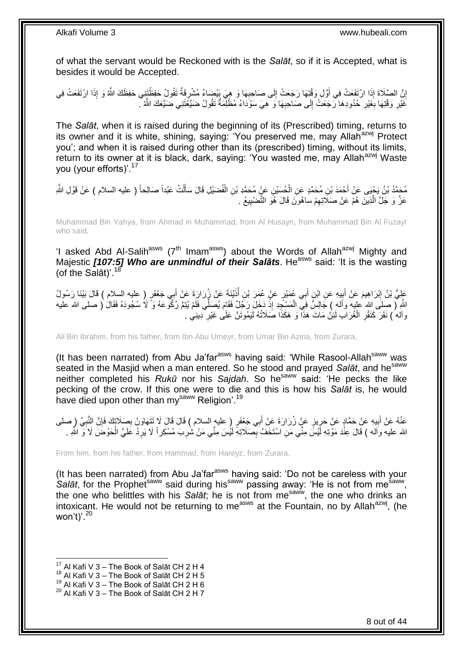of what the servant would be Reckoned with is the *Salāt*, so if it is Accepted, what is besides it would be Accepted.

اِنَّ الصَّلَاةَ إِذَا ارْتَفَعَتْ فِي أَوَّلِ وَقْتِهَا رَجَعَتْ إِلَى صَاحِبِهَا وَ هِيَ بِيْضَاءُ مُشْرِقَةٌ تَقُولُ حَفِظْتَتِي حَفِظَكَ اللَّهُ وَ إِذَا ارْتَفَعَتْ فِي َ ِ ; ِ ِ غَيْرِ وَقْتِهَا بِغَيْرِ خُدُودِهَا رَّجَعَتْ إِلَى صَاحِبِهَا وَ هِيَ سَوْدَاءُ مُظْلِّمَةٌ تَقُولُ ضَيَّعْتَنِي ضَيَّعَكَ اللَّهُ ۖ ِ ِ ِ **∶ ∶** 

The *Salāt*, when it is raised during the beginning of its (Prescribed) timing, returns to its owner and it is white, shining, saying: 'You preserved me, may Allah<sup>azwj</sup> Protect you'; and when it is raised during other than its (prescribed) timing, without its limits, return to its owner at it is black, dark, saying: 'You wasted me, may Allah<sup>azwj</sup> Waste you (your efforts)'.<sup>17</sup>

مُحَمَّدُ بْنُ يَجْيَى عَنْ أَحْمَدَ بْنِ مُحَمَّدٍ عَنِ الْحُسَيْنِ عَنٍْ مُحَمَّدِ بْنِ الْفُضَيْلِ قَالَ سَأَلْتُ عَبْداً صَالِحاً ( عليه السلام ) عَنْ قَوْلِ الثَّهِ ْ اً<br>أ ْ ْ َ عَزَّ وَ جَلَّ الَّذِينَ هُمْ عَنْ صَلَاتِهِمْ ساهُونَ قَالَ هُوَ النَّضْيِيعُ . **!** ِ ر<br>ا

Muhammad Bin Yahya, from Ahmad in Muhammad, from Al Husayn, from Muhammad Bin Al Fuzayl who said,

'I asked Abd Al-Salih<sup>asws</sup> (7<sup>th</sup> Imam<sup>asws</sup>) about the Words of Allah<sup>azwj</sup> Mighty and Majestic **[107:5] Who are unmindful of their Salats**. He<sup>asws</sup> said: 'It is the wasting (of the Sal $\bar{a}$ t)'.<sup>18</sup>

عَلِيُّ بْنُ إِبْرَاهِيمَ عَنْ أَبِيهِ عَنِ ابْنِ أَبِي عُمَيْرٍ عَنْ عُمَرَ بْنِ أَذَيْنَةَ عَنْ زُرَارَةَ عَنْ أَبِي جَعْفَرٍ ( عليه السلام ) قَالَ بَيْنَا رَسُولُ َ :<br>ا َ **∣** َ اللَّهِ لَّ صِلَى الله عليه وأَله ) جَالِسٌ فِيَّ الْمَسْجِدِ إِذْ دَخَلَ رَجُلٌ فَقَامَ يُصَلِّي فَلَمْ يُنِعَ رُكُمْ عَهُ وَ َلَا سُجُودَهُ فَقَالَ ( صلى الله عليه ة<br>ـ ْ وآله ُ) نَقَرَ كَنَقْرِ الْغُرَابِ لَئِنْ مَاتَ هَذَا وَ هَكَذَا صَلَاتُهُ لَيَمُوتَنَّ عَلَى غَيْرِ دِينِي . ِ ْ ِ

Ali Bin Ibrahim, from his father, from Ibn Abu Umeyr, from Umar Bin Azina, from Zurara,

(It has been narrated) from Abu Ja'far<sup>asws</sup> having said: 'While Rasool-Allah<sup>saww</sup> was seated in the Masjid when a man entered. So he stood and prayed *Salāt*, and he<sup>saww</sup> neither completed his *Rukū* nor his *Sajdah*. So hesaww said: 'He pecks the like pecking of the crow. If this one were to die and this is how his *Salāt* is, he would have died upon other than my<sup>saww</sup> Religion<sup>'.19</sup>

عَنْهُ عَنْ أَبِيهِ عَنْ حَمَّادٍ عَنْ حَرِيزٍ عَنْ زُرَارَةَ عَنْ أَبِي جَعْفَرٍ ( عليه السلام ) قَالَ قَالَ لَا نَتَهَاوَنْ بِصَلَاتِكَ فَإِنَّ النَّبِيَّ ( صلى ِ **!** َ ِ ∣ļ ِ ِ الله عليه واله ) قَالَ عِنْدَ مَوْتِهِ لَيْسَ مِنِّي مَنِ اسْتَخَفَّ بِصَلَاتِهِ لَيْسَ مِنًى مَنْ شَٰرِبَ مُسْكِر أَ لَا يَرِدُ غَلَيَّ الْحَوْضَ لَا وَّ اللّهِ . ِ ِ ْ

From him, from his father, from Hammad, from Hareyz, from Zurara,

(It has been narrated) from Abu Ja'far $a<sup>asws</sup>$  having said: 'Do not be careless with your Salāt, for the Prophet<sup>saww</sup> said during his<sup>saww</sup> passing away: 'He is not from me<sup>saww</sup>, the one who belittles with his *Salāt*; he is not from me<sup>saww</sup>, the one who drinks an intoxicant. He would not be returning to me<sup>asws</sup> at the Fountain, no by Allah<sup>azwj</sup>, (he won't)'. $20$ 

<sup>1</sup>  $17$  Al Kafi V 3 – The Book of Salāt CH 2 H 4

 $18$  Al Kafi V 3 – The Book of Salāt CH 2 H 5

 $^{19}$  Al Kafi V 3 – The Book of Salāt CH 2 H 6

 $^{20}$  Al Kafi V 3 – The Book of Salāt CH 2 H 7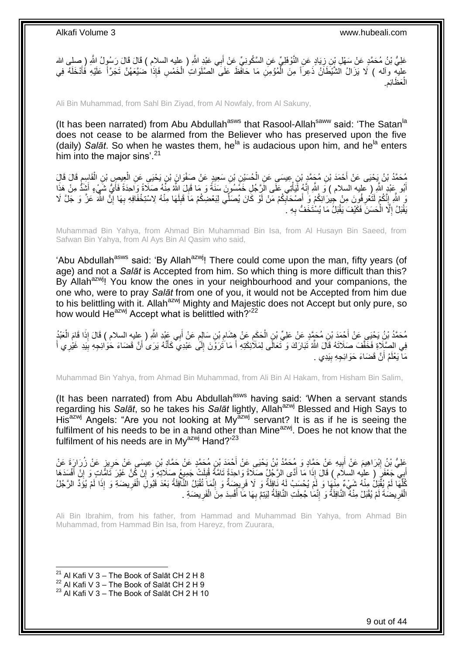عَلِيُّ بْنُ مُحَمَّدٍ عَنْ سَهْلِ بِْنِ زِيَادٍ عَنِ النَّوْفَلِيِّ عَنِ السَّكُونِيِّ عَنْ أَبِي عَبْدٍ اللَّهِ ( عليه السلام ) قَالَ قَالَ رَسُولُ اللَّهِ ( صلى الله َ ِ عليهِ وآله ) لَا يَزَالُ الْشَّيْطَاَنُ ذَعِراً مِنَ الْمُؤْمِنِ مَا حَافَظَ عَلَى الصَّلَوَاتِ الْخَمْسِ فَإِذَا ضَيَّعَهُنَّ تَجَرَّأَ عَلَيْهِ فُأَدْخَلَهُ فِي ْ ْ َ َ الْعَظَائِم. ْ

Ali Bin Muhammad, from Sahl Bin Ziyad, from Al Nowfaly, from Al Sakuny,

(It has been narrated) from Abu Abdullah<sup>asws</sup> that Rasool-Allah<sup>saww</sup> said: 'The Satan<sup>la</sup> does not cease to be alarmed from the Believer who has preserved upon the five (daily) *Salāt*. So when he wastes them, he<sup>la</sup> is audacious upon him, and he<sup>la</sup> enters him into the major sins'. $21$ 

مُحَمَّدُ بْنُ يَحْيَى عَنْ أَحْمَدَ بْنِ مُجَمَّدٍ بْنٍ عِيسَى عَنِ الْحُسَيْنِ بْنِ سَعِيدٍ عَنْ صَفْوَانَ ب<br>يَبْ يَحْيَى عَنِ الْقَاسِمِ قَالَ قَالَ ْ ِ ْ ْ أَبُو عِنْدِ اللَّهِ ( عَليه السلام ) وَ اللَّهِ إِنَّهُ لَيَأْتِي عَلَى الَرَّجُلِ خَمْسُورَنَ سَنَةً وَ مَا قَبِلَ اللَّهُ مِنْهُ صَلَّاةً وَاَحِدَةً فَأَيُّ شَيْءٍ أَشِدُّ مِنْ هَذَا َ ِ ْ ِ َ وَ اللَّهِ إِنَّكُمْ لَتَغْرِفُونَ مِنْ جِيرَانِكُمْ وَ أَصْحَابِكُمْ مَنْ لَوْ كَانَ يُصَلِّي لِبَعْضِكُمْ مَا قَبِلَهَا مِنْهُ لِاسْتِخْفَافِهِ بِهَا إِنَّ اللَّهَ عَزَّ وَ جَلَّ لَا لَ ِ ِ **∶** ِ ِ ِ يَقْبَلُ إِلَّا الْحَسَنَ فَكَيْفَ يَقْبَلُ مَا يُسْتَخَفُّ بِهِ ۗ ِ ْ ِ

Muhammad Bin Yahya, from Ahmad Bin Muhammad Bin Isa, from Al Husayn Bin Saeed, from Safwan Bin Yahya, from Al Ays Bin Al Qasim who said,

'Abu Abdullah<sup>asws</sup> said: 'By Allah<sup>azwj</sup>! There could come upon the man, fifty years (of age) and not a *Salāt* is Accepted from him. So which thing is more difficult than this? By Allah<sup>azwj</sup>! You know the ones in your neighbourhood and your companions, the one who, were to pray *Salāt* from one of you, it would not be Accepted from him due to his belittling with it. Allah<sup>azwj</sup> Mighty and Majestic does not Accept but only pure, so how would  $He^{azwj}$  Accept what is belittled with? $i^{22}$ 

مُحَمَّدُ بْنُ يَحْيَيِ عَنْ أَحْمَدَ بْنِ مُحَمَّدٍ عَنْ عَلِيِّ بْنِ الْحَكَمِ عَنْ هِشَامِ بْنِ سَالِمٍ عَنْ أَبِي عَبْدِ اللَّهِ ( عِليهِ السلام ) قَالَ إِذَا قَامَ الْعَبْدُ َ ֧֖֧֖֖֖֖֖֧֖֖֧֧֧֧ׅ֧֧֧֧֧֧֧֧֧֧֧֧֚֚֚֚֚֚֚֚֝֝֟֓֝֓֝֓֝֬֟֓֟֓֝֬֝֬֝֓֝֬֜֓֝֬֜֓֝֬֝֓֝֬֝֓֝֬֝֬֓֝֬֝֬֝ ِ ِ ْ ْ فِي الصَّلَاةِ فَخَفَّفَ صَلَاتَهُ قَالَ اللَّهُ نَبَارَكَ وَ تَعَالَى لِمَلَاْئِكَتِهِ أَ مَا َتُرَوْنَ إِلَّى عَبْدِيَ كَأَنَّهُ يَرَى أَنَّ قَضَاءَ حُوَائِجِهِ بِيَدِ غَيْرِي أَ َ َ ِ َ َ ِ مَاۤ يَعْلَمُ أَنَّ قَضَاءَ حَوَائِجِهِ بِيَدِي ِ **!** َ

Muhammad Bin Yahya, from Ahmad Bin Muhammad, from Ali Bin Al Hakam, from Hisham Bin Salim,

(It has been narrated) from Abu Abdullah<sup>asws</sup> having said: 'When a servant stands regarding his Salat, so he takes his Salat lightly, Allah<sup>azwj</sup> Blessed and High Says to His<sup>azwj</sup> Angels: "Are you not looking at My<sup> $\frac{3}{x}$ </sup> servant? It is as if he is seeing the fulfilment of his needs to be in a hand other than Mine<sup>azwj</sup>. Does he not know that the fulfilment of his needs are in Mv<sup>azwj</sup> Hand? $^{23}$ 

عَلِيُّ بْنُ إِبْرَاهِيمَ عَنْ أَبِيهِ عَنْ حَمَّادٍ وَ مُحَمَّدُ بْنُ يَحْيَى عَنْ أَحْمَدَ بْنِ مُحَمَّدٍ عَنْ حَمَّادِ بْنِ عِيسَى عَنْ حَرِيزٍ عَنْ زُرَارَةَ عَنْ **!** َ ِ َنِي جَعْفَرٍ ( عليه السلام ) قَالَ إِذَا مَا أَدًى الرَّجُلُ صَلَاةً وَاحِدَةً تَامَّةً قُلِلَتْ جَمِيعُ صَلَاتِهِ وَ إِنْ كُنَّ غَيْرَ تَامًّاتٍ وَ إِنْ أَفْسَدَهَا ِ ِ َ َ َ ِ كُلِّهَا لَمْ يُقَبِّلُ مِنْهُ شَيْءٌ مِنْهَا وَ لَمْ يُحْسَبُ لَهُ نَافِلَةٌ وَ لَا فَرِيضَةٌ وَ إِنَّمَا تُقْبَلُ النَّافِلَةُ بَعْدَ قَبُولَ الْفَرِيضَةِ وَ إِذَا لَمْ يُؤَدِّ الرَّجُلُ َّ ِ ْ ِ **ٍ** الْفَرِيضُةَ لَمْ يُقْبَلْ مِنْهُ النَّافِلَةُ وَ إِنَّمَا جُعِلَتِ النَّافِلَةُ لِيَتِمَّ بِهَا مَا أَفْسِدَ مِنَ الْفَرِيضَةِ . ِ ْ ُ ِ ِ ِ ْ

Ali Bin Ibrahim, from his father, from Hammad and Muhammad Bin Yahya, from Ahmad Bin Muhammad, from Hammad Bin Isa, from Hareyz, from Zuurara,

<sup>&</sup>lt;sup>21</sup> Al Kafi V 3 – The Book of Salāt CH 2 H 8

 $^{22}$  Al Kafi V 3 – The Book of Salāt CH 2 H 9

 $23$  Al Kafi V 3 – The Book of Salāt CH 2 H 10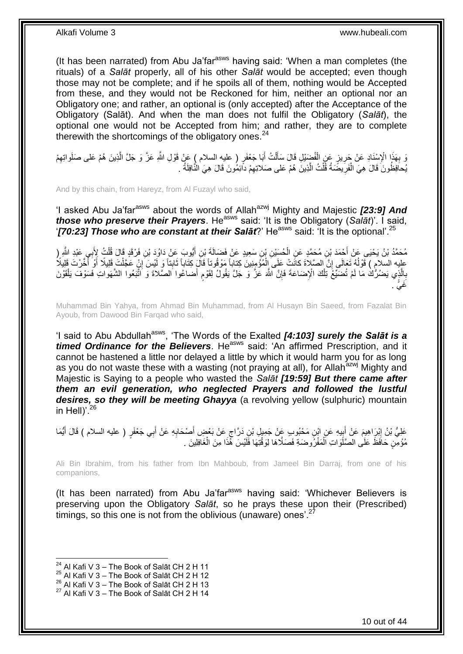(It has been narrated) from Abu Ja'far<sup>asws</sup> having said: 'When a man completes (the rituals) of a *Salāt* properly, all of his other *Salāt* would be accepted; even though those may not be complete; and if he spoils all of them, nothing would be Accepted from these, and they would not be Reckoned for him, neither an optional nor an Obligatory one; and rather, an optional is (only accepted) after the Acceptance of the Obligatory (Salāt). And when the man does not fulfil the Obligatory (*Salāt*), the optional one would not be Accepted from him; and rather, they are to complete therewith the shortcomings of the obligatory ones.<sup>24</sup>

وَ بِهَذَا الْإِسْنَادِ عَنْ جَرِيزٍ عَنِ الْفُضِيْلِ قَالَ سَأَلْتُ أَبَا جَعْفَرٍ ( عليه السلام ) عَنْ قَوْلِ اللَّهِ عَزَّ وَ جَلَّ الَّذِينَ هُمْ عَلى صَلَواتِهِمْ ْ ِ **∶** ِ َّ َ ْ َ يَحافِظُونَ فَالَ هِيَ الْفَرِيضَةُ قُلْتُ الَّذِينَ هُمْ عَلى صَلاتِهِمْ داِّئِمُونَ قَالَ هِيَ النَّافِلَةَ . ِ َّ ْ ِ ْ

And by this chain, from Hareyz, from Al Fuzayl who said,

'I asked Abu Ja'far<sup>asws</sup> about the words of Allah<sup>azwj</sup> Mighty and Majestic **[23:9] And** *those who preserve their Prayers*. He<sup>asws</sup> said: 'It is the Obligatory (*Salat*)'. I said, '*[70:23] Those who are constant at their Salāt***?'** He<sup>asws</sup> said: 'It is the optional'.<sup>25</sup>

مُحَمَّدُ بْنُ يَحْيَى عَنْ أَحْمَدَ بْنِ مُحَمَّدٍ عَنِ الْحُسَيْنِ بْنِ سَعِيدٍ عَنْ فَضَالَةَ بْنِ أَيُّوبَ عَنْ دَاوُدَ بْنِ فَرْقَدٍ قَالَ قُلْتُ لِأَبِي عَبْدِ الثَّهِ ( َ ْ َ ْ عليه السلام ) فَوْلُهُ تَعَالَى إِنَّ الصَّلاَةَ كانَتْ عَلَى اِلْمُؤْمِنِينَ كِتاباً مَوْقُوتاً قَالَ كِتَاباً ذَابِتاً وَ لَيْسَ إِنْ عَجَلْتَ قَلِيلًا أَوْ أَخَّرْتَ قَلِيلًا ِ َ َ ِ  $\frac{1}{2}$ ْ بِاَلَّذٍي يَضُرُّكُ مَا لَمْ تُضَيِّعُ تِلْكَ الْإِضَاعَةَ فَإِنَّ اللَّهَ عَزَّ وَ جَلَّ يَقُولُ لِقَوْمٍ أَضاعُوا الصَّلاةَ وَ اَتَّبَعُوا الشَّهَواتِ فَسَوْفَ يَلْقَوْنَ ֧֧֧֖֧֧֧֧֧֦֧֚֓֝֬֝֝֓֝֬֟֓֓֝֓֝֓֝֬֝֬֝ ِ ْ َّ ِ ْ . َغ يً

Muhammad Bin Yahya, from Ahmad Bin Muhammad, from Al Husayn Bin Saeed, from Fazalat Bin Ayoub, from Dawood Bin Farqad who said,

'I said to Abu Abdullah<sup>asws</sup>, 'The Words of the Exalted *[4:103] surely the Salat is a timed Ordinance for the Believers*. He<sup>asws</sup> said: 'An affirmed Prescription, and it cannot be hastened a little nor delayed a little by which it would harm you for as long as you do not waste these with a wasting (not praying at all), for Allah<sup>azwj</sup> Mighty and Majestic is Saying to a people who wasted the *Salāt [19:59] But there came after them an evil generation, who neglected Prayers and followed the lustful*  desires, so they will be meeting Ghayya (a revolving yellow (sulphuric) mountain in Hell $y^2$ <sup>26</sup>

عَلِيُّ بْنُ إِبْرَاهِيمَ عَنْ أَبِيهِ عَنِ ابْنِ مَحْبُوبِ عَنْ جَمِيلِ بْنِ دَرَّاجٍ عَنْ بَعْضٍ أَصْحَابِهِ عَنْ أَبِي جَعْفَرٍ ( عليه السلام ) قَالَ أَيُّمَا<br>.  $\frac{1}{2}$ َ ِ َ َ ِ َ ٍ مُؤْمِنٍ حَافَظَ عَلَى الصَّلَّوَاتِ اَلْمَفْرُوضَةِ فَصَلَّاهَا لِوَقْتِهَا فَلَيْسَ هَٔذَا مِنَ الْغَافِلِينَ ْ ْ

Ali Bin Ibrahim, from his father from Ibn Mahboub, from Jameel Bin Darraj, from one of his companions,

(It has been narrated) from Abu Ja'farasws having said: 'Whichever Believers is preserving upon the Obligatory *Salāt*, so he prays these upon their (Prescribed) timings, so this one is not from the oblivious (unaware) ones'. $2^2$ 

 $^{24}$  Al Kafi V 3 – The Book of Salāt CH 2 H 11

 $25$  Al Kafi V 3 – The Book of Salāt CH 2 H 12

 $^{26}$  Al Kafi V 3 – The Book of Salāt CH 2 H 13

 $27$  Al Kafi V 3 – The Book of Salāt CH 2 H 14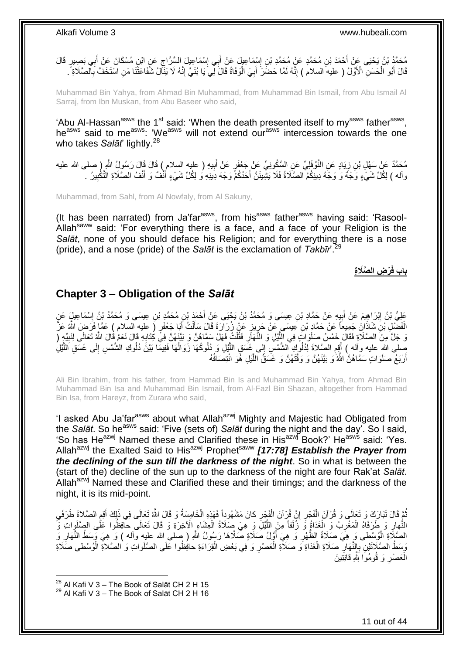مُحَمَّدُ بْنُ يَحْيَى عَنْ أَحْمَدَ بْنِ مُحَمَّدٍ عَنْ مُحَمَّدِ بْنِ إِسْمَاعِيلَ عَنْ أَبِي إِسْمَاعِيلَ السَّرَّاجِ عَنِ ابْنِ مُسْكَانَ عَنْ أَبِي بَصِيبٍ قَالَ<br>. ِ ∣∣<br>∶ َ ِ َ قَالَ أَبُو الْحَسَنِ الْأَوَّلُ ( عليه السلام ) إِنَّهُ لَمَّا حَضَنَ ۖ أَبِيَ الْوَفَاةُ قَالَ لِّي يَا بُنَيَّ إِنَّهُ لَا يَذَلَّلُ شُفَاعَتَنَا مَنِ اسْتَخَفَّ بِالصَّلَاةِ ۖ. ِ ْ َ ِ ِ ْ ِ َ

Muhammad Bin Yahya, from Ahmad Bin Muhammad, from Muhammad Bin Ismail, from Abu Ismail Al Sarraj, from Ibn Muskan, from Abu Baseer who said,

'Abu Al-Hassan<sup>asws</sup> the 1<sup>st</sup> said: 'When the death presented itself to my<sup>asws</sup> father<sup>asws</sup>, he<sup>asws</sup> said to me<sup>asws</sup>: 'We<sup>asws</sup> will not extend our<sup>asws</sup> intercession towards the one who takes *Salāt*' lightly. 28

ْوَف َياٍد َع ِن النَّ ِن ز ي ِه ) عليه السالم ( َقا َل َقا َل َر ُسو ُل ََّّللا ُم َح َّمٌد ِ ) صلى َّللا عليه َع ْن َس ِْ ِل ْب ب ٍر َع ْن َ لِ ِّي َع ِن ال َّس ُكوِن ِّي َع ْن َج ْعَف ِ ِ َ رآله ) لِكُلِّ شَيْءٍ وَجْهٌ وَ وَجُهُ دِينِكُمُ الصَّلَاةُ فَلَا يَشْبِنَنَّ أَحَدُكُمْ وَجْهَ دِينِهِ وَ لِكُلِّ شَيْءٍ أَنْفٌ وَ أَنْفُ الصَّلَاةِ التَّكْبِيرُ ـ َ َ َ ِ

Muhammad, from Sahl, from Al Nowfaly, from Al Sakuny,

(It has been narrated) from Ja'far<sup>asws</sup>, from his<sup>asws</sup> father<sup>asws</sup> having said: 'Rasool-Allah<sup>saww</sup> said: 'For everything there is a face, and a face of your Religion is the *Salāt*, none of you should deface his Religion; and for everything there is a nose (pride), and a nose (pride) of the *Salāt* is the exclamation of *Takbīr*'.<sup>29</sup>

**ْر ِض ال َّصَال ِة باب فَ**

# <span id="page-10-0"></span>**Chapter 3 – Obligation of the** *Salāt*

عَلِيُّ بْنُ إِبْرَاهِيمَ عَنْ أُبِيهِ عَنْ جَمَّادِ بْنِ عِيسَى وَ مُحَمَّدُ بْنُ يَجْيَى عَنْ أَحْمَدُ بْنِ مُحَمَّدٍ بْنِ عِيسَى وَ مُحَمَّدُ بْنُ إِسْمَاعِيلٍّ عَنٍ<br>عَلَيْهُ بِنَ إِبْرَاهِيمَ عَنْ أُبِيهِ عَنْ جَمَّادِ ِ َ ِ ِ َ الْفَضْلِ بْنَ شَاذَانَ جَمِيعاً عَنْ حَمَّادٍ بْنِ عِيسَى عَنْ حَرِيزٍ عَنْ زُرَارَةَ قَالَ سَأَلْتُ أَبَا جَعْفَرٍ ( عليه السلام ) عَمَّا فَرَضٍ اللَّهُ عَزَّ َ ْ َ ِ ْ وَ جَلَّ مِنَ الصَّلَاةِ فَقَالَ خَمْسُ صَلَوَاتٍ فِي الْلِّيْلِ وَ النَّهَأَرِ فَقُلْتُ فَهَلْ سَمَّاهُنَّ وَ بَيَّنَهُنَّ فِي كُتَابِهِ قَالَ نَعَمْ قَالَ الثَّهُ تَعَالَى لِنَبِيِّهٍ ( ْ **∶** َّ ِ **∶** ِّصْلَى اللهِ عليه وآله ) أَقِمِ الصَّلاةَ لِذُلُوكٍ الشَّمْسِ إِلى غَسَقِ اللَّيْلِ وَ ذُلُوكُهَا زَوَالُهَا فَفِيمًا بَيْنَ ذُلُوكِ الشَّمْسِ إِلَى غَسَقِ الَلَّيْلِ **ُ** َّ ِ ُ َّ ِ أَرْبَعُ صَلَوَاتٍ سَمَّاهُنَّ الثَّهُ ۖ وَ بَيَّنَهُنَّ وَ وَقَّتَهُنَّ وَ غَسَقُ اللَّيْلِ هُوَ انْتِصَافُهُ َّ اً

Ali Bin Ibrahim, from his father, from Hammad Bin Is and Muhammad Bin Yahya, from Ahmad Bin Muhammad Bin Isa and Muhammad Bin Ismail, from Al-Fazl Bin Shazan, altogether from Hammad Bin Isa, from Hareyz, from Zurara who said,

'I asked Abu Ja'far<sup>asws</sup> about what Allah<sup>azwj</sup> Mighty and Majestic had Obligated from the *Salāt*. So he<sup>asws</sup> said: 'Five (sets of) *Salāt* during the night and the day'. So I said, 'So has He<sup>azwj</sup> Named these and Clarified these in His<sup>azwj</sup> Book?' He<sup>asws</sup> said: 'Yes. Allahazwj the Exalted Said to Hisazwj Prophetsaww *[17:78] Establish the Prayer from the declining of the sun till the darkness of the night*. So in what is between the (start of the) decline of the sun up to the darkness of the night are four Rak'at *Salāt*. Allah<sup>azwj</sup> Named these and Clarified these and their timings; and the darkness of the night, it is its mid-point.

ثُمَّ قَالَ تَبَارَكَ وَ تَعَالَى وَ قُرْآنَ الْفَجْرِ إِنَّ قُرْآنَ الْفَجْرِ كانَ مَشْهُوداً فَهَذِهِ الْخَامِسَةُ وَ قَالَ اللَّهُ تَعَالَى فِي ذَلِكَ أَقِمِ الصَّلاةَ طَرَفَيِ ْ ْ ِ ِ ْ ُ ِ ِ َ النُّهارِ وَ طَرَفَاهُ الْمَغْرِبُ وَ الْغَدَاةُ وَ زُلَفاً مِنَ اللَّيْلَ وَ هِيَ صَلَاةُ الْعِشَاءِ الْآخِرَةِ وَ قَالَ تَعَالَى حافظُوا عَلَى الصِّلَوِاتِ وَّ ْ **∶** ْ ِ ْ َّ الصَّلِّاةِ الْوُسْطى وَ هِيَ صَلَاةُ الظُّهْرِ وَ هِيَ أَوَّلُ صَلَاةٍ صَّلَاهَا رَسُولُ اللَّهِ ( صلى الله عليه وآله ) وَ هِيَ وَسَطُ النَّهَارِ وَ َ ِ ْ ِ وَسَطُ الصَّلَاتَيْنِ بِالنَّهَارِ ۖ صَلَاةِ الْغَدَاةِ وَ صَلَاّةِ الْعَصْرِ وَ فِي بَعْضِ الْقِرَاءَةِ حافِظُوا عَلَى الصَّلَواتِ وَ الصَّلاةِ الْوُسْطى صَلَاةِ ْ **∶** ْ ْ ِ **∶** ْ الْعَصْلِ وَ قُومُوَا لِللَّهِ قَانِنَِينَ ِ ْ

 $^{28}$  Al Kafi V 3 – The Book of Salāt CH 2 H 15

1

 $29$  Al Kafi V 3 – The Book of Salāt CH 2 H 16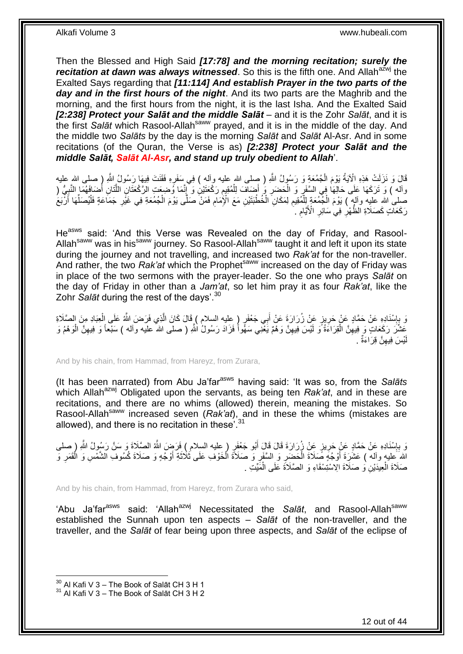Then the Blessed and High Said *[17:78] and the morning recitation; surely the recitation at dawn was always witnessed*. So this is the fifth one. And Allah<sup>azwj</sup> the Exalted Says regarding that *[11:114] And establish Prayer in the two parts of the day and in the first hours of the night*. And its two parts are the Maghrib and the morning, and the first hours from the night, it is the last Isha. And the Exalted Said *[2:238] Protect your Salāt and the middle Salāt* – and it is the Zohr *Salāt*, and it is the first *Salāt* which Rasool-Allahsaww prayed, and it is in the middle of the day. And the middle two *Salāts* by the day is the morning *Salāt* and *Salāt* Al-Asr. And in some recitations (of the Quran, the Verse is as) *[2:238] Protect your Salāt and the middle Salāt, Salāt Al-Asr, and stand up truly obedient to Allah*'.

قَالَ وَ نَزَلَتْ هَذِهِ الْآيَةُ يَوْمَ الْمُمُعَةِ وَ رَسُولُ اللّهِ ( صِلى الله عليه وأله ) فِي سَفَرِهِ فَقَنَتَ فِيهَا رَسُولُ اللّهِ إِ صلى الله عليه ِ ْ وآله ) وَ تَرَكَهَا عَلَى حَالِهَا فِي السَّفَرِ وَ الْحَضَرِ وَ أَضِيَافَ لِلْمُقِيمِ رَكْعَتَيْنِ وَ إِنَّمَا وُضِعَتِ الرَّكْعَتَانِ اللَّتَانِ أَضَافَهُمَا النَّبِيُّ ( ِ ِ ْ َ ِ ْ ِ َ َّ صلى اللهِ عليه وآلمٍ ) يَوْمَ الْجُمُعَةِ لِلْمُقِيمِ لِمَكَانِ الْخُطْبَتَيْنِ مَعَ الْإِمَامِ فَمَنْ صَلَّى يَوْمَ الْجُمُعَةِ فِي غَيْرِ جَمَاعَةٍ فَلْيُصَلِّهَا أَرْبَعُ ِ ا<br>ا ْ َ ِّ ْ ْ ِ ْ رَكَعَاتٍ كَصَلَاةِ الظُّهْرِ فِي سَائِرِ الْأَيَّامِ ِ ِ ِ

He<sup>asws</sup> said: 'And this Verse was Revealed on the day of Friday, and Rasool-Allah<sup>saww</sup> was in his<sup>saww</sup> journey. So Rasool-Allah<sup>saww</sup> taught it and left it upon its state during the journey and not travelling, and increased two *Rak'at* for the non-traveller. And rather, the two *Rak'at* which the Prophet<sup>saww</sup> increased on the day of Friday was in place of the two sermons with the prayer-leader. So the one who prays *Salāt* on the day of Friday in other than a *Jam'at*, so let him pray it as four *Rak'at*, like the Zohr *Salāt* during the rest of the days'.<sup>30</sup>

وَ بِإِسْنَادِهِ عَنْ حَمَّادٍ عَنْ حَرِيزٍ عَنْ زُرَارَةَ عَنْ أَبِي جَعْفَرٍ ( عِليه السلام ) قَالَ كَانَ الَّذِي فَرَضَ اللَّهُ عَلَى الْعِبَادِ مِنَ الصَّلَاةِ َّ َ ِ ון<br>∶ ِ<br>ٍ ْ عَشَّرَ رَكَعَاتٍ وَ فِيهِنَّ الْقِرَاءَةُ وَ لَيْسَ فِيهِنَّ وَهْمٌ يَعْنِي سَهُواً فَزَادَ رَسُولُ اللَّهِ ( صلى الله عليه وأله ) سَبْعاً وَ فِيهِنَّ الْوَهْمُ وَ ِ ْ ِ ْ ِ يْسَ فِيهِنَّ قِرَاءَةٌ . ِ لَ

And by his chain, from Hammad, from Hareyz, from Zurara,

(It has been narrated) from Abu Ja'farasws having said: 'It was so, from the *Salāts* which Allah<sup>azwj</sup> Obligated upon the servants, as being ten *Rak'at*, and in these are recitations, and there are no whims (allowed) therein, meaning the mistakes. So Rasool-Allah<sup>saww</sup> increased seven (Rak'at), and in these the whims (mistakes are allowed), and there is no recitation in these<sup>731</sup>

وَ بِإِسْنَادِهِ عَنْ حَمَّادٍ عَنْ حَرِيزٍ عَنْ زُرَارَةَ قَالَ قَالَ أَبُو جَعْفَرٍ ( عليه السلام ) فَرَضَ اللَّهُ الصَّلَاةَ وَ سَنَّ رَسُولُ اللَّهِ ( صلى َ ِ ון<br>י الله َعليه وأله ) عَشَٰزَةَ أَوْجُهَ صَلَاةَ الْحَضِيرِ وَ السَّفَرِ وَ صَلَاةَ الْخَوْفِ عَلَى ثَلَاثَةِ أَوْجُهٍ وَ صَلَاةَ كُسُوفِ الشَّمْسِ وَ الْقَمَرِ وَ َ َ ْ **∶** ِ ْ َ ْ صَلَاةَ الْعِيدَيْنِ وَ صَلَاةَ الِاسْتِسْقَاءِ وَ الصَّلَاةَ عَلَى الْمََيِّتِ . ْ ْ

And by his chain, from Hammad, from Hareyz, from Zurara who said,

'Abu Ja'far<sup>asws</sup> said: 'Allah<sup>azwj</sup> Necessitated the Salat, and Rasool-Allah<sup>saww</sup> established the Sunnah upon ten aspects – *Salāt* of the non-traveller, and the traveller, and the *Salāt* of fear being upon three aspects, and *Salāt* of the eclipse of

 $30$  Al Kafi V 3 – The Book of Salāt CH 3 H 1

 $31$  Al Kafi V 3 – The Book of Salāt CH 3 H 2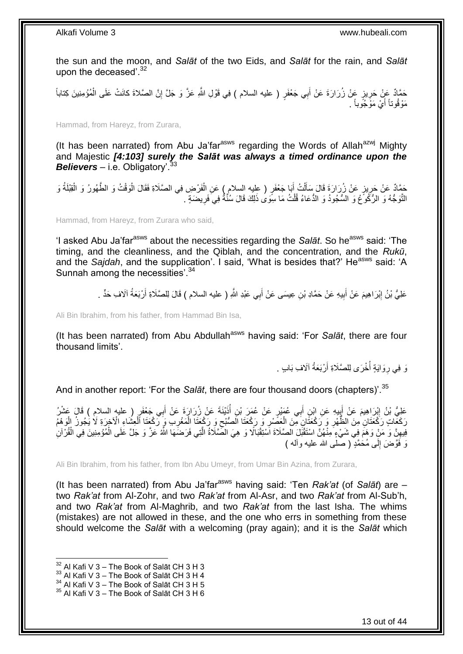the sun and the moon, and *Salāt* of the two Eids, and *Salāt* for the rain, and *Salāt* upon the deceased'.<sup>32</sup>

حَمَّادٌ عَنْ حَرِيزٍ عَنْ زُرَارَةَ عَنْ أَبِي جَعْفَرٍ ( عليه السلام ) فِي قَوْلِ اللَّهِ عَزَّ وَ جَلَّ إِنَّ الصَّلاةَ كانَتْ عَلَى الْمُؤْمِنِينَ كِتَاباً<br>. َ **∶** ْ ِ مَوْقُوتاً أَيْ مَوْجُوباً . اً.<br>ا

Hammad, from Hareyz, from Zurara,

(It has been narrated) from Abu Ja'far<sup>asws</sup> regarding the Words of Allah<sup>azwj</sup> Mighty and Majestic *[4:103] surely the Salāt was always a timed ordinance upon the Believers* – i.e. Obligatory'.<sup>33</sup>

حَمَّادٌ عَنْ حَرِيزٍ عَنْ زُرَارَةَ قَالَ سَأَلْتُ أَبَا جَعْفَرٍ ( عليه السلام ) عَنِ الْفَرْضِ فِي الصَّلَاةِ فَقَالَ الْوَقْتُ وَ الطَّهُورُ وَ الْقِبْلَةُ وَ<br>حَمَّا مُسَلِّمَةٌ مَنْ زُرَارَةَ قَالَ سَأُلْتُ أَبَا جَع ْ ْ َ ْ َ ِ ْ النَّوَجُّهُ وَ الرُّكُوعُ وَ السُّجُودُ وَ الدُّعَاءُ قُلْتُ مَا سِوَى ذَلِكَ قَالَ سُنَّةٌ فِي َفَرِيضَةٍ . ِ ْ

Hammad, from Hareyz, from Zurara who said,

'I asked Abu Ja'far<sup>asws</sup> about the necessities regarding the *Salāt*. So he<sup>asws</sup> said: 'The timing, and the cleanliness, and the Qiblah, and the concentration, and the *Rukū*, and the *Sajdah*, and the supplication'. I said, 'What is besides that?' He<sup>asws</sup> said: 'A Sunnah among the necessities<sup>'34</sup>

> عَلِيُّ بْنُ إِبْرَاهِيمَ عَنْ أَبِيهِ عَنْ حَمَّادِ بْنِ عِيسَى عَنْ أَبِي عَبْدِ اللَّهِ ( عليه السلام ) قَالَ لِلصَّلَاةِ أَرْبَعَةُ آلَافِ حَدٍّ . ِ َ ِ اً َ

Ali Bin Ibrahim, from his father, from Hammad Bin Isa,

(It has been narrated) from Abu Abdullah<sup>asws</sup> having said: 'For *Salāt*, there are four thousand limits'.

> وَ فِي رِوَايَةٍ أُخْرَى لِلصَّلَاةِ أَرْبَعَةُ آلَافِ بَابٍ . اُ .<br>ا ِ

And in another report: 'For the *Salāt*, there are four thousand doors (chapters)'.<sup>35</sup>

عَلِيُّ بْنُ إِبْرَاهِيمَ عَنْ أَبِيهِ عَنِ ابْنِ أَبِي عُمَيْرٍ عَنْ عُمَرَ بْنِ أُذَيْنَةَ عَنْ زُرَارَةَ عَنْ أَبِي جَعْفَرٍ ( عليه السلام ) قَالَ عَشْرُ ُ َ **!** َ َ رَكَعَّاتٍ رَكْعَتَانِ مِنَ الظُّهْرِ وَ رَكْعَتَانٍ مِّنَ الْعَصَّدِ وَ رَكْعَتَا الَصُّبْحِ وَ رَكْعَتَا الْمَعْرِبِ وَ رَكْعَتَا الْعِشَاءِ الْأَخِرَةِ لَا يُجُونُ الْوَهِمُ ِ ْ ِ ِ ْ ِ ْ ْ فِيهِنَّ وَ مَنْ وَهَمَ فِي شَيْءٍ مِنْهُنَّ اسْتَقْبَلَ الصَّلَاةَ اَسْتِقْبَالًا وَ هِيَ الصَّلَاةُ الَّتِي فَرَضَمَهَا اللَّهُ عَزَّ وَ جَلَّ عَلَى الْمُؤْمِنِينَ فِي الْقُرْآنِ ِ ْ َّ ْ وَ فَقَرضَ إِلَى مُحَمَّدٍ ( صَلَّى الله عليه وأله ) י<br>י

Ali Bin Ibrahim, from his father, from Ibn Abu Umeyr, from Umar Bin Azina, from Zurara,

(It has been narrated) from Abu Ja'far<sup>asws</sup> having said: 'Ten *Rak'at* (of *Salāt*) are two *Rak'at* from Al-Zohr, and two *Rak'at* from Al-Asr, and two *Rak'at* from Al-Sub'h, and two *Rak'at* from Al-Maghrib, and two *Rak'at* from the last Isha. The whims (mistakes) are not allowed in these, and the one who errs in something from these should welcome the *Salāt* with a welcoming (pray again); and it is the *Salāt* which

<sup>1</sup>  $32$  Al Kafi V 3 – The Book of Salāt CH 3 H 3

 $33$  Al Kafi V 3 – The Book of Salāt CH 3 H 4

 $34$  Al Kafi V 3 – The Book of Salāt CH 3 H 5

 $35$  Al Kafi V 3 – The Book of Salāt CH 3 H 6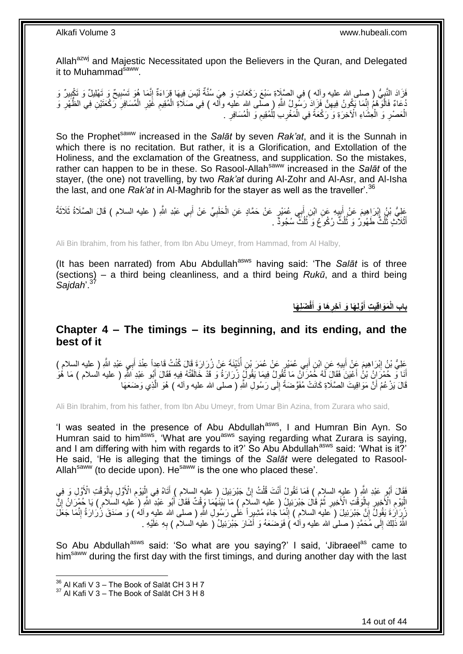Allah<sup>azwj</sup> and Majestic Necessitated upon the Believers in the Quran, and Delegated it to Muhammad<sup>saww</sup>.

فَزَادَ النَّبِيُّ ( صِلى الله عليه وآله ) فِي الصَّلِاةِ سَبْعَ رَكَعَاتٍ وَ هِيَ سُنَّةٌ لَيْسَ فِيهَا قِرَاءَةٌ إِنَّمَا هُوَ تَسْبِيحٌ وَ تَهْلِيلٌ وَ تَكْبِيرٌ وَ ِ لَ ِ ِ ِ ُهُ عَامٌ فَالْوَّهْمُ إِنَّمَا يَكُونُ فِيهِنَّ فَزَإِذْ رَسُّولُ اللَّهِ ( صلى الله عليه وأله ) فِي صَلاَةِ الْمُقِيمِ غَيْرِ الْمُسَافِرِ رَكْعَتَيْنِ فِي الظُّهْرِ وَ ِ ון<br>י ا<br>ا ِ ِ ْ ِ ِ ْ الْعَصْرِ وَ الْعِشَاءِ الْآخِرَةِ وَ رَكْعَةً فِي الْمَغْرِبِ لِلْمُقِيمِ وَ الْمُسَافِرِ . ِ ْ ِ ْ ِ ْ ْ ِ ْ

So the Prophet<sup>saww</sup> increased in the *Salāt* by seven *Rak'at*, and it is the Sunnah in which there is no recitation. But rather, it is a Glorification, and Extollation of the Holiness, and the exclamation of the Greatness, and supplication. So the mistakes, rather can happen to be in these. So Rasool-Allah<sup>saww</sup> increased in the Salat of the stayer, (the one) not travelling, by two *Rak'at* during Al-Zohr and Al-Asr, and Al-Isha the last, and one *Rak'at* in Al-Maghrib for the stayer as well as the traveller'.<sup>36</sup>

عَلِيُّ بْنُ إِبْرَاهِيمَ عَنْ أَبِيهِ عَنِ ابْنِ أَبِي عُمَيْرٍ عَنْ حَمَّادٍ عَنِ الْحَلَبِيِّ عَنْ أَبِي عَبْدِ اللَّهِ ( عليه السلام ) قَالَ الصَّلَاةُ ثَلَاثَةُ َ ِ َ ِ َ َ ِ ْ أَثْلَآتٍۢ ثُلُثٌ طَهُورٌ ۚ وَ ثُلُثٌّ رُكُوۡعٌ وَ ثُلُثٌۖ سُجُودٌ ۚ ـ ُ ُ ُ ْ ֦֪֪֪֪֪֪֦֪֪֦֪֪֦֝֟֟֓֕֘֝֟֘֝֟֟֓֟֓֡֟֓֡֟֓֟֓֡֟֓֟֓֡֟֓֟֡֟֟֓֞֟֓֡֟֓֡֟֓֡֟֡֡֬֞֓֞֟֞֓֞֟֞֬֞֓֞֟֟֞֓֞

Ali Bin Ibrahim, from his father, from Ibn Abu Umeyr, from Hammad, from Al Halby,

(It has been narrated) from Abu Abdullah<sup>asws</sup> having said: 'The Salat is of three (sections) – a third being cleanliness, and a third being *Rukū*, and a third being *Sajdah*'.<sup>37</sup>

> **َضلِ َها فْ َها َو أ َّولِ َها َو آ ِخر َمَواقِي ِت أ باب الْ َ ِ َ**

# <span id="page-13-0"></span>**Chapter 4 – The timings – its beginning, and its ending, and the best of it**

عَلِيُّ بْنُ إِبْرَاهِيمَ عِنْ أَبِيهِ عَنِ ابْنِ أَبِي عُمَيْرٍ عَنْ عُمَرَ بْنِ أُذَيْنَةَ عَنْ زُرَارَةَ قَالَ كُنْتُ قَاعِداً عِنْدَ أَبِي عَبْدِ اللَّهِ ( عليه السلام )<br>حَلْيُّ بْنُ إِبْرَاهِيمَ عِنْ أَبِيهِ عَنِ ابْن ا<br>ا َ **!** َ ِ َ أَنَا وَّ حُمْرَ إِنْ بْنُ أَعْيَنَ فَقَالَ لَهُ حُمْرَ أَنْ مَا ثَّقُولُ فِيمَا يَقُولُ زُرَارَةُ وَ قَدْ خَائْفُتُهُ فِيهِ فَقَالَ أَبُو عَبْدِ اللَّهِ ( عليه السلام ) مَا هُوَ َ َ قَالَ يَزْعُمُ أَنَّ مَوَاقِيتَ الصَّلَاةِ كَانَتْ مُفَوَّضَةً إِلَى رَسُولِ اللَّهِ ( صلى الله عليه وأله ) هُوَ الَّذِي وَضَعَهَا َّ ِ اً

Ali Bin Ibrahim, from his father, from Ibn Abu Umeyr, from Umar Bin Azina, from Zurara who said,

'I was seated in the presence of Abu Abdullah<sup>asws</sup>, I and Humran Bin Ayn. So Humran said to him<sup>asws</sup>, 'What are you<sup>asws</sup> saying regarding what Zurara is saying, and I am differing with him with regards to it?' So Abu Abdullah<sup>asws</sup> said: 'What is it?' He said, 'He is alleging that the timings of the *Salāt* were delegated to Rasool-Allah<sup>saww</sup> (to decide upon). He<sup>saww</sup> is the one who placed these'.

فَقَالَ أَبُوٍ عَبْدِ اللَّهِ ( عليهِ السلام ) فَمَا تَقُولُ أَنْتَ قُلْتُ إِنَّ جَبْرَئِيلَ ( عليه السلام ) أَتَاهُ فِي إِلْيَوْمِ الْأَوَّلِ بِالْوَقْتِ الْأَوَّلِ وَ فِي ْ َ ِ ْ َ َ ْ ِ ِ الْيَوْمِ الْأَخِيرِ بِالْوَقْتُ الْأَخِيرِ ثُمَّ قَالَ جَبْرَئِيلُ ( عليه السّلَامِ ) مَا بَيْنَهُمَا وَقْتٌ فَقَالُ أَبُو عَبْدِ اللّهِ ( عليه السّلام ) يَا حُمْرَ انْ إِنَّ َ ان<br>المقام العالمية ِ :<br>ا **∶** ֦֧֦֧ ِ ِ رُوَرَةَ يَقُولُ إِنَّ جَبْرَئِيلَ ( َعليه السلام ) إِنَّمَا جَاءَ مُشِيدٍ أَ عَلَى رَسُولِ اللّهِ ( صلى الله عليه وألهُ ) وَ صَدَقَ زُرَارَةُ إِنَّمَا جَعَلَ ِ ِ ِ اً اللَّهُ ذَلِكَ إِلَى مُحَمَّدٍ ( صلىُ الله عليه وآله )َ فَوَضَعَهُ وَ أَشَارَ جَبْرَنِيلُ ( عليهُ السلام ) بِهِ عَلَيْهِ <sub>.</sub> **∶** َ ِ

So Abu Abdullah<sup>asws</sup> said: 'So what are you saying?' I said, 'Jibraeel<sup>as</sup> came to him<sup>saww</sup> during the first day with the first timings, and during another day with the last

 $36$  Al Kafi V 3 – The Book of Salāt CH 3 H 7

 $37$  Al Kafi V 3 – The Book of Salāt CH 3 H 8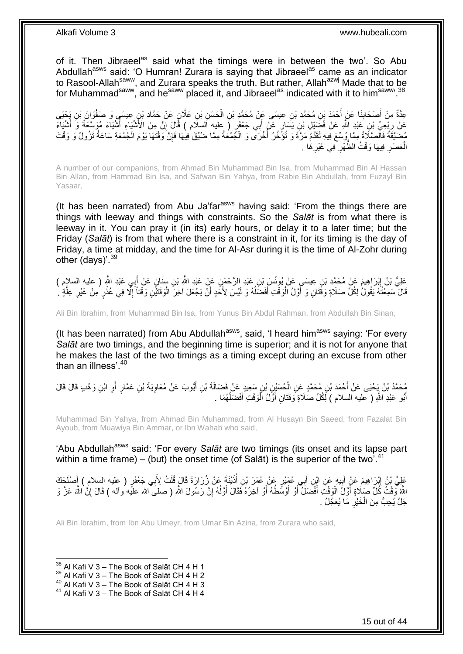of it. Then Jibraeel<sup>as</sup> said what the timings were in between the two'. So Abu Abdullah<sup>asws</sup> said: 'O Humran! Zurara is saying that Jibraeel<sup>as</sup> came as an indicator to Rasool-Allah<sup>saww</sup>, and Zurara speaks the truth. But rather, Allah<sup>azwj</sup> Made that to be for Muhammad<sup>saww</sup>, and he<sup>saww</sup> placed it, and Jibraeel<sup>as</sup> indicated with it to him<sup>saww, 38</sup>

عِدَّةٌ مِنْ أَصْحَابِنَا عَنْ أَحْمَدَ بْنِ مُحَمَّدِ بْنِ عِيسَى عَنِّ مُحَمَّدٍ بْنِ الْحَسَنِ بْنِ عَلَّانٍ عَنْ حَمَّادِ بْنٍ عِيسَىٍ وَ صَفْوَانَ بْنِ يَحْيَى ْ َ ِ َ عَنْ رِبْعِيٍّ بْنِ عَبْدِ اللَّهِ عَنْ فُضَيْلِ بْنِ يَسَارٍ عَنْ أَبِي جَعْفَرٍ ( عليه السلّام ) قَالَ إِنَّ مِنَ الْأَشْيَاءِ أَشْيَاءَ مُوَسَّعَةً وَ أَشْيَاءَ ِ َ َ ِ ∣ļ مُضَيَّقَةً فَالصَّلَاةُ مِمَّا وُسِّعَ فِيهِ تُقَدَّمُ مَرَّةً وَ تُؤَخَّرُ أُخْرَى وَ الْجُمُعَةُ مِمَّا ضُيِّقَ فِيهَا فَإِنَّ وَقْتَهَا يَوْمَ الْجُمُعَةِ سَاعَةُ تَزُولُ وَ وَقْتَ ْ :<br>ا ْ الْعَصْرِ فِيهَا وَقْتُ الظَّهْرِ فِي غَيْرِهَا . **∶** ِ ِ ْ

A number of our companions, from Ahmad Bin Muhammad Bin Isa, from Muhammad Bin Al Hassan Bin Allan, from Hammad Bin Isa, and Safwan Bin Yahya, from Rabie Bin Abdullah, from Fuzayl Bin Yasaar,

(It has been narrated) from Abu Ja'far<sup>asws</sup> having said: 'From the things there are things with leeway and things with constraints. So the *Salāt* is from what there is leeway in it. You can pray it (in its) early hours, or delay it to a later time; but the Friday (*Salāt*) is from that where there is a constraint in it, for its timing is the day of Friday, a time at midday, and the time for Al-Asr during it is the time of Al-Zohr during other (days)'.  $39$ 

عَلِيُّ بْنُ إِبْرَاهِيمَ عَنْ مُحَمَّدِ بْنِ عِيسَىِ عَنْ يُونُسَ بْنِ عَبْدِ الرَّحْمَنِ عَنْ عَبْدِ اللَّهِ بْنِ سِنَانٍ عَنْ أَبِي عَبْدِ اللَّهِ ( عليه السلام )<br>حَفَّ اللَّهِ الْمُدِينِ مِنْ أَنْ الْمَدِينِ عَنْ يُون **֝** َ ْ قَالَ سَمِعْتُهُ يَقُولُ لِكُلِّ صَلَاةٍ وَقَْتَانِ وَ أَوَّلُ الْوَقْتِ أَفْضَلُهُ وَ لَيْسَ لِأَخَدٍ أَنْ يَجْعَلَ آخِرَ الْوَقْتَيْنِ وَقْتَا َإِلَّا فِي عُذْرٍ مِنْ غَيْرِ عِلَّةٍ ` َ  $\overline{a}$ َ ْ َ ֦֧<u>֓</u>֖֖֖֖֖֦֧֦֦֧֦֧֦֧֦֧֦֧֦֧֦֧֚֝֝֝ ا<br>ا َّ ِ

Ali Bin Ibrahim, from Muhammad Bin Isa, from Yunus Bin Abdul Rahman, from Abdullah Bin Sinan,

(It has been narrated) from Abu Abdullah<sup>asws</sup>, said, 'I heard him<sup>asws</sup> saying: 'For every *Salāt* are two timings, and the beginning time is superior; and it is not for anyone that he makes the last of the two timings as a timing except during an excuse from other than an illness'.<sup>40</sup>

مُحَمَّدُ بْنُ يَحْيَى عَنْ أَحْمَدَ بْنِ مُحَمَّدٍ عَنِ الْحُسَيْنِ بْنِ سَعِيدٍ عَنْ فَضَالَةَ بْنِ أَيُّوبَ عَنْ مُعَاوِيَةَ بْنِ عَمَّارٍ أَوِ ابْنِ وَهْبِ قَالَ قَالَ<br>يَبْتُحَمَّدُ بْنُ يَحْيَى عَنْ أَحْمَدَ بْنِ مُح َ ْ ِ أ ِ أَبُو عَبْدِ اللَّهِ ( عليه السلام ) لِكُلِّ صَلَاةٍ وَقْتَانِ أَوَّلُ الْوَقْتِ أَفْضَلُهُمَا . ان<br>ا َ :<br>ا اُ َ

Muhammad Bin Yahya, from Ahmad Bin Muhammad, from Al Husayn Bin Saeed, from Fazalat Bin Ayoub, from Muawiya Bin Ammar, or Ibn Wahab who said,

'Abu Abdullah<sup>asws</sup> said: 'For every Salat are two timings (its onset and its lapse part within a time frame) – (but) the onset time (of Salat) is the superior of the two'.<sup>41</sup>

عَلِيُّ بْنُ إِبْرَاهِيمَ عَنْ أَبِيهِ عَنِ ابْنِ أَبِي عُهِّيْرٍ عَنْ عُمَرَ بْنِ أُذَيْنَةَ عَنْ زُِرَارَةَ قَالَ قُلْتُ لِأَبِي جَعْفَرٍ ( عليه السلام ) أَصْلَحَكَ<br>-ِ َ ِ َ ْ ُ اللَّهُ وَّقْتُ كُلِّ صَلَاةٍ أَوَّلَ الْوَقْتِ أَفْضَلَ أَوْ أَوْسَطُهُ أَوْ آخِرُهُ فَقَالَ أَوَّلُهُ إِنَّ رَسُولَ اللَّهِ ( صلى الله عليه وآله ) قَالَ إِنَّ اللَّهَ عَزَّ وَ ِ ا<br>ا اُ اُ اُ َ ْ َ ِ جَلَّ يُحِبُّ مِنَ الْخَيْرِ مَا يُعَجَّلُ . ِ ْ

Ali Bin Ibrahim, from Ibn Abu Umeyr, from Umar Bin Azina, from Zurara who said,

1

 $^{40}$  Al Kafi V 3 – The Book of Salāt CH 4 H 3

 $38$  Al Kafi V 3 – The Book of Salāt CH 4 H 1

 $39$  Al Kafi V 3 – The Book of Salāt CH 4 H 2

 $41$  Al Kafi V 3 – The Book of Salāt CH 4 H 4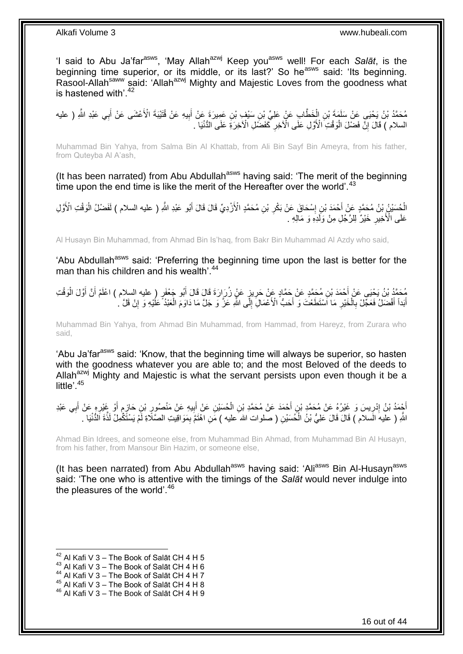'I said to Abu Ja'far<sup>asws</sup>, 'May Allah<sup>azwj</sup> Keep you<sup>asws</sup> well! For each Salat, is the beginning time superior, or its middle, or its last?' So he<sup>asws</sup> said: 'Its beginning. Rasool-Allah<sup>saww</sup> said: 'Allah<sup>azwj</sup> Mighty and Majestic Loves from the goodness what is hastened with<sup>'42</sup>

مُحَمَّدُ بْنُ يَحْيَى عَنْ سَلَمَةَ بْنِ الْخَطَّابِ عَنْ عَلِيِّ بْنِ سَيْفٍ بْنِ عَمِيرَةَ عَنْ أَبِيهِ عَنْ قُتَيْبَةَ الْأَعْشَى عَنْ أَبِي عَبْدِ اللَّهِ ( عليه ْ َ **!** َ السلام ) قَالَ إِنَّ فَضْلَ الْوَقْتِ الْأَوَّلِ عَلَى الْآخِرِ كَفَضَّلِ الْآخِرَةِ عَلَى الدُّنْيَا ۖ. ِ ْ ِ

Muhammad Bin Yahya, from Salma Bin Al Khattab, from Ali Bin Sayf Bin Ameyra, from his father, from Quteyba Al A'ash,

(It has been narrated) from Abu Abdullah<sup>asws</sup> having said: 'The merit of the beginning time upon the end time is like the merit of the Hereafter over the world'.<sup>43</sup>

الْجُسَيْنُ بْنُ مُحَمَّدٍ عَنْ أَحْمَدَ بْنِ إِسْحَاقَ عَنْ بَكْرِ بْنِ مُحَمَّدٍ الْأَزْدِيِّ قَالَ قَالَ أَبُو عَبْدِ اللَّهِ ( عليه السلام ) لَفَضْلُ الْوَقْتِ الْأَوَّلِ ْ ْ َ ِ ِ عَلَى الْأَخِيرِ خَيْرٌ لِلرَّجُلِ مِنْ وَلَدِهِ وَ مَالِهِ <sub>.</sub> ِ

Al Husayn Bin Muhammad, from Ahmad Bin Is'haq, from Bakr Bin Muhammad Al Azdy who said,

'Abu Abdullah<sup>asws</sup> said: 'Preferring the beginning time upon the last is better for the man than his children and his wealth<sup>'44</sup>

مُحَمَّدُ بْنُ يَحْيَى عَنْ أَحْمَدَ بْنِ مُحَمَّدٍ عَنْ حَمَّادٍ عَنْ حَرِيزٍ عَنْ زُرَارَةَ قَالَ قَالَ أَبُو جَعْفَرٍ ( عليه السلام ) اعْلَمْ أَنَّ أَوَّلَ الْوَقْتِ<br>يُحْمَدُ بْنُ يَحْيَى عَنْ أَحْمَدَ بْنِ مُحَمَّدٍ ع **∶** ْ َ َ َ أَبَداً أَفْضَلُ فَعَجِّلْ بِالْخَيْرِ مَا اسْتَطَعْتَ وَ أَحَبُّ الْأَعْمَالِ إِلَى اللَّهِ عَزَّ وَ جَلَّ مَا دَاوَمَ الْعَبْدُ ۚ عَلَيْهِ وَ إِنْ قَلَّ . ْ  $\frac{1}{2}$ َ ِ ْ ِ َ َ ِ

Muhammad Bin Yahya, from Ahmad Bin Muhammad, from Hammad, from Hareyz, from Zurara who said,

'Abu Ja'far<sup>asws</sup> said: 'Know, that the beginning time will always be superior, so hasten with the goodness whatever you are able to; and the most Beloved of the deeds to Allah<sup>azwj</sup> Mighty and Majestic is what the servant persists upon even though it be a little'.<sup>45</sup>

ِ أَجْمَدُ بْنُ إِدْرِيسَ وَ غَيْرُهُ عَنْ مُحَمَّدِ بْنِ أَحْمَدَ عَنْ مُحَمَّدِ بْنِ الْحُسَيْنِ عَنْ إِبِيهِ عَنْ مَنْصُورٍ بْنِ حَازِمٍ أَوْ غَيْرِهِ عَنْ أَبِي عَبْدِ ِ َ ْ ِ ِ ِ َ ِ َ ֧֩֘֝֩֩׆ ِ اللَّهِ ( عليهَ السلام ) قَالَ قَالَ عَلِيُّ بْنُ الْحُسَيْنِ ( صلوات الله عليه ) مَنِ اهْتَمَّ بِمَوَاقِيتِ الصَّلَاةِ لَمْ يَسْتَكُمِلْ لَذَّةَ الدُّنْيَا . ْ ِ

Ahmad Bin Idrees, and someone else, from Muhammad Bin Ahmad, from Muhammad Bin Al Husayn, from his father, from Mansour Bin Hazim, or someone else,

(It has been narrated) from Abu Abdullah<sup>asws</sup> having said: 'Ali<sup>asws</sup> Bin Al-Husayn<sup>asws</sup> said: 'The one who is attentive with the timings of the *Salāt* would never indulge into the pleasures of the world'.<sup>46</sup>

 $^{42}$  Al Kafi V 3 – The Book of Salāt CH 4 H 5

 $43$  Al Kafi V 3 – The Book of Salāt CH 4 H 6

 $^{44}$  Al Kafi V 3 – The Book of Salāt CH 4 H 7

 $45$  Al Kafi V  $3 -$  The Book of Salāt CH 4 H 8

<sup>46</sup> Al Kafi V 3 – The Book of Salāt CH 4 H 9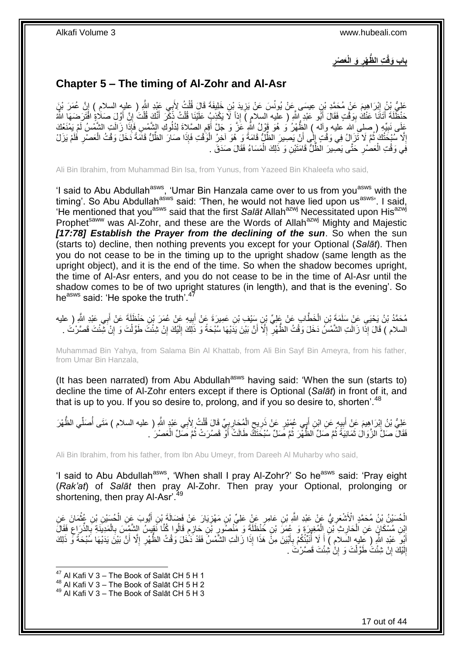**ِ َع ْصر َو الْ ُّظ ْهر ِت ال باب َوقْ ِ**

# <span id="page-16-0"></span>**Chapter 5 – The timing of Al-Zohr and Al-Asr**

عَلِيُّ نِنُ إِبْرَاهِيمَ عَنْ مُحَمَّدِ بْنِ عِيسَى عَنْ يُونُسَ عَنْ يَزِيدَ بْنِ خَلِيفَةَ قَالَ قُلْتُ لِأَبِي عَيْدِ اللَّهِ ( عِليهِ السلام ) إِنَّ عُمَرَ بْنٍَ ْ **∶**  ِ ِ حَنْظُلَةَ أَتَانَا عَنْكُ بِوَقْتٍ فَقَالَ أَبُو عَبْدٍ إِللَّهِ ( عليه السلام ) إِذاً لَا يَكْذِبُ عَلَيْنَا قُلْتُ ذَكِّرَ أَنَّكَ قُلْتَ إِلَّ أَوَّلٍ صَلَاةٍ فَقَالَ أَبُو عَبْدِ إِللَّهِ ( عليه السلام ) إِذاً لَا يَك َ **!** َ َ ِ ْ َ ْ عَلَى نَبِيِّهِ ( صلى الله عليه وآله ) الظُّهْرُ وَ هُوَ قَوْلُ اللَّهِ عََزَّ وَ جَلَّ أَقِمِ الصَّلاةَ لِذُلُوكِ الشَّمْسِ فَإِذَا زَالَتٍ الشَّمْسُ لَمْ يَمْنَعْكَ<br>عَلَى نَبِيِّهِ ( صلى الله عليه وآله ) الظُّهْرُ وَ هُو **∶** َ **!** إِلَّا سَبْحَثُكَ ثُمَّ لَا تَزَالُ فِي وَقْتٍ إِلَى أَنْ يَصِبْرَ الظُّلُّ قَامَةً وَ هُوَ اخِرُ الْوَقْتِ فَإِذا صَارَ الظُّلُّ قَامَةً دَخَلَ وَقْتُ الْعَصْرِ فُلَمْ يَزَلْ ِ ْ َ  $\frac{1}{2}$ ُ ِ ْ فِي وَقْتِ الْعَصْرِ حَتَّى يَصِّيرَ الْظُّلُّ قَامَتَيْنِ وَ ذَلِكَ الْمَسَاءُ فَقَالَ صَدَقَ . ْ **∶** ْ

Ali Bin Ibrahim, from Muhammad Bin Isa, from Yunus, from Yazeed Bin Khaleefa who said,

'I said to Abu Abdullah<sup>asws</sup>, 'Umar Bin Hanzala came over to us from you<sup>asws</sup> with the timing'. So Abu Abdullah<sup>asws</sup> said: 'Then, he would not have lied upon us<sup>asws</sup>'. I said, 'He mentioned that youasws said that the first *Salāt* Allahazwj Necessitated upon Hisazwj Prophet<sup>saww</sup> was Al-Zohr, and these are the Words of Allah<sup>azwj</sup> Mighty and Majestic *[17:78] Establish the Prayer from the declining of the sun*. So when the sun (starts to) decline, then nothing prevents you except for your Optional (*Salāt*). Then you do not cease to be in the timing up to the upright shadow (same length as the upright object), and it is the end of the time. So when the shadow becomes upright, the time of Al-Asr enters, and you do not cease to be in the time of Al-Asr until the shadow comes to be of two upright statures (in length), and that is the evening'. So he<sup>asws</sup> said: 'He spoke the truth'.

مُحَمَّدُ بْنُ يَحْيَى عَنْ سَلَمَةَ بْنِ الْخَطَّابِ عَنْ عَلِيٍّ بْنِ سَنْفٍ بْنِ عَمِيرَةَ عَنْ أَبِيهِ عَنْ عُمَرَ بْنِ حَنْظَلَةَ عَنْ أَبِي عَبْدِ اللَّهِ ( عليه ْ َ ِ َ السلام ) قَالَ إِذَا زَالَتِ الشَّمْسُ دَخَلَ وَقْتُ الظَّهْرِ ۖ إِلَّا أَنَّ بَيْنَ يَدَيْهَا سُبْحَةً وَ ذَلِكَ إِلَيْكَ إِنْ شِئْتَ طَوَّلْتَ وَ إِنْ شِئْتَ قَصَّرْتُ . ِ لَ ِ اُ ِ **ٍ** ِ ْ

Muhammad Bin Yahya, from Salama Bin Al Khattab, from Ali Bin Sayf Bin Ameyra, from his father, from Umar Bin Hanzala,

(It has been narrated) from Abu Abdullah<sup>asws</sup> having said: 'When the sun (starts to) decline the time of Al-Zohr enters except if there is Optional (*Salāt*) in front of it, and that is up to you. If you so desire to, prolong, and if you so desire to, shorten<sup>'.48</sup>

عَلِيُّ بْنُ إِبْرَاهِيمَ عَنْ أَبِيهِ عَنِ ابْنِ أَبِي عُهَيْرٍ عَنْ ذَرِيحِ الْمُحَارِبِيِّ قَالَ قُلْتُ لِأَبِي عَبْدٍ اللَّهِ ( عليه السلام ) مَتَى أُصَلِّي الظُّهْرَ ِ ِ ْ ٍ ِ َ **!** َ ِ ُ ْ فَقَالَ صَلِّ الزَّوَالُ ثَمَانِيَةً ثُمَّ صَلِّ الظُّهْرَ ثُمَّ صَلِّ سُبْحَثَكَ طَالَتْ أَوْ قَصُرَتْ ثُمَّ صَلِّ الْعَصْرَ . ْ ا پایا<br>سال َ ُ ُ ٔ,

Ali Bin Ibrahim, from his father, from Ibn Abu Umeyr, from Dareeh Al Muharby who said,

'I said to Abu Abdullah<sup>asws</sup>, 'When shall I pray Al-Zohr?' So he<sup>asws</sup> said: 'Pray eight (*Rak'at*) of *Salāt* then pray Al-Zohr. Then pray your Optional, prolonging or shortening, then pray Al-Asr<sup>'49</sup>

الْحُسَيْنُ بْنُ مُحَمَّدٍ الْأَشْعَرِيُّ عَنْ عَبْدِ اللَّهِ بْنِ عَامِرٍ عَنْ عَلِيِّ بْنِ مَهْزِيَارَ عَنْ فَضَالَةَ بْنِ أَيُّوبَ عَنِ الْحُسَيْنِ بْنِ عُثْمَانَ عِنِ ْ َ ِ **∶ ٔ** إِبْنِ مُسْكَانٍَ عَنِ الْحَارِثِ بْنِ الْمُغِيرَةِ وَ عُمَرَ بْنِ خَنْظَلَةَ وَ مِّنْصُورٍ بْنِ حَارِمٍ قَالُوا كُنَّا نَقِيسُ الشَّمْسَ بِالْمَدِينَةِ بِالذِّرَاعِ فَقَالَ ֧֖֖֖֖֖֖֖֧֧֧֧ׅ֧֧֧֧ׅ֧֧֧֧֛֪֧֛֪֧֚֚֚֚֚֚֚֚֚֚֚֚֚֚֚֚֚֚֚֚֚֚֚֚֚֓֝֝֬֝֝֓֝֓֝֓֜֝֓֜֓֜֓֞֡֝֬֜֜֡֜֡ ِ ِ ْ ِ ْ ِ **∶** ْ ِ أَبُو عَبْدِ اللَّهِ ( عَليه السَلام ) أَ لَا أُنَبَّئُكُمْ بِأَبْيَنَ مِنْ هَذَا إِذَا زَالَتِ الشَّمْسُ فَقَدْ دَخْلَ وَقْتُ الظَّهْرِ إِلَّا أَنَّ بَيْنَ يَدَيْهَا سُبْحَةً وَّ ذَلِكَ ر<br>ا **∶** ِ<br>ا َ َ ِ ِ إِلَيْكَ إِنْ شِئْتَُ طَوَّلْتَ وَ إِنْْ شِئْتَ قَصَّرْتَ َ ـ ِ لَ יִי<br>; יֲ<br>י ْ

<sup>1</sup>  $47$  Al Kafi V 3 – The Book of Salāt CH 5 H 1

 $48$  Al Kafi V 3 – The Book of Salāt CH 5 H 2

 $49$  Al Kafi V 3 – The Book of Salāt CH 5 H 3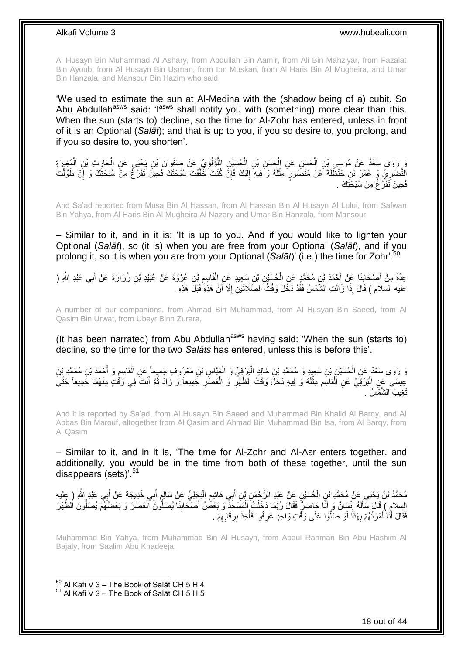Al Husayn Bin Muhammad Al Ashary, from Abdullah Bin Aamir, from Ali Bin Mahziyar, from Fazalat Bin Ayoub, from Al Husayn Bin Usman, from Ibn Muskan, from Al Haris Bin Al Mugheira, and Umar Bin Hanzala, and Mansour Bin Hazim who said,

'We used to estimate the sun at Al-Medina with the (shadow being of a) cubit. So Abu Abdullah<sup>asws</sup> said: 'I<sup>asws</sup> shall notify you with (something) more clear than this. When the sun (starts to) decline, so the time for Al-Zohr has entered, unless in front of it is an Optional (*Salāt*); and that is up to you, if you so desire to, you prolong, and if you so desire to, you shorten'.

ْ يَ رَوَى سَعْدٌ عَنْ مُوسَى بْنِ الْحَسَنِ عَنِ الْحَسَنِ بْنِ الْحُسَنِيْنِ اللَّوْلُوِيِّ عَنْ صَفْوَانَ بْنِ يَحْيَى عَنِ الْحَارِثِ بْنِ الْمُغِيِّرَةِ ِ ُّ ْ ْ ْ ْ ¦ النَّضْرِيِّ ۚ وَ عُمَرَ بْنِ حَنْظَلَةَ عَنْ مَنْصُورٍ مِثْلَهُ وَ فِيهِ إِلَيْكَ فَإِنَّ كُنْتَ خَفَّفْتَ سُبْحَتَكَ فَحِينَ تَفْرُغُ مِنْ سُبْحَتِكَ وَ إِنْ طَوَّلْتَ ِ لَ ِ لَ **ٔ** ِ ْ ِ فَحِينَ نَفْرُ غُ مِنْ سُبْحَتِكَ .

And Sa'ad reported from Musa Bin Al Hassan, from Al Hassan Bin Al Husayn Al Lului, from Safwan Bin Yahya, from Al Haris Bin Al Mugheira Al Nazary and Umar Bin Hanzala, from Mansour

– Similar to it, and in it is: 'It is up to you. And if you would like to lighten your Optional (*Salāt*), so (it is) when you are free from your Optional (*Salāt*), and if you prolong it, so it is when you are from your Optional (*Salāt*)' (i.e.) the time for Zohr'.<sup>50</sup>

عِدَّةٌ مِنْ أَصْحَابِنَا عَنْ أَحْمَدَ بْنِ مُحَمَّدٍ عَنِ الْحُسَيْنِ بْنِ سَعِيدٍ عَنِ الْقَاسِمِ بْنِ عُرْوَةَ عَنْ عُبَيْدِ بْنِ زُرَارَةَ عَنْ أَبِي عَبْدِ اللَّهِ ( ِ ْ ْ َ **ِ** َ َ عليه السلام ) قَالَ إِذَا زَالَتِ الشَّمْسُ فَقَدْ دَخَلَ وَقْتُ الصَّلَاتَيْنِ إِلَّا أَنَّ هَذِهِ هَبْلَ هَذِهِ اُ ِ

A number of our companions, from Ahmad Bin Muhammad, from Al Husyan Bin Saeed, from Al Qasim Bin Urwat, from Ubeyr Binn Zurara,

(It has been narrated) from Abu Abdullah<sup>asws</sup> having said: 'When the sun (starts to) decline, so the time for the two *Salāts* has entered, unless this is before this'.

َوَ رَوَى سَعْدٌ عَنِ الْحُسَيْنِ بْنِ سَعِيدٍ وَ مُحَمَّدِ بْنِ خَالِدٍ الْبَرْقِيِّ وَ الْعَنَاسِ بْنِ مَعْرُوفٍ جَمِيعاً عَنِ الْقَاسِعِ وَ أَحْمَدَ بْنِ مُحَمَّدِ بْنِ ْ َ ِ ْ ْ ْ عِيسَى عَنِ الْبَرْقِيِّ عَنِ الْقَاسِمِ مِثْلَهُ وَ فِيهِ دَخَلَ وَقْتُ الظُّهْرِ وَ الْعَصْرِ جَمِيعاً وَ زَادَ ثُمَّ أَنْتَ فِي وَقْتٍ مِنْهُمَا جَمِيعاً حَتَّىَ َ ا پایا<br>سال **∶** ْ ِ لَ **ٔ** ِ ْ ا<br>ا تَغِيبَ الشَّمْسُ .

And it is reported by Sa'ad, from Al Husayn Bin Saeed and Muhammad Bin Khalid Al Barqy, and Al Abbas Bin Marouf, altogether from Al Qasim and Ahmad Bin Muhammad Bin Isa, from Al Barqy, from Al Qasim

– Similar to it, and in it is, 'The time for Al-Zohr and Al-Asr enters together, and additionally, you would be in the time from both of these together, until the sun disappears (sets)'.<sup>51</sup>

مُحَمَّدُ بْنُ يَحْيَى عَنْ مُحَمَّدِ بْنِ الْحُسَيْنِ عَنْ عَيْدِ الرَّحْمَنِ بْنِ أَبِي هَاشِمِ الْبَجَلِيِّ عَنْ سَالِمٍ أَبِي خَدِيجَةَ عَنْ أَبِي عَبْدٍ اللَّهِ ( عِلْيه<br>. ْ َ َ ٍ ْ ٍ َ ْ السلامِ ) قَالَ سَأَلَهُ إِنْسَانٌ وَ أَنَا حَاضِرٌ فَقَالَ رُبَّمَا دَخَلْتُ الْمَسْجَدِّ وَ بَعْضُ أَصنْحَابِنَا يُصَلُّونَ الْعَصْرَ وَ بَعْضُهُمْ يُصَلُّونَ الظُّهْرَ ِ ْ ْ َ ِ لَ ُّ فَقَالَ أَنَٰا أَمَرْتُهُمْ بِهَذَا لَوْ صَلُّوْا عَلَى وَقْتٍ وَاحِدٍ عُرِفُوا فَأُخِذَ بِرِفَابِهِمْ . ِ ِ ا<br>ا **∶** َّ **∶** َ َ

Muhammad Bin Yahya, from Muhammad Bin Al Husayn, from Abdul Rahman Bin Abu Hashim Al Bajaly, from Saalim Abu Khadeeja,

 $50$  Al Kafi V 3 – The Book of Salāt CH 5 H 4  $<sup>51</sup>$  Al Kafi V 3 – The Book of Salāt CH 5 H 5</sup>

1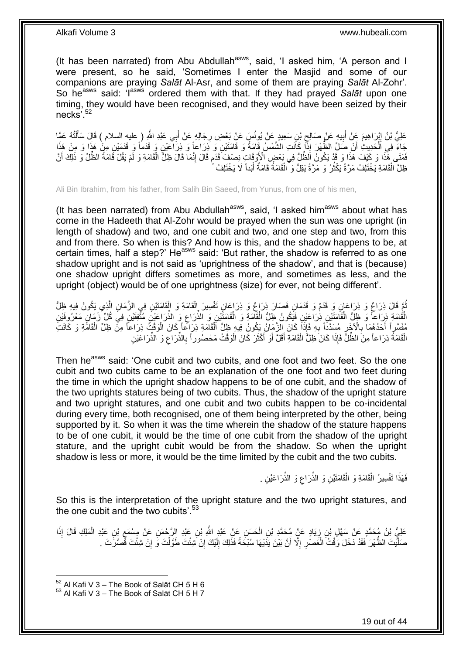(It has been narrated) from Abu Abdullah<sup>asws</sup>, said, 'I asked him, 'A person and I were present, so he said, 'Sometimes I enter the Masjid and some of our companions are praying *Salāt* Al-Asr, and some of them are praying *Salāt* Al-Zohr'. So he<sup>asws</sup> said: 'I<sup>asw's</sup> ordered them with that. If they had prayed Salat upon one timing, they would have been recognised, and they would have been seized by their necks'.<sup>52</sup>

عَلِيُّ بْنُ إِبْرَاهِيمَ عَنْ أَبِيهِ عَنْ صَالِحٍ بْنِ سَعِيدٍ عَنْ يُونُسٍ عَنْ بَعْضِ رِجَالِهِ عَنْ أَبِي عَبْدِ اللَّهِ ( عليه السلام ) قَالَ سَأَلْتُهُ عَمَّا َ ِ ِ ِ َ ِ ْ َ جَاءَ فِي اَلْحَدِيثِ أَنْ صَلِّ الظُّهْرَ إِذًا كَانَتِ الشَّمْسُ قَامَةً وَ قَامَتَيْنِ وَ ذِرَاعاً وَ ذِرَاعَيْنِ وَ قَدَمُاً وَ قَدَمَيْنِ مِلْ هَذَا وَ مِنْ هَذَا َ ْ فَضَى هِّذَا وَ كَيْفَ هَذَا وَ قَدْ يَكُونُ اَلظُّلُّ فِي بَعْضٍ الْأَوْقَاتِ نِصْفَ قَدَم قَالَ إِنَّمَا قَالَ ظِلُّ الْقَامَةِ وَ لَّمْ يَقُلْ قَامَةُ الظُّلِّ وَ ذَلِكَ أَنَّ ْ ِ ֧֧֚֓֝֝֓֝ َ ظِلَّ الْقَامَةِ يَخْتَلِفُ مَرَّةً يَكْثُرُ ۖ وَ مَرَّةً يَقِلُّ وَ ۗ الْقَامَةُ قَامَةٌ أَبَداً لَا يَخْتَلِفُ َ ْ روبو<br>1 ْ

Ali Bin Ibrahim, from his father, from Salih Bin Saeed, from Yunus, from one of his men,

(It has been narrated) from Abu Abdullah<sup>asws</sup>, said, 'I asked him<sup>asws</sup> about what has come in the Hadeeth that Al-Zohr would be prayed when the sun was one upright (in length of shadow) and two, and one cubit and two, and one step and two, from this and from there. So when is this? And how is this, and the shadow happens to be, at certain times, half a step?' He $^{asws}$  said: 'But rather, the shadow is referred to as one shadow upright and is not said as 'uprightness of the shadow', and that is (because) one shadow upright differs sometimes as more, and sometimes as less, and the upright (object) would be of one uprightness (size) for ever, not being different'.

َمْعَ قَالَ ذِرَاعٌ وَ ذِرَاعَانِ وَ قَدَمٌ وَ قَدَمَانِ فَصَارَ ذِرَاعٌ وَ ذِرَاعَانِ تَفْسِيرَ الْقَامَةِ وَ الْقَامَتَيْنِ فِي الزَّمَانِ الَّذِي يَكُونُ فِيهِ ظِلُّ ُ َّ ْ ْ الْقُامَةِ ذِرَاعاً وَ ظِلُّ الْقَامَتَيْنِ ذِرَاعَيْنِ فَيَكُونُ ظِلُّ الْقَامَةِ وَ الْقَامَتَيْنِ وَ الذِّرَاعِ وَ الذُّرَاعِيْنَ مُثَّقَفَيْنِ فِيَ كُلِّ زَمَانٍ مَعْرُوفَيْنِ ْ ْ ْ ْ ِ مُفَسَّرٍاً أَحَدُهُمَا بِالْآخَرِ مُسَدَّداً بِهِ فَإِذَا كَانَ الزَّمَانُ يَكُونُ فِيهِ ظِلُّ الْقَامَةِ ذِرَاكًم وَأَن الْوَقْتُ ذِرَاعاً مِنْ ظِلِّ الْقَامَةِ وَ كَانَتِ ْ ْ **∶** ِ **∶** َ ْ الْقَامَةُ ذِرَاعاً مِنَ الظُّلِّ ۚ فَإِذَا كَانَ ظِلُّ الْقَامَةِ أَقَلَّ أَوْ أَكْثَرَ كَانَ الْوَقْتُ مَحْصُوراً بِالذِّرَاعِ وَ الذِّرَاعَيْنِ ْ ِ **∶** ْ َ َ َ ْ

Then he<sup>asws</sup> said: 'One cubit and two cubits, and one foot and two feet. So the one cubit and two cubits came to be an explanation of the one foot and two feet during the time in which the upright shadow happens to be of one cubit, and the shadow of the two uprights statures being of two cubits. Thus, the shadow of the upright stature and two upright statures, and one cubit and two cubits happen to be co-incidental during every time, both recognised, one of them being interpreted by the other, being supported by it. So when it was the time wherein the shadow of the stature happens to be of one cubit, it would be the time of one cubit from the shadow of the upright stature, and the upright cubit would be from the shadow. So when the upright shadow is less or more, it would be the time limited by the cubit and the two cubits.

> فَهَذَا تَفْسِيرُ الْقَامَةِ وَ الْقَامَتَيْنِ وَ الذِّرَاعِ وَ الذِّرَاعَيْنِ . ْ ْ ِ

So this is the interpretation of the upright stature and the two upright statures, and the one cubit and the two cubits'.<sup>53</sup>

عَلِيُّ بْنُ مُحَمَّدٍ عَنْ سَهْلٍ بْنِ زِيَادٍ عَنٍْ مُحَمَّدِ بْنِ الْحَسَنِ عَنْ عَبْدِ اللَّهِ بْنِ عَبْدِ الرَّحْمَنِ عَنْ مِسْمَعٍ بْنِ عَبْدِ الْمَلِكِ قَالَ إِذَا ْ ِ ْ ِ صَلَّيْتَ الظُّهْرَ فَقَدْ دَخَلَ وَقْتُ الْغَصْبِ إِلَّا أَنَّ بَيْنَ يَدَيْهَا سُبْحَةً فَذَلِكَ إِلَيْكَ إِنْ شِئْتَ طَوَّلْتَ وَ إِنْ شِئْتَ قَصَّرَْتَ . ِ لَ ِ ِ ِ ْ ِ ْ

 $52$  Al Kafi V 3 – The Book of Salāt CH 5 H 6

 $53$  Al Kafi V 3 – The Book of Salāt CH 5 H 7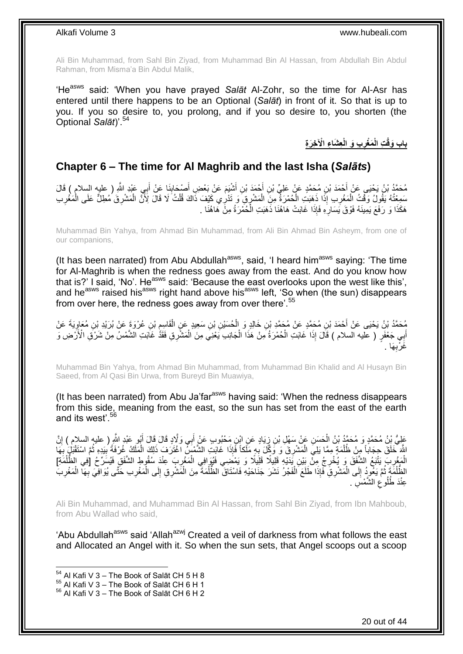Ali Bin Muhammad, from Sahl Bin Ziyad, from Muhammad Bin Al Hassan, from Abdullah Bin Abdul Rahman, from Misma'a Bin Abdul Malik,

'Heasws said: 'When you have prayed *Salāt* Al-Zohr, so the time for Al-Asr has entered until there happens to be an Optional (*Salāt*) in front of it. So that is up to you. If you so desire to, you prolong, and if you so desire to, you shorten (the Optional *Salāt*)'.<sup>54</sup>

> **ِع َشا ِء اْْل ِخ َر ِة ِب َو الْ َم ْغر ِت الْ باب َوقْ ِ**

# <span id="page-19-0"></span>**Chapter 6 – The time for Al Maghrib and the last Isha (***Salāts***)**

مُحَمَّدُ بْنُ يَحْيَى عَنْ أَحْمَدَ بْنِ مُحَمَّدٍ عَنْ عَلِيِّ بْنِ أَحْمَدَ بْنِ أَشْيَمَ عَنْ بَعْضِ أَصْحَابِنَا عَنْ أَبِي عَبْدِ اللَّهِ ( عليه السلام ) قَالَ<br>. َ  $\frac{1}{2}$ َ َ َ سَمِعْتُهُ يَقُولُ وَقْتُ الْمَغْرِبِ إِذَا ذَهَبَتِ الْمُمْرَةُ مِنِّ الْمَشْرِقِ وَ تَذْرِي كَيْفَ ذَاكَ قُلْتُ لَا قَالَ لِأَنَّ الْمَشْرِقَ مُطِلٌّ عَلَى الْمَغْرِبِ ْ ْ ْ ِ ْ ِ ْ ِ هَكَذَا وَ رَفَعَ يَمِينَهُ فَوْقَ يَسَارِهِ فَإِذَا غَابَتْ هَاهُنَا ذَهَبَتِ الْحُمْرَةُ مِنَّ هَاهُنَا . ا<br>ا ِ

Muhammad Bin Yahya, from Ahmad Bin Muhammad, from Ali Bin Ahmad Bin Asheym, from one of our companions,

(It has been narrated) from Abu Abdullah $a<sup>asws</sup>$ , said, 'I heard him $a<sup>asws</sup>$  saying: 'The time for Al-Maghrib is when the redness goes away from the east. And do you know how that is?' I said, 'No'. Heasws said: 'Because the east overlooks upon the west like this', and he<sup>asws</sup> raised his<sup>asws</sup> right hand above his<sup>asws</sup> left, 'So when (the sun) disappears from over here, the redness goes away from over there'.<sup>55</sup>

مُحَمَّدُ بْنُ يَحْيَى عَنْ أَحْمَدَ بْنِ مُحَمَّدٍ عَنْ مُحَمَّدٍ بْنِ خَالِدٍ وَ الْحُسَيْنِ بْنِ سَعِيدٍ عَنِ الْقَاسِمِ بْنِ عُرْوَةَ عَنْ بُرَيْدِ بْنِ مُعَاوِيَةَ عَنْ<br>مُحَمَّدُ بْنُ يَحْيَى عَنْ أَحْمَدَ بْنِ مُحَمَ ِ ْ ْ ِ أَبِي جَعْفَرٍ ( عليه السلام ) قَالَ إِذَا غَابَتِ الْحُمْرَةُ مِنْ هَذَا الْجَانِبِ يَعْنِي مِنَ الْمَشْرِقِ فَقَدْ غَابَتِ الشَّمْسُ مِنْ شَرْقِ الْأَرْضِ وَ ْ ْ ْ َِا . **∶** غَرْب

Muhammad Bin Yahya, from Ahmad Bin Muhammad, from Muhammad Bin Khalid and Al Husayn Bin Saeed, from Al Qasi Bin Urwa, from Bureyd Bin Muawiya,

(It has been narrated) from Abu Ja'far $a<sup>asws</sup>$  having said: 'When the redness disappears from this side, meaning from the east, so the sun has set from the east of the earth and its west'.<sup>56</sup>

عَلِيُّ بِنُ مُحَمَّدٍ وَ مُحَمَّدُ بْنُ الْحَسَنِ عَنْ سَهْلِ بْنِ زِيَادٍ عَنِ ابْنِ مَحْبُوبٍ عَنْ إَبِي وَلَّادٍ قَالَ قَالَ أَبُو عَبْدٍ الثَّهِ ( عليه السالام ) إِنَّ ِ ِ َ َ اللَّهَ خَلَقَ حِجَاباً مِنْ ظُلْمَةٍ مِمَّا بَلِيَ الْمَشْرِقَ وَ وَكِّلَ بِهِ مَلَكاً فَإِذَا غَابَتِ الشَّمْسَ اغْتَرَفَ ذَلِكَ الْمَلَكُ غُرْفَةً بِبَدِهِ ثُمَّ اسْتَقْبَلُ بِهَا ِ ِ ْ ْ ر<br>نالا ِ ْ **∶** الْمَغْرِبِ يَتْبَعُ الشَّفَقَ وَ يُخْرِجُ مِنَّ بَيْنِ يََدَيْهِ قَلِيلًا قَلِيلًا وَ يَمْضَنِي فَيُوَافِي المَغْرِبَ عِنْدَ سُقُوطِ الشَّفَقِ فَيُسَرِّحُ [فِي الظُّلْمَةِ]<br>الْمَغْرِبُ يَتْبَعُ الشَّفَقَ وَ يُخْرِجُ مِنَ ِ ْ ِ ِ ْ ْ الظُّلْمَةَ ثُمَّ يَعُودُ إِلَى الْمَشْرِقِ فَإِذَا طَلَعَ الْفَجْرُ نَشَرَ جَنَاحَيْهِ فَاسْتَاقَ الظُّلْمَةَ مِنَ الْمَشْرِقِ إِلَى الْمَغْرِبِ حَتَّى يُوَافِيَ بِهَآ الْمَغْرِبَ ْ ْ  $\frac{1}{2}$ ُ .<br>ا ِ ْ **∶** ِ ْ ِ ْ ْ عِنْدَ <mark>طُلُوعِ الشَّمْسَ</mark> ِ ِ

Ali Bin Muhammad, and Muhammad Bin Al Hassan, from Sahl Bin Ziyad, from Ibn Mahboub, from Abu Wallad who said,

'Abu Abdullah<sup>asws</sup> said 'Allah<sup>azwj</sup> Created a veil of darkness from what follows the east and Allocated an Angel with it. So when the sun sets, that Angel scoops out a scoop

 $54$  Al Kafi V 3 – The Book of Salāt CH 5 H 8

 $^{55}$  Al Kafi V 3 – The Book of Salāt CH 6 H 1

<sup>56</sup> Al Kafi V 3 – The Book of Salāt CH 6 H 2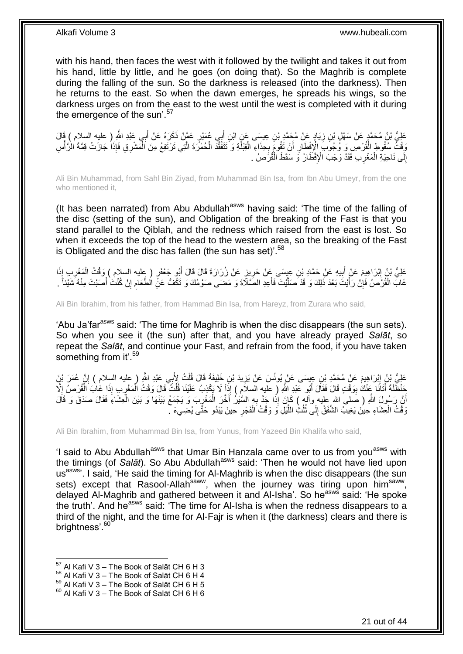with his hand, then faces the west with it followed by the twilight and takes it out from his hand, little by little, and he goes (on doing that). So the Maghrib is complete during the falling of the sun. So the darkness is released (into the darkness). Then he returns to the east. So when the dawn emerges, he spreads his wings, so the darkness urges on from the east to the west until the west is completed with it during the emergence of the sun'.<sup>57</sup>

َ عَلِيُّ بْنُ مُحَمَّدٍ عَنْ سَهْلٍ بْنِ زِيَادٍ عَنْ مُحَمَّدٍ بْنِ عِيسَى عَنِ ابْنِ أَبِي عُمَيْرٍ عَمَّنْ ذَكَرَهُ عَنْ أَبِي عَبْدِ اللَّهِ ( عليه السلام ) قَالَ َ ِ وَقْتُ سُقُوطِ الْقُرْصِ وَ وُجُوَبَ الْإِفْطَارِ أَنْ تَقُومَ بِحِذَاءِ الْقِبْلَةِ وَ تَتَفَقَّدَ الْحُمْرَةَ الَّتِي تَرْتَفِعُ مِنَ الْمَشْرِقِ فَإِذَا جَازَتْ قِمَّةَ الْأَلَّاسِ َّ ْ ْ **∶** َ ِ ْ **ٔ** ْ ْ إِلَى نَاحِيَةِ الْمَغْرِبِ فَقَدْ وَجَبَ الْإِفْطَارُ وَ سَقَطَ الْقُرَْصُ . **∶** ْ ِ

Ali Bin Muhammad, from Sahl Bin Ziyad, from Muhammad Bin Isa, from Ibn Abu Umeyr, from the one who mentioned it,

(It has been narrated) from Abu Abdullah<sup>asws</sup> having said: 'The time of the falling of the disc (setting of the sun), and Obligation of the breaking of the Fast is that you stand parallel to the Qiblah, and the redness which raised from the east is lost. So when it exceeds the top of the head to the western area, so the breaking of the Fast is Obligated and the disc has fallen (the sun has set)<sup>'.58</sup>

عَلِيُّ بْنُ إِبْرَاهِيمَ عَنْ أَبِيهِ عَنْ حَمَّادِ بْنِ عِيِسَى عَنْ حَرِيزٍ عَنْ زُرَارَةَ قَالَ قَالَ أَبُو جَعْفَرٍ ( عِليه السلام ) وَقْتُ الْمَغْرِبِ إِذَا َ **∶ ∣** َ ِ ِ ْ غَابَ الْقُرْصَٰ فَإِنْ رَأَيْتَ بَعْدَ ذَلِكَ وَ قَدْ صَلَّيْتَ فَأَعِدِ الصَّلَاَةَ وَ مَضَى صَوْمُكَ وَ تَكُّفُ عَنِّ الطَّعَامِ إِنْ كُنْتُ أَصَبْتَ مِنْهُ شَيْئاً ۚ َ َّ ِ ْ َ ِ ِ

Ali Bin Ibrahim, from his father, from Hammad Bin Isa, from Hareyz, from Zurara who said,

'Abu Ja'far<sup>asws</sup> said: 'The time for Maghrib is when the disc disappears (the sun sets). So when you see it (the sun) after that, and you have already prayed *Salāt*, so repeat the *Salāt*, and continue your Fast, and refrain from the food, if you have taken something from it'.<sup>59</sup>

عَلِيُّ بِنُ إِبْرَاهِيمَ عَنْ مُحَمَّدِ بْنِ عِيسَى عَنْ يُونُسَ عَنْ يَزِيدَ بْنِ خَلِيفَةَ قَالَ قُلْتُ لِأَبِي عَبْدِ اللَّهِ ( عليه السلام ) إِنَّ عُمَرَ بْنَ ِ ِ ْ ِ َذْظَٰلَةَ أَتَانَا عَنْكَ بِوَقْتٍ قَالَ فَقَالَ أَبُو عَبْدِ اللّهِ ( عليه السلامِ ) إِذَا لَا يَكْذِبُ عَلَيْنَا قُلْتُ قَالَ وَقْتُ الْمَغْرِبِ إِذَا غَابَ الْقُرْصُ إِلَّا ْ َ ِ َ ْ ِ ْ  $\frac{1}{2}$ أَنَّ رَسُولَ اللَّهِ ( صَلى الله عليه وآله ) كَانَ إِذَا جَدَّ بِهِ السَّيْرُ أَخَّرَ الْمَغْرِبَ وَ يَجْمَعُ بَيْنَهَا وَ بَيْنَ الْعِشَاءَ فَقَالَ صَدَقَ وَ قَالَ ِ ْ **∶** ْ وَقْتُ الْعِشَاءِ حِينَ يَغِيبُ الشَّفَقُ إِلَى ثُلُثِ اللَّيْلِ وَ وَقْتُ الْفَجْرِ حِينَ يَبْدُو حَتَّى يُضِيءَ ۖ ْ َّ ُ الموسط المسلمات المسلمات المسلمات المسلمات المسلمات المسلمات المسلمات المسلمات المسلمات المسلمات المسلمات المس<br>مسلمات المسلمات المسلمات المسلمات المسلمات المسلمات المسلمات المسلمات المسلمات المسلمات المسلمات المسلمات المس  $\frac{1}{2}$ ْ ِ

Ali Bin Ibrahim, from Muhammad Bin Isa, from Yunus, from Yazeed Bin Khalifa who said,

'I said to Abu Abdullah<sup>asws</sup> that Umar Bin Hanzala came over to us from you<sup>asws</sup> with the timings (of *Salāt*). So Abu Abdullah<sup>asws</sup> said: 'Then he would not have lied upon us<sup>asws</sup>'. I said, 'He said the timing for Al-Maghrib is when the disc disappears (the sun sets) except that Rasool-Allah<sup>saww</sup>, when the journey was tiring upon him<sup>saww</sup>, delayed Al-Maghrib and gathered between it and Al-Isha'. So he<sup>asws</sup> said: 'He spoke the truth'. And he<sup>asws</sup> said: 'The time for Al-Isha is when the redness disappears to a third of the night, and the time for Al-Fajr is when it (the darkness) clears and there is brightness'.<sup>60</sup>

 $57$  Al Kafi V 3 – The Book of Salāt CH 6 H 3

 $58$  Al Kafi V 3 – The Book of Salāt CH 6 H 4

 $^{59}$  Al Kafi V 3 – The Book of Salāt CH 6 H 5

 $60$  Al Kafi V 3 – The Book of Salāt CH 6 H 6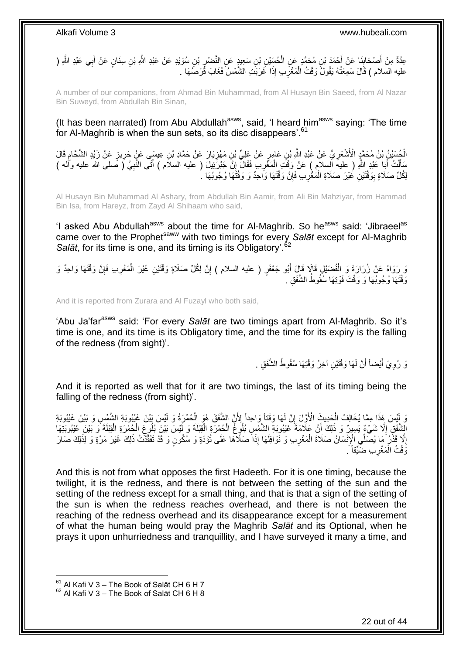عِدَّةٌ مِنْ أَصْحَابِنَا عَنْ أَحْمَدَ بْنِ مُحَمَّدٍ عَنِ الْحُسِّيْنِ بْنِ سَعِيدٍ عَنِ النَّصْبِرِ بْنِ سُوَيْدٍ عَنْ عَبْدِ اللَّهِ بْنِ سِنَانٍ عَنْ أَبِي عَبْدِ اللَّهِ ( ِ ْ َ ِ َ َ عليه السلام ) قَالَ سَمِعْتُهُ يَقُولُ وَقْتُ الْمَغْرِبِ إِذَا غَرَبَتِ الشَّمْسُ فَغَابَ قُرْصُمَهَا . ِ ْ

A number of our companions, from Ahmad Bin Muhammad, from Al Husayn Bin Saeed, from Al Nazar Bin Suweyd, from Abdullah Bin Sinan,

(It has been narrated) from Abu Abdullah<sup>asws</sup>, said, 'I heard him<sup>asws</sup> saying: 'The time for Al-Maghrib is when the sun sets, so its disc disappears'.<sup>61</sup>

الْجُسَيْنُ بِنُ مُحَمَّدٍ الْأَشْعَرِيُّ عَنْ عَبْدِ اللَّهِ بْنِ عَامِرٍ عَنْ عَلِيِّ بْنِ مَهْزِيَارَ عَنْ حَمَّادِ بْنِ عِيسَى عَنْ حَرِيزٍ عَنْ زَيْدٍ الشَّحَّامِ قَالَ ِ ِ ِ ِ سَأَلْتُ أَبَا عَبْدِ اللّهِ ( عليه السلام ) عَنْ وَقْتَ الْمَغْرِبِ فَقَالَ إِنَّ جَبْرَنِيلَ ( عليه السلام ) أَتَى النَّبِيَّ ( صَلى الله عليه وأله ) َ ْ َ ِ َ ِ **∶** ْ لِكُلِّ صَلَاةٍ بِوَقْتَيْنِ غَيْرَ صَلَاةِ الْمَغْرِبِ فَإِنَّ وَقْتَهَا وَاحِدٌ وَ وَقْتَهَا وُجُوبُهَا ۚ. ِ **∶** ْ ِ

Al Husayn Bin Muhammad Al Ashary, from Abdullah Bin Aamir, from Ali Bin Mahziyar, from Hammad Bin Isa, from Hareyz, from Zayd Al Shihaam who said,

'I asked Abu Abdullah<sup>asws</sup> about the time for Al-Maghrib. So he<sup>asws</sup> said: 'Jibraeel<sup>as</sup> came over to the Prophet<sup>saww</sup> with two timings for every Salat except for Al-Maghrib Salāt, for its time is one, and its timing is its Obligatory<sup>'.62</sup>

وَ رِرَوَاهُ عَنْ زُرَارَةَ وَ الْفُضَيْلِ قَالَا قَالَ أَبُو جَعْفَرٍ ( عليه السلام ) إِنَّ لِكُلِّ صَلَاةٍ وَقْتَيْنِ غَيْرَ الْمَغْرِبِ فَإِنَّ وَقْتَهَا وَاحِدٌ وَ ِ َ ْ ِ ِ ْ وَقْتَهَا وُجُوبَهَا وَ وَقْتَ فَوْتِهَا سُفُوطُ الشَّفَقِ ۚ

And it is reported from Zurara and Al Fuzayl who both said,

'Abu Ja'far<sup>asws</sup> said: 'For every Salat are two timings apart from Al-Maghrib. So it's time is one, and its time is its Obligatory time, and the time for its expiry is the falling of the redness (from sight)'.

> نَ رُوِيَ أَيْضاً أَنَّ لَهَا وَقْتَيْنِ آخِرُ وَقْتِهَا سُقُوطُ الشَّفَقِ . َ َ ِ

And it is reported as well that for it are two timings, the last of its timing being the falling of the redness (from sight)'.

رَ لَيْسَ هَذَا مِمَّا يُخَالِفُ الْحَدِيثَ الْأَوَّلَ إِنَّ لَمَا وَقْتَاً وَاحِداً لِأَنَّ الشَّفَقَ هُوَ الْحُمْرَةُ وَ لَيْسَ بَيْنَ غَيْبُوبَةِ الشَّمْسِ وَ بَيْنَ غَيْبُوبَةِ<br>وَ يَنِّس هَذَا مِمَّا يُخَالِفُ الْزَرِ يْسَ هَذَا مِمَّا يُخَالِفُ الْحَدِيثِ الْأَوَّلَ إِنَّ لَمَا وَقْتَاً وَاحِداً لِأَنَّ الشَّفَقَ هُوَ الْحُمْرَةُ وَ لَيْسَ بَيْنَ غَيْبُوبَةِ الشَّمْ ْ ِ ْ الشَّفَقِ إِلَّا شَيْءٌ يَسِيدٌ وَ ذَلِكَ أَنَّ عَلَامَةَ غَيْبُوبَةِ الشَّمْسِ بُلُوعُ الْحُمْرَةِ الْقِيْلَةَ وَ لَيْسَ بَيْنَ بُلُوعٍ الْكُمْرَةِ الْقِيْلَةَ وَ بَيْنَ بِتَلْقِيْلَةَ وَ بَيْنَ ِ َ **ٔ** ْ ْ ِ ْ ْ إِلَّا قَذْرُ مَا يُصَلِّي الْإِنْسَانُ صَلَاةَ الْمَغْرِبِ وَ نَوَافِلَهَا إِذَا صَلَّاهَا عَلَى تُؤَدَّةٍ وَ سُكُونٍ وَ قَدْ تَفَقَّدَتُ ذَلِكَ غَيْرَ مَرَّةٍ وَ لِذَلِكَ صَارَ ِ ْ ِ وَفْتُ الْمَغْرِبِ ضَيِّقاً َ **∶** ْ

And this is not from what opposes the first Hadeeth. For it is one timing, because the twilight, it is the redness, and there is not between the setting of the sun and the setting of the redness except for a small thing, and that is that a sign of the setting of the sun is when the redness reaches overhead, and there is not between the reaching of the redness overhead and its disappearance except for a measurement of what the human being would pray the Maghrib *Salāt* and its Optional, when he prays it upon unhurriedness and tranquillity, and I have surveyed it many a time, and

 $61$  Al Kafi V 3 – The Book of Salāt CH 6 H 7

 $62$  Al Kafi V 3 – The Book of Salāt CH 6 H 8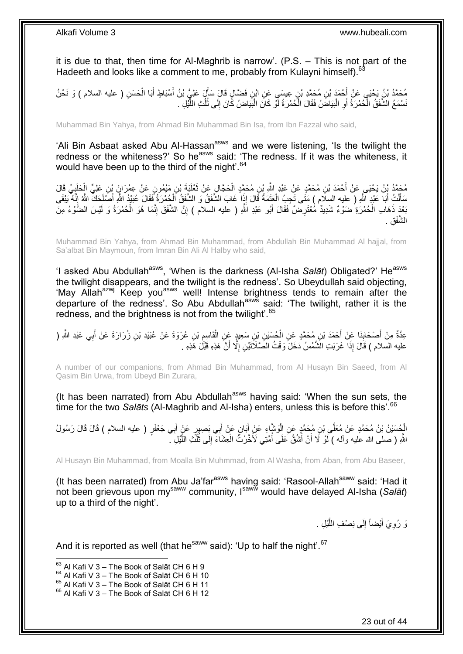it is due to that, then time for Al-Maghrib is narrow'. (P.S. – This is not part of the Hadeeth and looks like a comment to me, probably from Kulayni himself).<sup>63</sup>

مُحَمَّدُ بْنُ يَحْيَى عَنْ أَحْمَدَ بْنِ مُحَمَّدِ بْنِ عِيسَى عَنِ ابْنِ فَضَّالٍ قَالَ سَأَلَ عَلِيُّ بْنُ أَسْبَاطٍ أَبَا الْحَسَنِ ( عليه السلام ) وَ نَحْنُ<br>. َ َ َ ْ َسْمَعُ الشَّفَقُ الْحُمْرَةُ أَوِ الْبَيَاضُ فَقَالَ الْحُمْرَةُ لَوْ كَانَ الْبَيَاضُ كَانَ إِلَى ثَلْثِ اللَّيْلِ ْ ا.<br>ا **∶** اً ْ َّ ُ ُ  $\frac{1}{2}$ ْ

Muhammad Bin Yahya, from Ahmad Bin Muhammad Bin Isa, from Ibn Fazzal who said,

'Ali Bin Asbaat asked Abu Al-Hassan<sup>asws</sup> and we were listening, 'Is the twilight the redness or the whiteness?' So he<sup>asws</sup> said: 'The redness. If it was the whiteness, it would have been up to the third of the night'.<sup>64</sup>

مُحَمَّدُ بِنُ يَحْيَى عَنْ أَحْمَدَ بْنِ مُحَمَّدٍ عَنْ عَبْدِ اللَّهِ بْنِ مُحَمَّدٍ الْحَجَّالِ عَنْ ثَعْلَيَةَ بْنِ مَيْمُونِ عَنْ عِمْرَانَ بِنِ عَلِيٍّ الْحَلَيِيِّ قَالَ<br>مُعَلَّمُ بِنُ يَحْيَى عَنْ أَحْمَدَ بْنِ مُح  $\ddot{\cdot}$ ْ ْ مَأَلْتُ أَبَا عَبْدِ اللَّهِ ( عليه السِلَام ) مَتَى تَجِبُ الْعَتَمَةُ قَالَ إِذَا غَابَ الشَّفَقُ وَ الشَّفَقُ الْحُمْرَةُ فَقَالَ عُبَيْدُ اللَّهِ أَصَلَحَكَ اللَّهُ إِنَّهُ يَبْقَى ْ ْ َ ْ ِ َ بَعْدَ ذَهَابِ الْحُمْرَةِ ضَوْءٌ شَدِيدٌ مُعْتَرِضٌ فَقَالَ أَبُو عَبْدِ اللّهِ ( عليه السلام ) إِنَّ الشَّفَقَ إِنَّمَا هُوَ الْحُمْرَةُ وَ لَيْسَ الضَّوْءُ مِنَ ِ ْ ْ ِ ِ َ الشَّفَقِ .

Muhammad Bin Yahya, from Ahmad Bin Muhammad, from Abdullah Bin Muhammad Al hajjal, from Sa'albat Bin Maymoun, from Imran Bin Ali Al Halby who said,

'I asked Abu Abdullah<sup>asws</sup>, 'When is the darkness (Al-Isha *Salāt*) Obligated?' He<sup>asws</sup> the twilight disappears, and the twilight is the redness'. So Ubeydullah said objecting, 'May Allah<sup>azwj</sup> Keep you<sup>asws</sup> well! Intense brightness tends to remain after the departure of the redness'. So Abu Abdullah<sup>asws</sup> said: 'The twilight, rather it is the redness, and the brightness is not from the twilight'.<sup>65</sup>

عِدَّةٌ مِنْ أَصْحَابِنَا عَنْ أَحْمَدَ بْنِ مُحَمَّدٍ عَنِ الْمُسَيْنِ بْنِ سَعِيدٍ عَنِ الْقَاسِمِ بْنِ عُرْوَةَ عَنْ عُبَيْدِ بْنِ زُرَارَةَ عَنْ أَبِي عَبْدِ اللَّهِ ( ِ ْ ْ َ **ِ** َ َ عليه السلام ) قَالَ إِذَا غَرَبَتِ الشَّمْسُ دَخَلَ وَقْتُ الصَّلَاَتَيْنِ إِلَّا أَنَّ هَذِهِ قَبْلَ هَذِهِ . َ ِ

A number of our companions, from Ahmad Bin Muhammad, from Al Husayn Bin Saeed, from Al Qasim Bin Urwa, from Ubeyd Bin Zurara,

(It has been narrated) from Abu Abdullah<sup>asws</sup> having said: 'When the sun sets, the time for the two *Salāts* (Al-Maghrib and Al-Isha) enters, unless this is before this<sup>'66</sup>

الْجُسَيْنُ بْنُ مُحَمَّدٍ عَنْ مُعَلَّى بْنِ مُحَمَّدٍ عَنِ الْوَشَّاءِ عَنْ أَبَانٍ عَنْ أَبِي بَِصِبِيرٍ عَنْ أَبِي جَعْفَرٍ ( عليه السلام ) قَالَ قَالَ رَسُولُ َ َ َ ْ اللَّهِ ( صلى الله عليه وآله ) لَوْ لَا أَنْ أَشُقَّ عَلَى أُمَّنِي لَأَخَّرْتُ الْعِشَاءَ إِلَى ثُلُّثَ اللَّيْلِ ۖ َّ ُ ُ ِ ْ ا<br>ا َ

Al Husayn Bin Muhammad, from Moalla Bin Muhmmad, from Al Washa, from Aban, from Abu Baseer,

(It has been narrated) from Abu Ja'far<sup>asws</sup> having said: 'Rasool-Allah<sup>saww</sup> said: 'Had it not been grievous upon mysaww community, Isaww would have delayed Al-Isha (*Salāt*) up to a third of the night'.

> وَ رُوِيَ أَيْضاً إِلَى نِصْفِ اللَّيْلِ . رُّ<br>ا  $\frac{1}{2}$ َ ِ

And it is reported as well (that he<sup>saww</sup> said): 'Up to half the night'.<sup>67</sup>

<sup>1</sup>  $63$  Al Kafi V 3 – The Book of Salāt CH 6 H 9

 $64$  Al Kafi V 3 – The Book of Salāt CH 6 H 10

 $65$  Al Kafi V  $3 -$  The Book of Salāt CH 6 H 11

<sup>&</sup>lt;sup>66</sup> Al Kafi V 3 – The Book of Salāt CH 6 H 12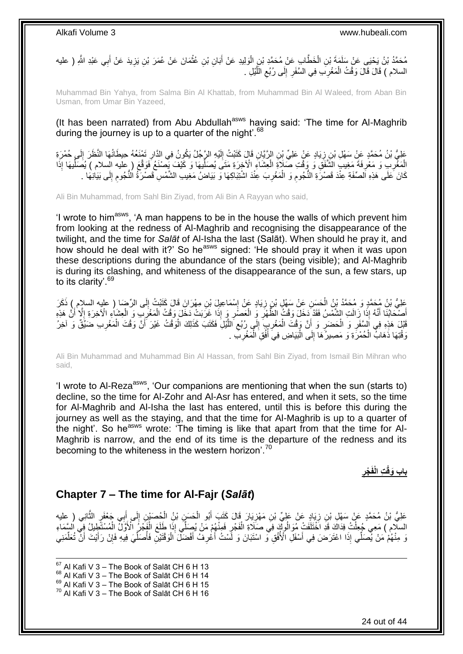مُحَمَّدُ بْنُ يَحْيَى عَنْ سَلَمَةَ بْنِ الْخَطَّابِ عَنْ مُحَمَّدِ بْنِ الْوَلِيدِ عَنْ أَبَانِ بْنِ عُثْمَانَ عَنْ عُمَرَ بْنِ يَزِيدَ عَنْ أَبِي عَبْدِ اللَّهِ ( عليه **ٔ** َ ْ ْ َ **∶** السلام ) قَالَ قَالَ وَقْتُ الْمَغْرِبَ فِي السَّفَرِ إِلَى رُبُعِ اللَّيْلِ . َّ ِ יִי<br>י ِ ِ ْ

Muhammad Bin Yahya, from Salma Bin Al Khattab, from Muhammad Bin Al Waleed, from Aban Bin Usman, from Umar Bin Yazeed,

(It has been narrated) from Abu Abdullah<sup>asws</sup> having said: 'The time for Al-Maghrib during the journey is up to a quarter of the night'. $68$ 

عَلِيُّ بْنُ مُحَمَّدٍ عَنْ سَهْلِ بْنِ زِيَادٍ عَنْ عَلِيِّ بْنِ الرَّيَّانِ قَالَ كَتَبْتُ إِلَيْهِ الرَّجُلُ يَكُونُ فِي الدَّارِ تَمْنَعُهُ حِيطَانُهَا النَّظَرَ إِلَي حُمْرَةِ لَ ∣∣<br>∶ ِ ِ لَ ِ الْمَغْرِبِ وَ مَعْرِفَةَ مَغِيبٍ الشَّفَقِ وَ وَقْتِ صَلاَةٍ الْعِشَاءِ الْآخِرَةِ مَتَى يُصنَلْيهَا وَ كَيْفَ يَصنَعُ فَوَقَّعَ ( عليه السلام ) يُصَلِّيها إِذَا ِّ ْ ِ **∶** ْ ِّ كَانَ عَلَى هَذِهِ اَلصّفَةِ عِنْدَ قَصْرَةِ النَّجُومِ وَ الْمَغْرِبَ عِنْدَ اشْتِبَاكِهَا وَ بَيَاضُ مَغِيبِ الشَّمْسِ قَصْرَةُ النَّجُومِ إِلَى بَيَانِهَا . ِ ِ ِ ْ ِ

Ali Bin Muhammad, from Sahl Bin Ziyad, from Ali Bin A Rayyan who said,

'I wrote to him<sup>asws</sup>, 'A man happens to be in the house the walls of which prevent him from looking at the redness of Al-Maghrib and recognising the disappearance of the twilight, and the time for *Salāt* of Al-Isha the last (Salāt). When should he pray it, and how should he deal with it?' So he<sup>asws</sup> signed: 'He should pray it when it was upon these descriptions during the abundance of the stars (being visible); and Al-Maghrib is during its clashing, and whiteness of the disappearance of the sun, a few stars, up to its clarity'.<sup>69</sup>

َعْلِيُّ بْنُ هُحَمَّدٍ وَ مُحَمَّدُ بْنُ الْحَسَنِ عَنْ سَهْلِ بْنِ زِيَادٍ عَنْ إِسْمَاعِيلَ بْنِ مِهْرَانَ قَالَ كَتَبْتُ إِلَى الرِّضَا ( عليه السلام ) ذَكَرَ<br>عَلِيُّ بْنُ مُحَمَّدٍ وَ مُحَمَّدُ بْنُ الْحَسَنِ عَنْ سَه ِ ِ ِ َّضَّكَابُنَا أَنَّهُ إِذَا زَالَتِ الشَّمْسُ فَقَدْ دَخَلَ وَقْتُ الظُّهْرِ وَ الْعَصْلَرِ وَ إِذَا غَرَبَتْ دَخَلَ وَقْتُ الْمَغْرَبِ وَ الْعِشَاءِ الْآخِرَةِ إِلَّا أَنَّ هَذِهِ ْ **∶** ْ **∶** ا<br>ا َ ْ ِ َ ا<br>: قَبْلَ هَذِهِ فِي اَلِسَّفَرِ وَ الْحَضَرِ وَ أَنَّ وَقْتَ الْمَغْرِبِ إِلَى رُبُعِ اللَّيْلِ فَكَتَبَ كَذَلِكَ الْوَقْتُ غَيْرَ أَنَّ وَقْتَ الْمَغْرِبِ ضَيَّقٌ وَ آخِرُ ْ َّ ِ ِ **∶** ْ ِ ْ ِ ِ ْ َ لَ ِ وَقْتِهَا ذَهَابٌ الْحُمْرَةِ وَ مَصِيرُ َهَا إِلَى الْبَيَاضِ فِيَ أَفُقِ الْمَغْرِبِّ . ْ ِ ْ اً<br>ا ْ

Ali Bin Muhammad and Muhammad Bin Al Hassan, from Sahl Bin Ziyad, from Ismail Bin Mihran who said,

'I wrote to AI-Reza<sup>asws</sup>, 'Our companions are mentioning that when the sun (starts to) decline, so the time for Al-Zohr and Al-Asr has entered, and when it sets, so the time for Al-Maghrib and Al-Isha the last has entered, until this is before this during the journey as well as the staying, and that the time for Al-Maghrib is up to a quarter of the night'. So he<sup>asws</sup> wrote: 'The timing is like that apart from that the time for Al-Maghrib is narrow, and the end of its time is the departure of the redness and its becoming to the whiteness in the western horizon'.<sup>70</sup>

> **ِ ْجر ِت الْفَ باب َوقْ**

## <span id="page-23-0"></span>**Chapter 7 – The time for Al-Fajr (***Salāt***)**

 $\frac{1}{2}$ عَلِيُّ بْنُ مُحَمَّدٍ عَنْ سَهْلِ بْنِ زِيَادٍ عَنْ عَلِيٍّ بْنِ مَهْزِيَارَ قَالَ كَتَبَ أَبُو الْحَسَنِ بْنُ الْجُصَنْيِنِ إِلَى أَبِي جَعْفَرٍ الثَّانِي ( عليه ْ ْ َ ِ ِ َّ َ السلَّامِ ) مَعِي ُجُعِلْتُ فِدَاكَ قَدِّ اخْتَلَفَتْ مُوَالُوثَةِ فَي صَلَّاةِ الْفَجْرِ فَمِنْهُمْ مَنْ يُصَلِّي إِذَا طَلَعَ الْفَجْرُ الْأَوَّلُ الْمُسْتَطِيلُ فِي السَّمَاءِ ْ ْ ْ ِ ْ وَ قُتْيُنِ فَأَصَلِّي إِذَا اعْتَرَضَ فِي أَسْفَلِّ الْأُفُقِ وَ اسْتَبَانَ وَ لَّسْتُ أَعْرِفُ أَفْضَلَّ الْوَقْتَيْنِ فَأُصَلِّيَ فِيهِ فَإِنْ رَأَيْتَ أَنَّ تُعَلِّمَنِيَ ْ َ **∶** َ اُ، ِّ َ َ ِ ِّ ُ

 $67$  Al Kafi V 3 – The Book of Salāt CH 6 H 13  $68$  Al Kafi V 3 – The Book of Salāt CH 6 H 14

1

 $69$  Al Kafi V  $3 -$  The Book of Salāt CH 6 H 15

 $70$  Al Kafi V 3 – The Book of Salāt CH 6 H 16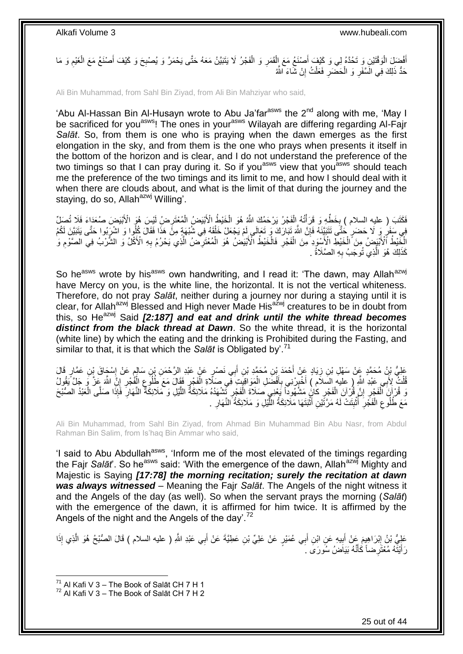أَفْضِلَ الْوَقْتَيْنِ وَ تَحُدَّهُ لِي وَ كَيْفَ أَصْنَعُ مَعَ إِلْقَمَرِ وَ الْفَجْرُ لَا يَتَبَيَّنُ مَعَهُ حَتَّى يَحْمَرَّ وَ يُصْبِحَ وَ كَيْفَ أَصْنَعُ مَعَ الْغَيْمِ وَ مَا ْ **∶** ْ َ ْ َ ِ ْ َ **∶** حَدُّ ذَلِكَ فِي الۡسَّفَرِ وَ الْحَضَّرِ فَعَلْتُ إِنْ شَّاءَ اللَّهُ יֲ<br>י ْ ِ ْ ِ

Ali Bin Muhammad, from Sahl Bin Ziyad, from Ali Bin Mahziyar who said,

'Abu Al-Hassan Bin Al-Husayn wrote to Abu Ja'far<sup>asws</sup> the 2<sup>nd</sup> along with me, 'Mav I be sacrificed for you<sup>asws</sup>! The ones in your<sup>asws</sup> Wilayah are differing regarding Al-Fajr *Salāt*. So, from them is one who is praying when the dawn emerges as the first elongation in the sky, and from them is the one who prays when presents it itself in the bottom of the horizon and is clear, and I do not understand the preference of the two timings so that I can pray during it. So if you<sup>asws</sup> view that you<sup>asws</sup> should teach me the preference of the two timings and its limit to me, and how I should deal with it when there are clouds about, and what is the limit of that during the journey and the staying, do so, Allah<sup>azwj</sup> Willing'.

فَكَتَبَ ( عليه السلام ) بِخَطِّهِ وَ قَرَأْتُهُ اِلْفَجْرُ يَرْحَمُكَ اللَّهُ هُوَ الْخَيْطُ الْأَبْيَضُ الْمُعْتَرِضِ لَيْسَ هُوَ الْأَبْيَضَ صُعَدَاءَ فَلَا تُصَلِّ ْ ֪ׅ֪ׅ֪ׅ֪ׅ֦֧֪ׅ֧֪ׅ֦֧֪ׅ֦֧֪ׅ֧֪ׅ֦֧֪ׅ֧֪ׅ֪ׅ֘֝֟֟֓֕֓֕֓֡֟֓֡֟֓֟֓֡֟֓֡֟֟֓֡֟֡֟֓֡֟֟֓֞֟֡֟֟֓֞֟֡֟֡֟֓֞֟֡֟֡֟֓֞֟֓֞֟֓֞֟֓֞֟֟֓֞֟֓֞֟֟֓֟֟ ِ ِ ْ ْ فِي سَفَرٍ وَ لَا حَضَرٍ خُتَّى تَتَبَيَّنَهُ فَإِنَّ اللَّهَ تَبَارَكَ وَ تَعَالَى لَمْ يَجْعَلْ خَلْقَهُ فِي شُبْهَةٍ مِنَّ هَذَا فَقَالَ كُلُوا وَ اشْرَبُوا حَتَّى يَتَبَيَّنَ لَكُمُ<br>وَمَنْ يَقْلِمُ مِنْ الْمَرْضَلِ حَ ْ ِ **∶** الْخَيْطُ ٱلْأَبْيَضُ مِنَ ٱلْخَيْطِ الْأَسْوَدِ مِنَ الْفَجْرِ فَالْخَيْطُ الْأَبْيَضُ هُوَ الْمُعْتَرِضَ الْأَي يَحْرُمُ بِهِ الْأَكْلُ وَ الشُّرْبُ فِي الصَّوْمِ وَ َّ ِ ْ ْ **∶** ْ ْ ِ كَذَلِكَ هُوَ الَّذِي تُوجَبُ بِهِ الصَّلَاةُ . **∶** ر<br>ا

So he<sup>asws</sup> wrote by his<sup>asws</sup> own handwriting, and I read it: 'The dawn, may Allah<sup>azwj</sup> have Mercy on you, is the white line, the horizontal. It is not the vertical whiteness. Therefore, do not pray *Salāt*, neither during a journey nor during a staying until it is clear, for Allah<sup>azwj</sup> Blessed and High never Made His<sup>azwj</sup> creatures to be in doubt from this, so He<sup>azwj</sup> Said *[2:187] and eat and drink until the white thread becomes distinct from the black thread at Dawn*. So the white thread, it is the horizontal (white line) by which the eating and the drinking is Prohibited during the Fasting, and similar to that, it is that which the *Salāt* is Obligated by'.<sup>71</sup>

عَلِيُّ بْنُ مُحَمَّدٍ عَنْ سَهْلِ بْنِ زِيَادٍ عَنْ أَحْمَدَ بْنِ مُحَمَّدِ بْنِ أَبِي نَصْرٍ عَنْ عَبْدِ الرَّحْمَنِ بْنِ سَالِمٍ عَنْ إِسْجَاقَ بْنِ عَمَّارٍ قَالَ<br>وَأَنْجَمَعُ اللَّهُ عَنْ سَهْلِ بْنِ زِيَادٍ عَنْ أَح َ **∶**  $\frac{1}{2}$ ֧֚֚֚֓֝֬֝ ِ قُلْتُ لِأَبِي عَبْدِ اللَّهِ ( عليه السّلاَم ) أَخْبِرْنِي بِأَفْضَلِ الْمَوَاقِيَّتِ فَي صَلَّاةِ الْفَجْرِ قَقَالَ مَعَ طُلُوعِ الْفُجْرِ إِنِّ اللَّهَ عَنْ ً وَ جَلَّ يَقُولُ ِ ْ ْ َ ِ ِ َ ْ ِ ِ ْ ِّ قُرْآنَ الْفَجْرِ ۚ إِنَّ قُرْآنَ الْفَجْرِ كَانٍ مَشْهُوداً يَعْنِي صَلَاةَ الْفَجْرِ ثَشْهَدُهُ مَلَائِكَةُ اللَّيْلِ وَ مَلَائِكَةٌ النَّهَارَ فَإِذَا صَلَّى الْعَبْدُ الصُّبْحَ<br>يَسْتُمْلُلُ الْفَجْرِ إِنَّ فَالْفَج ِ ِ ْ ِ َّ ِ ْ ْ مَعَ طُلُوعِ الْفَجْرِ ۖ أُثْبِتَتْ لَهُ مَرَّتَيْنِ أَثْبَتَهَا مَلَائِكَةُ اللَّيْلِ وَ مَلَائِكَةُ النَّهَارِ ۚ . َّ ֦֘<u>֓</u>֖֖֖֦֧֦֦֧֦֚֝֝֝ َ ِ **ٔ** ُ **∶** ْ ِ ِ

Ali Bin Muhammad, from Sahl Bin Ziyad, from Ahmad Bin Muhammad Bin Abu Nasr, from Abdul Rahman Bin Salim, from Is'haq Bin Ammar who said,

'I said to Abu Abdullah<sup>asws</sup>, 'Inform me of the most elevated of the timings regarding the Fajr Salāt<sup>'</sup>. So he<sup>asws</sup> said: 'With the emergence of the dawn, Allah<sup>azwj</sup> Mighty and Majestic is Saying *[17:78] the morning recitation; surely the recitation at dawn was always witnessed* – Meaning the Fajr *Salāt*. The Angels of the night witness it and the Angels of the day (as well). So when the servant prays the morning (*Salāt*) with the emergence of the dawn, it is affirmed for him twice. It is affirmed by the Angels of the night and the Angels of the day'.<sup>72</sup>

عَلِيُّ بْنُ إِبْرَاهِيمَ عَنْ أَبِيهِ عَنِ ابْنِ أَبِي عُمَيْرٍ عَنْ عَلِيِّ بْنِ عَطِيَّةَ عَنْ أَبِي عَبْدِ اللَّهِ ( عليه السلام ) قَالَ الصُّبْحُ هُوَ الَّذِي إِذَا َ **!** َ ِ َّ َ رَأَيْتُهُ مُعْتَرِضاً كَأَنَّهُ بَيَاَضُ سُورَى كَ َ َ

 $^{71}$  Al Kafi V 3 – The Book of Salāt CH 7 H 1

 $72$  Al Kafi V 3 – The Book of Salāt CH 7 H 2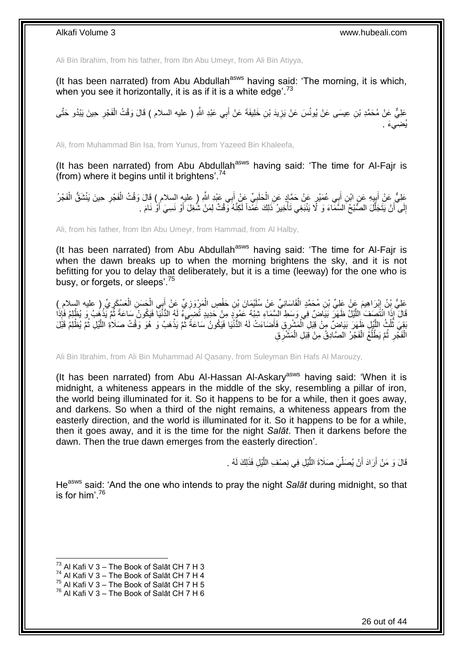Ali Bin Ibrahim, from his father, from Ibn Abu Umeyr, from Ali Bin Atiyya,

(It has been narrated) from Abu Abdullah $a<sup>asws</sup>$  having said: 'The morning, it is which, when you see it horizontally, it is as if it is a white edge'.<sup>73</sup>

عَلِيٌّ عَنْ مُحَمَّدِ بْنِ عِيسَى عَنْ يُونُسَ عَنْ يَزِيدَ بْنِ خَلِيفَةَ عَنْ أَبِي عَبْدِ اللَّهِ ( عليه السلام ) قَالَ وَقْتُ الْفَجْرِ حِينَ يَبْدُو حَتَّى **∶** ْ ِ يُضِيءَ .

Ali, from Muhammad Bin Isa, from Yunus, from Yazeed Bin Khaleefa,

(It has been narrated) from Abu Abdullah $^{asws}$  having said: 'The time for Al-Fajr is (from) where it begins until it brightens'.<sup>74</sup>

عَلِيٌّ عَنْ أَبِيهِ عَنِ ابْنِ أَبِي عُمَيْرٍ عَنْ حَمَّادٍ عَنِ الْحَلَبِيِّ عَنْ أَبِي عَبْدِ اللَّهِ ( عليه السلام ) قَالَ وَقْتُ الْفَجْرِ حِينَ يَنْشَقُّ الْفَجْرُ. ¦ ِ ْ َ **∶** ْ َ ْ إِلَى أَنْ يَتَجَلَّلَ الصَّنْبُحُ السَّمَاءَ وَ لَا يَنْبَغِي تَأْخِيرُ ۚ ذَلِكَ عَمْداً لَكِنَّهُ وَفْتٌ لِمَنْ شُغِلَ أَوْ نَسِيَ أَوْ نَامَ . لَ ا<br>ا َّ َ ِ َ َ

Ali, from his father, from Ibn Abu Umeyr, from Hammad, from Al Halby,

(It has been narrated) from Abu Abdullah $a<sup>asws</sup>$  having said: 'The time for Al-Fajr is when the dawn breaks up to when the morning brightens the sky, and it is not befitting for you to delay that deliberately, but it is a time (leeway) for the one who is busy, or forgets, or sleeps'.<sup>75</sup>

َعْلِيُّ بِنُ إِبْرَاهِيمَ عَنْ عَلِيِّ بْنِ مُحَمَّدٍ الْقَاسَانِيِّ عَنْ سُلَيْمَانَ بْنِ حَفْصٍ الْمَرْوَزِيِّ عَنْ أَبِي الْحَسَنِ الْعَسْكَرِيِّ ( عليه السلام )<br>حَفْلُ بِنُ إِبْرَاهِيمَ عَنْ عَلِيِّ بْنِ مُحَمَّدٍ الْ َ ِ ْ ْ ِ ِ ْ قَالَ إِذَا انْتَصَفَ اللَّيْلَ ظَهَرَ بَيَاضٌ فِي وَسَطِ الشِّمَاءِ شِبْهُ عَمُودٍ مِنْ حَدِيدٍ تُضَعِيَّهُ لَهُ الدُّنْيَا فَيَكُونُ سَاعَةً ثُمَّ يَذْهُبُ وَ يُظْلِمُ فَإِذَا َّ **ٔ** ُ يَقِيَ ثُلُثُ اللَّيْلِ ظَهَرَ بَيَاضٍ ۖ مِنْ قِبَلِ ٱلْمَشْرِقِ فَأَصَاءَتْ لَهُ الدُّنْيَا فَيَكُونُ سَاعَةً ثُمَّ يَذْهَبُ وَ هُوَ وَقْتُ صَلَاةِ اللَّيْلِ ثُمَّ يُظْلِمُ قَبْلَ َّ ُ ُ َّ **ٔ** ا<br>المقامات<br>المقامات َ ْ الْفَجْرِ ثُمَّ يَطْلُعُ الْفَجْرُ الْصَّادِقُ مِنْ قِيَلِ الْمَشَّرِقِ ْ ْ ٔ<br>ا ا ماہ<br>سال ِ ْ

Ali Bin Ibrahim, from Ali Bin Muhammad Al Qasany, from Suleyman Bin Hafs Al Marouzy,

(It has been narrated) from Abu Al-Hassan Al-Askary<sup>asws</sup> having said: 'When it is midnight, a whiteness appears in the middle of the sky, resembling a pillar of iron, the world being illuminated for it. So it happens to be for a while, then it goes away, and darkens. So when a third of the night remains, a whiteness appears from the easterly direction, and the world is illuminated for it. So it happens to be for a while, then it goes away, and it is the time for the night *Salāt*. Then it darkens before the dawn. Then the true dawn emerges from the easterly direction'.

> قَالَ وَ مَنْ أَرَادَ أَنْ يُصَلِّيَ صَلَاةَ اللَّيْلِ فِي نِصْفِ اللَّيْلِ فَذَلِكَ لَهُ . َّ َّ ِّ

He<sup>asws</sup> said: 'And the one who intends to pray the night *Salāt* during midnight, so that is for him' $^{76}$ 

 $^{73}$  Al Kafi V 3 – The Book of Salāt CH 7 H 3

 $74$  Al Kafi V 3 – The Book of Salāt CH 7 H 4

 $^{75}$  Al Kafi V 3 – The Book of Salāt CH 7 H 5

 $76$  Al Kafi V 3 – The Book of Salāt CH 7 H 6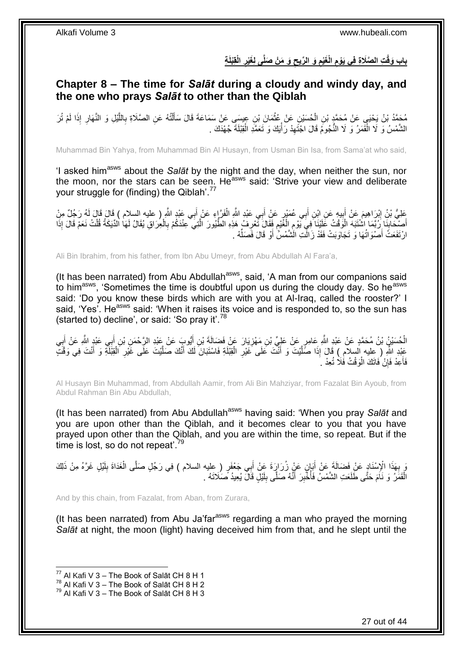## باب وَقْتِ الصَّلَاةِ فِى يَوْمِ الْغَيْمِ وَ الرِّيحِ وَ مَنْ صَلَّى لِغَيْرِ الْقِبْلَةِ **ِ ِ ِ ِ**

# <span id="page-26-0"></span>**Chapter 8 – The time for** *Salāt* **during a cloudy and windy day, and the one who prays** *Salāt* **to other than the Qiblah**

مُحَمَّدُ بْنُ يَحْيَى عَنْ مُحَمَّدٍ بْنِ الْحُسَيْنِ عَنْ عُثْمَانَ بْنِ عِيسَى عَنْ سَمَاعَةَ قَالَ سَأَلْتُهُ عَنِ الصَّلَاةِ بِاللَّيْلِ وَ النَّهَارِ إِذَا لَمْ تُرَ َّ **∶** ْ َ ْ ْ ِ الشَّمْسُ وَ لَا الْقَمَرُ وَ لَا النَّجُومُ قَالَ اجْتَهِدْ رَأْيَكَ وَ تَعَمَّدِ الْقِبْلَةَ جُهْدَكَ . ْ ْ ِ ْ

Muhammad Bin Yahya, from Muhammad Bin Al Husayn, from Usman Bin Isa, from Sama'at who said,

'I asked himasws about the *Salāt* by the night and the day, when neither the sun, nor the moon, nor the stars can be seen. He<sup>asws</sup> said: 'Strive your view and deliberate your struggle for (finding) the Qiblah'.<sup>77</sup>

عَلِيُّ بْنُ إِبْرَاهِيمَ عَنْ أَبِيهٍ عَنِ اِبْنِ أَبِي عُمَيْرٍ عَنْ أَبِي عَبْدِ اللَّهِ الْفَرَّإِءِ عَنْ أَبِي عَبْدٍ اللَّهِ ( عليه السلام ) قَالَ قَالَ لَهُ رَجُلٌ مِنْ َ ْ َ **!** َ ِ أَصِنْحَابِنَا زُرُّبَمَا اشْتَبَهَ الْوَقْتُ عَلَيْنَا َفِي يَوْمِ الْغُيْمِ فَقَالَ تَتْعِرِفُ هَذِهِ الطَّيُورَ الَّتَنِيَّ عِنْدَكُمْ بِالْعِرَاقِ يُقَالُ لَهَا الْدِّيَكَةُ قُلْتُ نَعَمْ قَالَ إِذَا  $\frac{1}{2}$ ْ **∶** َّ ِ ِ ْ ِ ْ ْ لَ ارْتَفَعَتُ أَصْوَاتُهَا وَ تَجَاوَبَتْ فَقَدْ زَالَّتِ الَشَّمْسُ أَوْ قَالَ فَصَلَّهْ . ِّ اُ

Ali Bin Ibrahim, from his father, from Ibn Abu Umeyr, from Abu Abdullah Al Fara'a,

(It has been narrated) from Abu Abdullah<sup>asws</sup>, said, 'A man from our companions said to him<sup>asws</sup>, 'Sometimes the time is doubtful upon us during the cloudy day. So he<sup>asws</sup> said: 'Do you know these birds which are with you at Al-Iraq, called the rooster?' I said, 'Yes'. He<sup>asws</sup> said: 'When it raises its voice and is responded to, so the sun has (started to) decline', or said: 'So pray it'.<sup>78</sup>

الْحُسَيْنُ بْنُ مُحَمَّدٍ عَنْ عَبْدِ اللَّهِ عَامِرٍ عَنْ عَلِيٍّ بْنِ مَهْزِيَارَ عَنْ فَضَالَةَ بْنِ أَيُّوبَ عَنْ عَبْدِ الرَّحْمَنِ بْنِ أَبِي عَبْدٍ اللَّهِ عَنْ أَبِي ْ َ َ ِ ِ َ َّ عَبْدِ اللَّهِ ( عِليه السلام ) قَالَ إِذَا صَلَّيْتَ وَ أَنْتَ عَلَى غَيْرِ الْقِبْلَةِ فَاسْتَبَانَ لَكَ أَنَّكَ صَلَّيْتَ عَلَى غَيْرِ الْقِبْلَةِ وَ أَنْتَ فِي وَقْتَ َ ْ **∶** َ َّ َ ْ ِ فَأَعِدْ فَإِنْ فَاتَكَ الْوَقْتُ فَلَا تُعِدْ كَ ْ ِ َ

Al Husayn Bin Muhammad, from Abdullah Aamir, from Ali Bin Mahziyar, from Fazalat Bin Ayoub, from Abdul Rahman Bin Abu Abdullah,

(It has been narrated) from Abu Abdullah<sup>asws</sup> having said: 'When you pray Salat and you are upon other than the Qiblah, and it becomes clear to you that you have prayed upon other than the Qiblah, and you are within the time, so repeat. But if the time is lost, so do not repeat<sup>'.79</sup>

يَ بِهَذَا الْإِسْنَادِ عَنْ فَضَالَةَ عَنْ أَبَانٍ عَنْ زُرَارٍةَ عَنْ أَبِي جَعْفَرٍ ( عِليه السلام ) فِي رَجُلٍ صَلَّى الْغَدَاةَ بِلَيْلٍ غَرَّهُ مِنْ ذَلِكَ ْ َ ِ لَ ِ الْقَمَرُ ۚ وَ نَامَ حَتَّى طَلَعَتِ الشَّمْسُ فَأُخْبِرَ ۚ أَنَّهُ صَلَّى بِلَيْلٍ قَالَ يُعِيدُ صَلَاتَهُ ۚ ـ لَ ِ َ ِ ان<br>المستقبل .<br>ا

And by this chain, from Fazalat, from Aban, from Zurara,

(It has been narrated) from Abu Ja'far<sup>asws</sup> regarding a man who prayed the morning *Salāt* at night, the moon (light) having deceived him from that, and he slept until the

 $^{77}$  Al Kafi V 3 – The Book of Salāt CH 8 H 1

 $^{78}$  Al Kafi V 3 – The Book of Salāt CH 8 H 2

 $79$  Al Kafi V 3 – The Book of Salāt CH 8 H 3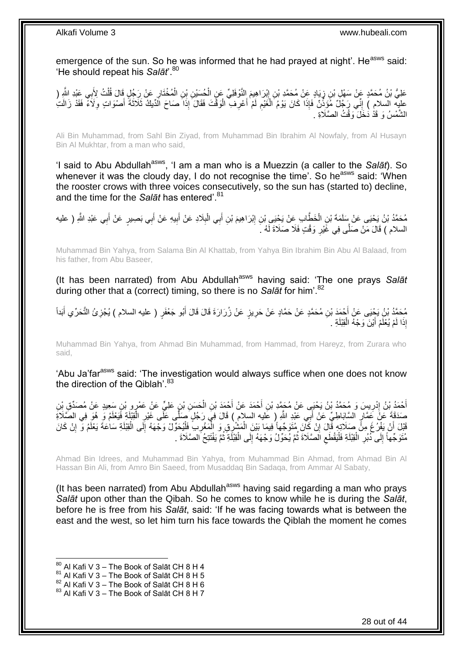emergence of the sun. So he was informed that he had prayed at night'. He<sup>asws</sup> said: 'He should repeat his Salat<sup>'.80</sup>

عَلِيُّ بْنُ مُحَمَّدٍ عَنْ سَهْلٍ بْنِ زِيَادٍ عِنْ مُحَمَّدِ بْنِ إِبْرَاهِيمَ إِلَنَّوْفَلِيِّ عَنِ الْحُسَيْنِ بْنِ الْمُخْتَارِ عَنْ رِجْلٍ قَالَ قُلْتُ لِأَبِي عَبْدِ اللَّهِ ( ْ ْ ِ ∫<br>∶ ْ ِ عليه السلامِ ) إِنِّي رَجُلٌ مُؤَذِّنٌ فَإِذَا كَانَ يَوْمُ الْغَيْمِ لَمْ أَعْرِفِ الْوَقْتَ فَقَالَ إِذَا صَاحَ الْدِّيْكَ ثَلَاثَةَ أَصْوَاتٍ وِلَاَءً فَقَدْ زَالَتِ ْ ِ َ لَ ِ ْ יִי<br>: َ َ الشَّمْسُ وَ قَذْ دَخَلَ وَقْتُ الصَّلَاةِ .

Ali Bin Muhammad, from Sahl Bin Ziyad, from Muhammad Bin Ibrahim Al Nowfaly, from Al Husayn Bin Al Mukhtar, from a man who said,

'I said to Abu Abdullah<sup>asws</sup>, 'I am a man who is a Muezzin (a caller to the *Salāt*). So whenever it was the cloudy day, I do not recognise the time'. So he<sup>asws</sup> said: 'When the rooster crows with three voices consecutively, so the sun has (started to) decline, and the time for the *Salāt* has entered<sup>'.81</sup>

مُحَمَّدُ بْنُ يَحْيَى عَنْ سَلَمَةَ بْنِ الْخَطَّابِ عَنْ يَحْيَى بْنِ إِبْرَاهِيمَ بْنِ أَبِي الْبِلَادِ عَنْ أَبِيهِ عَنْ أَبِي عَبْدِ اللَّهِ ( عليه **∶** ْ َ ِ ْ َ َ ِ َ السلام ) قَالَ مَنْ صَلَّى فِي غََيْرِ وَقْتٍ فَلَا صَلَاةَ لَهُ ـَ ِ

Muhammad Bin Yahya, from Salama Bin Al Khattab, from Yahya Bin Ibrahim Bin Abu Al Balaad, from his father, from Abu Baseer,

(It has been narrated) from Abu Abdullah<sup>asws</sup> having said: 'The one prays Salat during other that a (correct) timing, so there is no *Salāt* for him'.<sup>82</sup>

مُحَمَّدُ بْنُ يَجْيَى عَنْ أَحْمَدَ بْنِ مُحَمَّدٍ عَنْ حَمَّادٍ عَنْ حَرِيزٍ عَنْ زُرَارَةَ قَالَ قَالَ أَبُو جَعْفَرٍ ( عليه السلام ) يُجْزِئُ التَّحَرِّي أَبَداً<br>حَمَّدُ بْنُ يَجْنِي عَنْ أَحْدَ ِ َ َ ِ َ إِذَا لَمْ يُعْلَمْ أَيْنَ وَجْهُ الْقِبْلَةِ <sub>.</sub> ْ َ

Muhammad Bin Yahya, from Ahmad Bin Muhammad, from Hammad, from Hareyz, from Zurara who said,

'Abu Ja'far<sup>asws</sup> said: 'The investigation would always suffice when one does not know the direction of the Qiblah'.<sup>83</sup>

أَحْمَدُ بْنُ إِدْرِيسَ وَ مُحَمَّدُ بْنُ يَحْيَى عَنْ مُحَمَّدِ بْنِ أَحْمَدَ عَنْ أَحْمَدَ بْنِ الْحَسَنِ بْنِ عَلِيٍّ عَنْ عَمْرٍو بْنِ سَعِيدٍ عَنْ مُصَدِّقِ بِنِ<br>الْحَمَدُ بِنُ إِدْرِيسَ وَ مَحَمَّدُ بْنُ يَحْيَى عَنْ ْ َ َ ¦ ِ َ صَدَقَةَ عَنَّ عَمَّارٍ السَّابَاطِيِّ عَنْ أَبِي عَبْدِ اللَّهِ ( عَليه السلام ) قَالَ فِي رَجُلٍ صَلَّى عَلَى غَيْرِ الْقِبْلَةِ فَيَعْلَمُ وَ ِ هُوَ فِي الصَّلَاةِ<br>بَيْنَ الْقَبْلَةِ فَيَعْلَمُ وَ هُوَ فِي الصَّلَاةِ ْ ِ َ قَبْلَ أَنْ يَفْرُغَ مِنًّ صَلَاتِهِ قَالَ إِنْ كَانَ مُتَوَجِّهاً فِيمَا بَيْنَ الْمَشْرِقِ وَ الْمَغْرِبِ فَلْيُحَوِّلْ وَجْهَهُ إِلَى الْقِبْلَةِ سَاعَةَ يَعْلَمُ وَ إِنْ كَانَ<br>فَيَسَ وَأَنْهُمْ مِنْ ذَوَيَ وَ وَ إِنْ ْ **∶ ٔ** ْ ِ َ ِ ْ ِ مُّتَوَجِّهاً إِلَى ذُبُرِ الْقِبْلَةِ فَلْيَقْطَعِ اَلْصَّلَاةَ ثُمَّ يُحَوِّلُ وَجْهَهُ إِلَى الْقِبْلَةِ ثُمَّ يَفْتَتِحُ الصَّلَاةَ . :<br>• • • • ْ ∣∣<br>∶ ُ ِ ْ ْ ِ ∣∣<br>∶

Ahmad Bin Idrees, and Muhammad Bin Yahya, from Muhammad Bin Ahmad, from Ahmad Bin Al Hassan Bin Ali, from Amro Bin Saeed, from Musaddaq Bin Sadaqa, from Ammar Al Sabaty,

(It has been narrated) from Abu Abdullah<sup>asws</sup> having said regarding a man who prays *Salāt* upon other than the Qibah. So he comes to know while he is during the *Salāt*, before he is free from his *Salāt*, said: 'If he was facing towards what is between the east and the west, so let him turn his face towards the Qiblah the moment he comes

 $^{80}$  Al Kafi V 3 – The Book of Salāt CH 8 H 4

 $81$  Al Kafi V 3 – The Book of Salāt CH 8 H 5

 $^{82}$  Al Kafi V 3 – The Book of Salāt CH 8 H 6

<sup>83</sup> Al Kafi V 3 - The Book of Salāt CH 8 H 7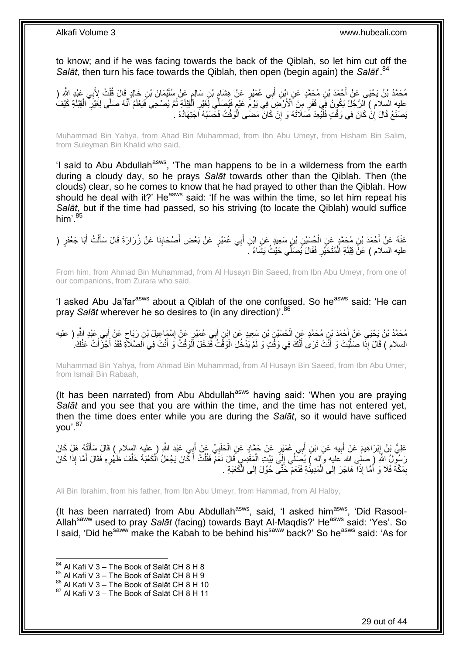to know; and if he was facing towards the back of the Qiblah, so let him cut off the *Salāt*, then turn his face towards the Qiblah, then open (begin again) the *Salāt*<sup>84</sup>

مُحَمَّدُ بْنُ يَحْيَى عَنْ أَحْمَدَ بْنِ مُحَمَّدٍ عَنِ إِبْنِ أَبِي عُمَيْرٍ عَنْ هِشَامٍ بْنِ سَالِمٍ عَنْ سُلَيْمَانَ بْنِ خَالِدٍ قَالَ قُلْتُ لِأَبِي عَبْدِ اللَّهِ ( ٍ ุ์<br>∶ุ้ ْ ِيْهِ السِّلاَمُ ﴾ الرَّجُلُ يَكُونُ فِي قَفْرٍ مِنَ ٱلْأَرْضَىَ فِي يَوْمِّ غَيْمٍ فَيُصَلِّي لِغَيْرِ الْقِيْلَةِ أَنَّهُ وَالَّذِي الْقِيْلَةِ كَيْفَ<br>عَيْنَا يَسْمَعُ الْمَرْجُلُ يَكُونُ فِي قَفْرٍ مِنَ ٱلأَرْضَىَ فِي ي ُ ْ ِ ុ<br>ខ ِ ْ َ َبِصْنَعُ قَالَ إِنْ كَانَ فِي وَقْتٍ فَلْيُعِدْ صَلَاتَهُ وَ إِنْ كَانَ مَضَى الْوَقْتُ فَحَسْبُهُ اَجْتِهَادُهُ . ֖֖֦֖֖֪֦֪֦֦֖֡֟֟֟֟֟֟֟֟֟֟֟֟֟֟֟֟֟֟֟֟֟֟֟֞֟֞֟֞֟֟֓֞֟֞֟ ِ ْ יֲ<br>י

Muhammad Bin Yahya, from Ahad Bin Muhammad, from Ibn Abu Umeyr, from Hisham Bin Salim, from Suleyman Bin Khalid who said,

'I said to Abu Abdullah<sup>asws</sup>, 'The man happens to be in a wilderness from the earth during a cloudy day, so he prays *Salāt* towards other than the Qiblah. Then (the clouds) clear, so he comes to know that he had prayed to other than the Qiblah. How should he deal with it?' He<sup>asws</sup> said: 'If he was within the time, so let him repeat his *Salāt*, but if the time had passed, so his striving (to locate the Qiblah) would suffice him'. $85$ 

عَنْهُ عَنْ أَحْمَدَ بْنِ مُحَمَّدٍ عَنِ الْحُسَيْنِ بْنِ سَعِيدٍ عَنِ ابْنِ أَبِي عُمَيْرٍ عَنْ بَعْضٍ أَصْحَابِذَا عَنْ زُرَارَةَ قَالَ سَأَلْتُ أَبَا جَعْفَرٍ (<br>. ِ َ َ ْ َ ْ َ عليه السلام ) عَنَّ قِبْلَةِ الْمُتَحَيِّرِ. فَقَالَ يُصَلِّي حَيْثُ يَشَاءُ ۖ **∶** ْ

From him, from Ahmad Bin Muhammad, from Al Husayn Bin Saeed, from Ibn Abu Umeyr, from one of our companions, from Zurara who said,

'I asked Abu Ja'far<sup>asws</sup> about a Qiblah of the one confused. So he<sup>asws</sup> said: 'He can pray *Salāt* wherever he so desires to (in any direction)'. 86

مُحَمَّدُ بْنُ يَحْيَى عَنْ أَحْمَدَ بْنِ مُحَمَّدٍ عَنِ الْحُسَيْنِ بْنِ سَعِيدٍ عَنِ ابْنٍ أَبِي عُمَيْرٍ عَنْ إِسْمَاعِيلَ بْنِ رَبَاحٍ عَنْ أَبِي عَبْدِ اللَّهِ ( عليه<br>. ِ َ ْ **∶** َ ٍ السلام ) قَالَ إِذَا صَلَّيْتَ وَ أَنْتَ تَرَى أَنَّكَ فِي وَقْتٍ وَ لَمْ يَذْخُلِ الْوَقْتُ فَدَخَلَ ٱلْوَقْتُ وَ أَنْتَ فِي اَلصَّلَأَةِ فَقَدْ أَجَزَأَتْ عَنْكَ. َ ْ ْ َ َ َّ َ َ

Muhammad Bin Yahya, from Ahmad Bin Muhammad, from Al Husayn Bin Saeed, from Ibn Abu Umer, from Ismail Bin Rabaah,

(It has been narrated) from Abu Abdullah<sup>asws</sup> having said: 'When you are praying *Salāt* and you see that you are within the time, and the time has not entered yet, then the time does enter while you are during the *Salāt*, so it would have sufficed you'.<sup>87</sup>

عَلِيُّ بْنُ إِبْرَاهِيمَ عَنْ أَبِيهِ عَنِ ابْنِ أَبِي عُمَيْرٍ عَنْ حَمَّادٍ عَنِ الْحَلَبِيِّ عَنْ أَبِي عَبْدِ اللَّهِ ( عليه السلام ) قَالَ سَأَلْتُهُ هَلْ كَانَ َ ِ ْ َ ِ َ **ֽו** ْ اً<br>أ لَ ِ رَسُوِلُ اللَّهِ (ِصلِي الله عليهِ وَإِله ) يُصَلِّي إِلَى بَيْتِ الْمَقْدِسِ قَالَ نَعَمْ فَقُلْتُ أَكَانَ يَجْعَلُ الْكَعْبَةَ خَلْفَ ظَهْرِهِ فَقَالَ أَمَّا إِذَا كَانَ َ ِ ْ ْ َ ْ ْ بِمَكَّةَ فَلَا وَ أَمَّا إِذَا هَاجَرَ إِلَى الْمَدِينَةِ فَنَعَمْ حَتَّى حُوِّلَ إِلَى الْكَعْبَةِ . ْ ِ ْ ِ َ ِ

Ali Bin Ibrahim, from his father, from Ibn Abu Umeyr, from Hammad, from Al Halby,

(It has been narrated) from Abu Abdullah<sup>asws</sup>, said, 'I asked him<sup>asws</sup>, 'Did Rasool-Allah<sup>saww</sup> used to pray *Salāt* (facing) towards Bayt Al-Maqdis?' He<sup>asws</sup> said: 'Yes'. So I said, 'Did he<sup>saww</sup> make the Kabah to be behind his<sup>saww</sup> back?' So he<sup>asws</sup> said: 'As for

 $84$  Al Kafi V 3 – The Book of Salāt CH 8 H 8

<sup>85</sup> Al Kafi V 3 – The Book of Salāt CH 8 H 9

 $86$  Al Kafi V  $3 -$  The Book of Salāt CH 8 H 10

 $87$  Al Kafi V 3 – The Book of Salāt CH 8 H 11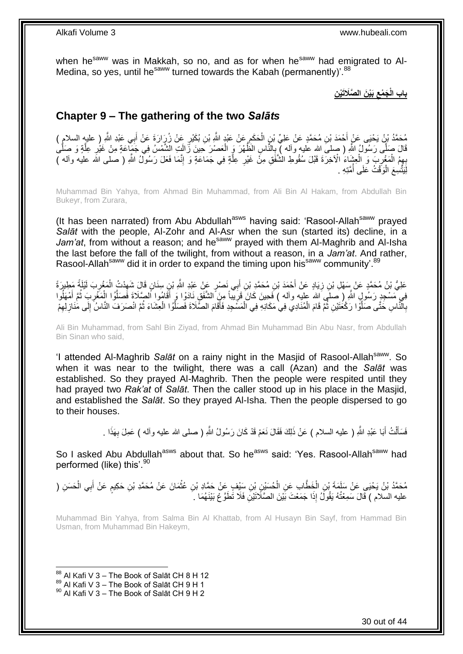when he<sup>saww</sup> was in Makkah, so no, and as for when he<sup>saww</sup> had emigrated to Al-Medina, so yes, until he<sup>saww</sup> turned towards the Kabah (permanently)<sup>'.88</sup>

> **ِن َبْي َن ال َّصَالَتْي َج ْمع باب الْ ِ**

# <span id="page-29-0"></span>**Chapter 9 – The gathering of the two** *Salāts*

مُحَمَّدُ بْنُ يَحْيَى عَنْ أَحْمَدَ بْنِ مُحَمَّدٍ عَنْ عَلِيِّ بْنٍ الْحَكَمِ عَنْ عَبْدٍ اللَّهِ بْنِ بُكَيْرٍ عَنْ زُرَارَةَ عَنْ أَبِي عَبْدِ اللَّهِ إِ عليهِ السلامِ ) ِ ْ َ َ َّقَالَ صَلَّى رَسُولُ اللَّهِ ( صلىَ الله عليه وآله ) بِالنَّاسِ الْظُهْرَ وَ الْعَصْرَ حَينَ زَالَتٍ الشَّمْسُ فِي جَمَيِّاعَةٍ مِنْ غَيْرِ عِلَّةٍ وَ صَلَّىٰ **∶** َّ َّ ; ْ بِهِمُ الْمَغْرِبَ وَ الْعِشْبَاءُ الْآخِرَةَ قَبْلَ سُقُوطِ الْشَّفَقِ مِنْ غَيْرِ عِلَّةٍ فِي جَمَاعَةٍ وَ إِنَّمَا فَعَلَ رَسُولٌ اللَّهِ ( صلى الله عليه وأله ) ِ َّ **ٍ** ْ ِ ْ لِّيَتَّسِعَ الْوَفْتُ عَلَى أُمَّتِهِ . ُ ْ

Muhammad Bin Yahya, from Ahmad Bin Muhammad, from Ali Bin Al Hakam, from Abdullah Bin Bukeyr, from Zurara,

(It has been narrated) from Abu Abdullah<sup>asws</sup> having said: 'Rasool-Allah<sup>saww</sup> prayed *Salāt* with the people, Al-Zohr and Al-Asr when the sun (started its) decline, in a Jam'at, from without a reason; and he<sup>saww</sup> prayed with them Al-Maghrib and Al-Isha the last before the fall of the twilight, from without a reason, in a *Jam'at*. And rather, Rasool-Allah<sup>saww</sup> did it in order to expand the timing upon his<sup>saww</sup> community'.<sup>89</sup>

عَلِيُّ بْنُ مُحَمَّدٍ عَنْ سَهْلِ بْنِ زِيَادٍ عَنْ أَحْمَدَ بْنِ مُحَمَّدِ بْنِ أَبِي نَصْرٍ عَنْ عَبْدِ اللَّهِ بْنِ سِنَانٍ قَالَ شَهِدْتُ الْمَغْرِبَ لَيْلَةً مَطِيرَةً َ َ ِ ِ ْ ِ فِي مَسْجِدٍ رَسُولٍ اللَّهِ ( صلَى الله عليه وأله ) فَحِينَ كَانَ قَرِيباً مِنَ الشَّفَقِ نَادَوْا وَ أَقَامُوا الصَّلَاةَ فَصَلَّوُا الْمَغْرِبَ ثُمَّ أَمْهَلُوا ا<br>ا َ ا<br>المقام ِ ْ َّ َ ِ بِالْنَّاسِ حَتَّى صَلَّوْا رَكْعَتَيْنِ ثُمَّ قَامَ الْمُنَادِي فِي ْمَكَانِهِ فِي الْمَسَّجِدِ فَأَقَامَ الصَّلَاةَ فَصَلَّوُا الْعِشَاءَ ثُمَّ انْصَرَفَ النَّاسُ إِلَى مَٰنَازِ لِهِمْ َّ َ ْ ْ ្មី َّ ِ ِ ِ ِ ا<br>المقام

Ali Bin Muhammad, from Sahl Bin Ziyad, from Ahmad Bin Muhammad Bin Abu Nasr, from Abdullah Bin Sinan who said,

'I attended Al-Maghrib *Salāt* on a rainy night in the Masjid of Rasool-Allahsaww. So when it was near to the twilight, there was a call (Azan) and the *Salāt* was established. So they prayed Al-Maghrib. Then the people were respited until they had prayed two *Rak'at* of *Salāt*. Then the caller stood up in his place in the Masjid, and established the *Salāt*. So they prayed Al-Isha. Then the people dispersed to go to their houses.

> فَسَأَلْتُ أَبَا عَبْدِ اللَّهِ ( عليه السلام ) عَنْ ذَلِكَ فَقَالَ نَعَمْ قَدْ كَانَ رَسُولُ اللَّهِ ( صلى الله عليه وألمه ) عَمِلَ بِهَذَا . َ .<br>ا َ ِ

So I asked Abu Abdullah<sup>asws</sup> about that. So he<sup>asws</sup> said: 'Yes. Rasool-Allah<sup>saww</sup> had performed (like) this'.<sup>90</sup>

مُحَمَّدُ بْنُ يَحْيَى عَنْ سَلَمَةَ بْنِ الْخَطَّابِ عَنِ الْحُسَيْنِ بْنِ سَيْفٍ عَنْ حَمَّادِ بْنِ عُثْمَانَ عَنْ مُحَمَّدِ بْنِ حَكِيمٍ عَنْ أَبِي الْحَسَنِ ( ْ ْ ْ ْ َ م<br>م عليه السلام ) قَالَ سَمِعْتُهُ يَقُولُ إِذَا جَمَعْتَ بَيْنَ الصَّلَاتَيْنِ فَلَا تَطَوَّعْ بَيْنَهُمَا ۚ . َ ِ

Muhammad Bin Yahya, from Salma Bin Al Khattab, from Al Husayn Bin Sayf, from Hammad Bin Usman, from Muhammad Bin Hakeym,

 $88$  Al Kafi V 3 – The Book of Salāt CH 8 H 12

 $89$  Al Kafi V 3 – The Book of Salāt CH 9 H 1

<sup>90</sup> Al Kafi V 3 – The Book of Salāt CH 9 H 2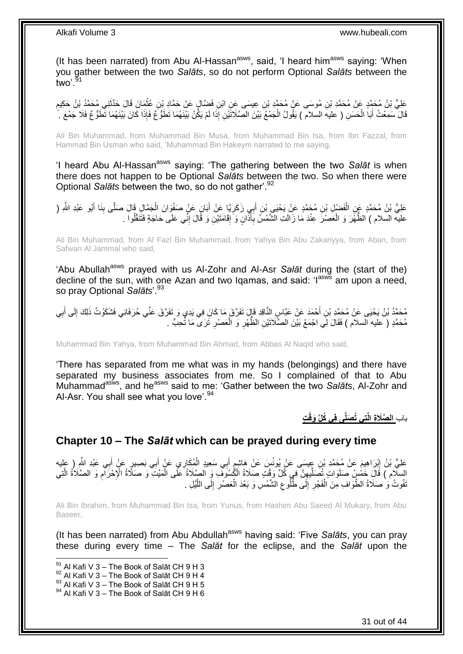(It has been narrated) from Abu Al-Hassan<sup>asws</sup>, said, 'I heard him<sup>asws</sup> saying: 'When you gather between the two *Salāts*, so do not perform Optional *Salāts* between the two'.  $91$ 

عَلِيُّ بْنُ مُحَمَّدٍ عَنْ مُحَمَّدِ بْنِ مُوسَى عَنْ مُحَمَّدِ بْنِ عِيسَى عَنِ ابْنِ فَضَّالٍ عَنْ حَمَّادٍ<br>بِنَ يَعْلَمُونَ مَعْ أَمَّامِ الْعَمَّامِ بِنِي مُحَمَّدٍ بِنِ مَعْ الْبَيْتِ وَجَالِدٍ عَلَيْهِ مَعَنِّ مَعْ **ٔ** ֧֩֘׆֧ َ قَالَ سَمِعْتُ أَبَا الْحَسَنِ ( عليهَ السلام ) يَقُولُ الْجَمْعُ بَيْنَ الصَّلَاتَيْنِ إِذَا لَمْ يَكُنْ بَيْنَهُمَا تَطَوُّعُ فَإِذَا كَانَ بَيْنَهُمَا تَطَوُّعُ فَلَا جَمْعَ ۚ ۚ ْ ْ َ

Ali Bin Muhammad, from Muhammad Bin Musa, from Muhammad Bin Isa, from Ibn Fazzal, from Hammad Bin Usman who said, 'Muhammad Bin Hakeym narrated to me saying,

'I heard Abu Al-Hassan<sup>asws</sup> saying: 'The gathering between the two Salat is when there does not happen to be Optional *Salāts* between the two. So when there were Optional *Salāts* between the two, so do not gather'.<sup>92</sup>

عَلِيُّ بْنُ مُحَمَّدٍ عَنِ الْفَضْلِ بْنِ مُحَمَّدٍ عَنْ يَحْيَي بْنِ أَبِي زَكَرِيًّا عَنْ أَبَانٍ عَنْ صَفْوِانَ الْجَمَّالِ قَالَ صَلَّى بِنَا أَبُو عَبْدِ اللَّهِ ( ْ َ **∶** َ ْ َ ِ عليه السلام ) الظُّهَّرَ وَ الْعَصْرَ عِنْدَ مَا زَالَتِ الشَّمْسُ بِأَذَّانٍ وَ إِقَامَتَيْنِ وَ قَالَ إِنِّي عَلَى حَاجَةٍ فَتَنَفَّلُوا . ِّ ِ ِ ِ ْ

Ali Bin Muhammad, from Al Fazl Bin Muhammad, from Yahya Bin Abu Zakariyya, from Aban, from Safwan Al Jammal who said,

'Abu Abullah<sup>asws</sup> prayed with us Al-Zohr and Al-Asr Salat during the (start of the) decline of the sun, with one Azan and two Iqamas, and said: 'l<sup>asws</sup> am upon a need, so pray Optional *Salāts*'.<sup>93</sup>

مُحَمَّدُ بْنُ يَحْيَى عَنْ مُحَمَّدِ بْنِ أَحْمَدَ عَنْ عَبَّاسٍ النَّاقِدِ قَإِلَ تَفَرَّقَ مَا كَانَ فِي يَدِي وَ تَفَرَّقَ عَنِّي حُرَفَائِي فَشَكَوْتُ ذَلِكَ إِلَى أُبِي َ ِ َ ِ مُحَمَّدٍ ( عليه السلام ) فَقَالَ لِي اجْمَعْ بَيْنَ الصَّلَاتَيْنِ الظُّهْرِ وَ الْعَصْرِ تَرَى مَا ثُحِبُّ . ِ ْ ِ

Muhammad Bin Yahya, from Muhammad Bin Ahmad, from Abbas Al Naqid who said,

'There has separated from me what was in my hands (belongings) and there have separated my business associates from me. So I complained of that to Abu Muhammad<sup>asws</sup>, and he<sup>asws</sup> said to me: 'Gather between the two *Salāts*, Al-Zohr and Al-Asr. You shall see what you love'.  $94$ 

**تِي ُت َصلَّى فِي ُكلِّ َوقْ** باب **ت ال َّصَال ِة الَّ**

## <span id="page-30-0"></span>**Chapter 10 – The** *Salāt* **which can be prayed during every time**

عَلِيُّ بْنُ إِبْرَاهِيمَ عَنْ مُحَمَّدِ بْنِ عِيسَى عَنْ يُونُسَ عَنْ هَاشِمٍ أَبِي سَعِيدٍ الْمُكَارِيِ عَنْ أَبِي بَصِيرٍ عَنْ أَبِي عَبْدِ الشَّرِ ( عِليه<br>بدي الله العليم الله عنه الله عليه الله عنه الله عليه الله الل َ ٍ יִי י َ َ ْ السِّلْامِ ) قَالَ خَمْسٍ صَلَوَاتٍ تُصَلِّيهِنَّ فِي كُلِّ وَقْتٍ صَلَاةُ الْكُسُوَفِ وَ الصَّلَاةُ عَلَى الْمَيِّتَ وَ صَلَاةُ الْإِحْرَامِ وَ الصَّلَاةُ الَّتِي ْ ِ ِّ َّ ِ تَفُوتُ وَ ْصَلَاةُ الطَّوَافِ مِنَ الْفَجْرِ إِلَى طُّلُوعِ الشَّمْسِ وَ بَعْدَ الْعَصْرِ إِلَى اللَّيْلِ . َّ ِ **∶** ْ ِ  $\frac{1}{2}$ ِ ْ

Ali Bin Ibrahim, from Muhammad Bin Isa, from Yunus, from Hashim Abu Saeed Al Mukary, from Abu Baseer,

(It has been narrated) from Abu Abdullah<sup>asws</sup> having said: 'Five Salats, you can pray these during every time – The *Salāt* for the eclipse, and the *Salāt* upon the

 $91$  Al Kafi V 3 – The Book of Salāt CH 9 H 3

 $92$  Al Kafi V 3 – The Book of Salāt CH 9 H 4

 $^{93}$  Al Kafi V 3 – The Book of Salāt CH 9 H 5

<sup>94</sup> Al Kafi V 3 – The Book of Salāt CH 9 H 6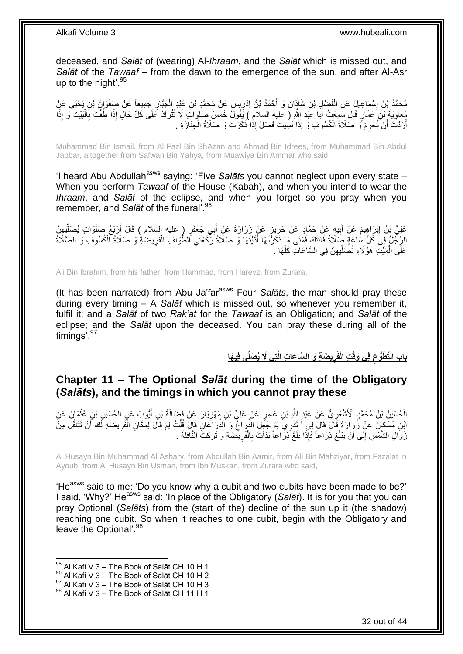deceased, and *Salāt* of (wearing) Al-*Ihraam*, and the *Salāt* which is missed out, and *Salāt* of the *Tawaaf* – from the dawn to the emergence of the sun, and after Al-Asr up to the night'. $95$ 

مُحَمَّدُ بْنُ إِسْمَاعِيلَ عَنِ الْفَضْلِ بْنِ شَاذَانَ وَ أَحْمَدُ بْنُ إِدْرِيسَ عَنْ مُحَمَّدٍ بْنِ عَبْدٍ الْجَبَّارِ جَمِيعاً عَنْ صَفْوَانَ بْنِ يَحْيَى عَنِْ ِ ْ ِ ا<br>؛ َ ْ مُعَاوِيَةَ بْنِ عَمَّارٍ قَالَ سَمِعْتُ أَبَا عَبْدِ اللَّهِ ( عليهِ السلامِ ) يَقُولُ خَمْسُ صَلَوَاتٍ لَا تُتْرَكُ عَلَى كُلِّ حَالٍ إِذَا طُفْتَ بِالْبَيْتِ وَ إِذَا َ ِ ْ ِ أَرَدْتَ أَنْ َتُحْرِمَ َوَ صَلَاةُ الْكُسُوفِ وَ إِذَا نَسِيتَ فَصَلٍّ إِذَا ذَكَرْتَ وَ صَلَاةُ الْجِنَازَةِ ْ اً َ

Muhammad Bin Ismail, from Al Fazl Bin ShAzan and Ahmad Bin Idrees, from Muhammad Bin Abdul Jabbar, altogether from Safwan Bin Yahya, from Muawiya Bin Ammar who said,

'I heard Abu Abdullah<sup>asws</sup> saying: 'Five Salats you cannot neglect upon every state – When you perform *Tawaaf* of the House (Kabah), and when you intend to wear the *Ihraam*, and *Salāt* of the eclipse, and when you forget so you pray when you remember, and *Salāt* of the funeral'.<sup>96</sup>

اً عَلِيُّ بْنُ إِبْرَاهِيمَ عَنْ أُبِيهِ عَنْ حَمَّادٍ عَنْ حَرِيزٍ عَنْ زُرَارَةَ عَنْ أَبِي جَعْفَرٍ ( عليه السلام ) قَالَ أَرْبَعُ صَلَوَاتٍ يُصَلِّيفٍنَّ َ ِ ِ َ **ֽ**ו ِ ِّ الرَّجُلُ فِيَ كُلِّ سَاعَةٍ صَلَاةٌ فَاتَتْكَ فَمَتَى مَا ذَكَرْتَهَا أَدَّيْتَهَا وَ صَلَاةُ رَكْعَتَي الطُّوَافِ الْفَرِيضَةِ وَ صَلَاةُ الْكُسُوفِ وَ الصَّلَاةُ ِ ْ ِ َ ِّ عَلَى الْمَيِّتِ هَؤُلَاءِ تُصَلِّيهِنَّ فِي السَّاعَاتِ كُلِّهَا . ِ ِّ ْ

Ali Bin Ibrahim, from his father, from Hammad, from Hareyz, from Zurara,

(It has been narrated) from Abu Ja'farasws Four *Salāts*, the man should pray these during every timing – A *Salāt* which is missed out, so whenever you remember it, fulfil it; and a *Salāt* of two *Rak'at* for the *Tawaaf* is an Obligation; and *Salāt* of the eclipse; and the *Salāt* upon the deceased. You can pray these during all of the timings'.<sup>97</sup>

> باب التَّطَوُّع فِى وَقْتِ الْفَرِيضَةِ وَ السَّاعَاتِ الَّتِى لَا يُصَلِّى فِيهَا **ِ ِ**

# <span id="page-31-0"></span>**Chapter 11 – The Optional** *Salāt* **during the time of the Obligatory (***Salāts***), and the timings in which you cannot pray these**

الْحُسَنْيُ بْنُ مُحَمَّدٍ الْأَشْعَرِيُّ عَنْ عَبْدٍ اللَّهِ بْنِ عَامِرٍ عَنْ عَلِيِّ بْنِ مَهْزِيَارَ عَنْ فَضَالَةَ بْنِ أَيُّوبَ عَنِ الْحُسَنْنِ بْنِ عُثْمَانَ عَنِ ِ ِ ْ ْ َ **ٔ** ائِنِ مُسْكَانَ عَنْ زُرِكَ قَالَ قَالَ إِلَى أَ تَدْرِيَ لِمَ جُئٍهِلَ الذُّرَاغُ وَ الذُّرَاعَانِ قَالَ قُلْتُ لِمَ قَالَ لِمَكَانِ الْفَرِيضَةِ لَكَ أَنْ تَتَنَفَّلَ مِنْ<br>ابْنِ مُسْكَانَ عَنْ زُرِكَ وَمُعَنفِّسَاتِ اللَ ْ َ َ ِ ْ زَوَالِ الشَّمْسِ إِلَى أَنْ يَبْلُغَ ذِرَاعاً فَإِذَا بَلَغَ ذِرَاعاً بَدَأْتَ بِالْفَرِيضَةِ وَ تَرَكْتَ النَّافِلَةَ . ٔ<br>ا َ י<br>י ِ ْ **∶** 

Al Husayn Bin Muhammad Al Ashary, from Abdullah Bin Aamir, from Ali Bin Mahziyar, from Fazalat in Ayoub, from Al Husayn Bin Usman, from Ibn Muskan, from Zurara who said,

'He<sup>asws</sup> said to me: 'Do you know why a cubit and two cubits have been made to be?' I said, 'Why?' He<sup>asws</sup> said: 'In place of the Obligatory (Salat). It is for you that you can pray Optional (*Salāts*) from the (start of the) decline of the sun up it (the shadow) reaching one cubit. So when it reaches to one cubit, begin with the Obligatory and leave the Optional'.<sup>98</sup>

- 96 Al Kafi V 3 The Book of Salāt CH 10 H 2
- $97$  Al Kafi V  $3 -$  The Book of Salāt CH 10 H 3

 $95$  Al Kafi V 3 – The Book of Salāt CH 10 H 1

<sup>98</sup> Al Kafi V 3 – The Book of Salāt CH 11 H 1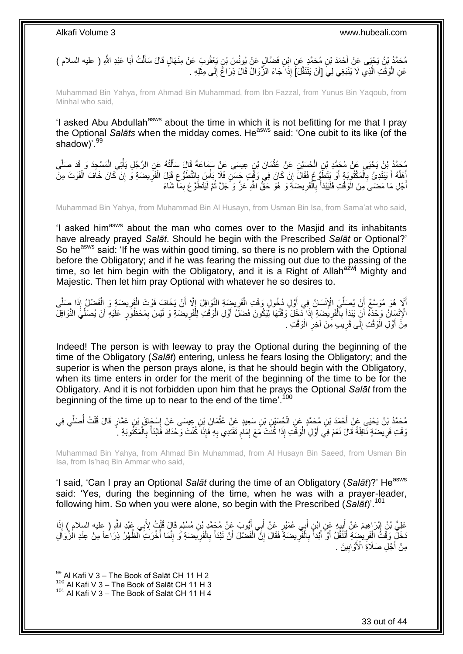َ مُحَمَّدُ بْنُ يَحْيَى عَنْ أَحْمَدَ بْنِ مُحَمَّدٍ عَنِ ابْنِ فَضَّالٍ عَنْ يُونُسَ بْنٍ يَعْقُوبَ عَنْ مِنْهَالٍ قَالَ سَأَلْتُ أَبَا عَبْدِ اللَّهِ ( عليه السلام ) َ ْ عَنِ الْوَقْتِ الَّذِي لَا يَنْبَغِي لِيَ [أَنْ يَتَنَفَّلَ]َ إِذَا جَاءَ الزَّوَالُ قَالَ ذِرَاغٌ إِلَى مِثْلِهِ . **ٔ** ِ َّ ْ

Muhammad Bin Yahya, from Ahmad Bin Muhammad, from Ibn Fazzal, from Yunus Bin Yaqoub, from Minhal who said,

'I asked Abu Abdullah<sup>asws</sup> about the time in which it is not befitting for me that I pray the Optional *Salāts* when the midday comes. He<sup>asws</sup> said: 'One cubit to its like (of the shadow)<sup>', 99</sup>

مُحَمَّدُ بْنُ يَحْيَى عَنْ مُحَمَّدِ بْنِ الْحُسَيْنِ عَنْ عُثْمَانَ بْنٍ عِيسَى عَنْ سَمَاعَةَ قَالَ سَأَلْتُهُ عَنِ الرَّجُلِ يَأْتِي الْمَسْجِدَ وَ قَدْ صَلَّى<br>يَمُهُ يَهُدُّ بَيْنَ عَنْ مُعَبَّدٍ فَيَجْمَعُونَ عَنْ ع **ٔ** ْ َّ ْ ْ ْ َ ِّ فَلْكَ أَ يَبْتَدِىُ بِالْمَكْتُوِيَةِ أَوْ يَتَطَوَّعُ فَقَالَ إِنْ كَانَ فِي وَقْتٍ جَسَنٍ فَلَا بَأْسَ بِالتَّطَوُّعِ قَبْلَ الْفَرِيضَةِ وَ إِنْ كَانَ خَافَ الْفَوْتَ مِنْ ֧֦֧֦֦֧֦֧֦֧֦֧֦֧֦֧֦֧֦֧֓֝֝֝֝֟֓֟֓֝֬֟֓֟֓֝֬֟֓֟֓ ֢֧֦֧֦֧֦֧֦֧֦֧֦֧֦֧ׅ֧֦֧֚֜֓ ْ ِ َ ْ **∶** ان<br>ا ْ ِ ِ ْ أَجْلِ مَا مَضـَى مِنَ الْمَوَقْتِ فَلْيَبْدَأْ بِالْفَرِيضَةِ ۖ وَ هُوَ حَقٌّ اللَّهِ عَزَّ وَ حَمْلَ ثُمَّ لْيَتَطَوَّعْ بِمَا شَاءَ ِ :<br>ا ان<br>المقامات ِ ْ ِ ا<br>أ :<br>إ ْ

Muhammad Bin Yahya, from Muhammad Bin Al Husayn, from Usman Bin Isa, from Sama'at who said,

'I asked him<sup>asws</sup> about the man who comes over to the Masjid and its inhabitants have already prayed *Salāt*. Should he begin with the Prescribed *Salāt* or Optional?' So he<sup>asws</sup> said: 'If he was within good timing, so there is no problem with the Optional before the Obligatory; and if he was fearing the missing out due to the passing of the time, so let him begin with the Obligatory, and it is a Right of Allah<sup>azwj</sup> Mighty and Majestic. Then let him pray Optional with whatever he so desires to.

أَلَا هُوَ مُوَسَّعٌ أَنْ يُصَلِّيَ الْإِنْسَانُ فِي أَوَّلِ دُخُولِ وَقْتِ الْفَرِيضَةِ النَّوَافِلَ إِلَّا أَنْ يَخَافَ فَوْتَ الْفَرِيضَةِ وَ الْفَضْلُ إِذَا صَلَّى<br>\* \* يَسْمِدُ وَيَسَعُ إِنَّ يَسَمِّلُ الْإِنْسَانُ فِ ِّ َّ ْ ِ ْ َ ِ ِ ْ الْإِنْسَانُ وَحْدَهُ أَنِّ يَبْدَأَ بِٱلْفَرِيضَةِ إِذَا دَخَلَ وَقْتُهَا لَيَكُونَ فَضْلٌ أَوَّلِ الْوَقْتِ لِلْفَرِيضَةِ وَ لَيْسَ بِمَحْظُوِّرٍ عَلَيْهِ أَنْ يُصَلِّيَ النَّوَافِلَ **∶** ْ ْ َ **∶** ْ **∶** َ اً ِ ِّ َ مِنَّ أَوَّلِ الْوَقْتِ إِلَى قَرِيبِ مِنْ آخِرِ الْوَقْتِ . ْ **ٍ** ِ  $\frac{1}{2}$ ْ َ

Indeed! The person is with leeway to pray the Optional during the beginning of the time of the Obligatory (*Salāt*) entering, unless he fears losing the Obligatory; and the superior is when the person prays alone, is that he should begin with the Obligatory, when its time enters in order for the merit of the beginning of the time to be for the Obligatory. And it is not forbidden upon him that he prays the Optional *Salāt* from the beginning of the time up to near to the end of the time'.<sup>100</sup>

ْس َحا َق ْب ِن ِعي َسى َع ْن ِ َما َن ْب ِن َس ِعيٍد َع ْن ُعث ِن ْب ُح َسْي ِن ُم َح َّمٍد َع ِن ال ْح َمَد ْب ُم َح َّمُد ْب ُن َي ْحَيى َع ْن َ ي ِفي َ َصل ُت َ ل ٍر َقا َل قُ ِن َع َّما ِ **ٔ** ْ ِّ ْ َنَ قُتِ فَرِيضَةٍ نَافِلَةً قَالَ نَعَمْ فِي أَوَّلِ الْوَقْتِ إِذَا كُنْتَ مَعَ إِمَامٍ تَقْتَدِي بِهِ فَإِذَا كُنْتَ وَحْدَكَ فَابْدَأْ بِالْمَكْتُوبَةِ ۚ . **∶** ْ ِ  $\frac{1}{2}$ ِ ٍ ِ :<br>ا اُ

Muhammad Bin Yahya, from Ahmad Bin Muhammad, from Al Husayn Bin Saeed, from Usman Bin Isa, from Is'haq Bin Ammar who said,

'I said, 'Can I pray an Optional *Salāt* during the time of an Obligatory (Salat)?' He<sup>asws</sup> said: 'Yes, during the beginning of the time, when he was with a prayer-leader, following him. So when you were alone, so begin with the Prescribed (*Salāt*)'.<sup>101</sup>

عَلِيُّ بْنُ إِبْرَاهِيمَ عَنْ أَبِيهِ عَنِ ابْنِ أَبِي عُمَيْرٍ عَنْ أَبِي أَيُّوبَ عَنْ مُجَمَّدٍ بْنِ مُسْلِمٍ قَالَ قُلْتُ لِأَبِي عَبْدِ اللَّهِ ( عِليه السلام ) إِذَا **∶** ْ ֖֖֖֦֧֧֧֦֧֧֦֧֚֚֚֚֚֚֚֚֬֝֝֓֝֓֝֓֜֓֜֡֓֟ َ ِ َ ِ نَخَلِّ وَقْتُ الْفَرِيضِةِ ٱتَنَقَّلُ أَوْ أَبْدَأُ بِالْفَرِيضَةِ ۚ فَقَالَ إِنَّ الْفَضَلَ أَنْ تَبْدَأَ بِالْفَرِيضَةِ وُ إِنَّمَا اُخْرَتَ الظُّهْرُ ذِرَاعاً مِنْ عِنْدِ الْزُوَالِ ْ ِ ِ ْ **∶** اد<br>ا َ َ **∶** ْ ا<br>ا ِ ِ ْ **∶** َ اُ مِنْ أَجْلِ صَلَاةِ الْأَوَّابِينَ . ِ

 $^{99}$  Al Kafi V 3 – The Book of Salāt CH 11 H 2

<sup>100</sup> Al Kafi V  $3 -$  The Book of Salāt CH 11 H 3

<sup>101</sup> Al Kafi V 3 – The Book of Salāt CH 11 H 4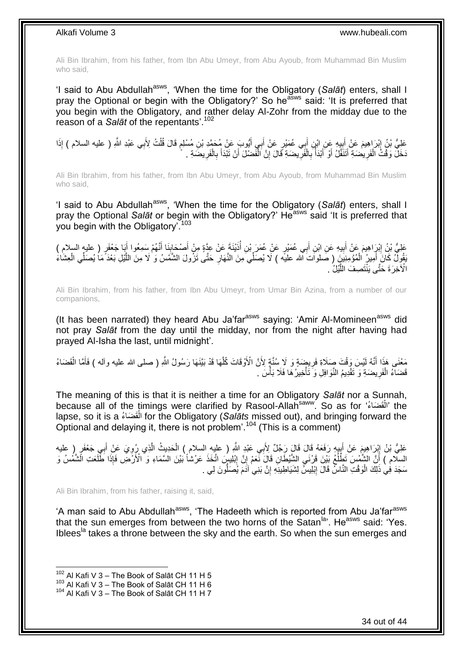Ali Bin Ibrahim, from his father, from Ibn Abu Umeyr, from Abu Ayoub, from Muhammad Bin Muslim who said,

'I said to Abu Abdullah<sup>asws</sup>, 'When the time for the Obligatory (Salat) enters, shall I pray the Optional or begin with the Obligatory?' So he<sup>asws</sup> said: 'It is preferred that you begin with the Obligatory, and rather delay Al-Zohr from the midday due to the reason of a *Salāt* of the repentants'.<sup>102</sup>

عَلِيُّ بْنُ إِبْرَاهِيمَ عَنْ أَبِيهِ عَنِ ابْنِ أَبِي عُمَيْرٍ عَنْ أَبِي أَيُّوبَ عَنْ مُحَمَّدِ بْنِ مُسْلِمٍ قَالَ قُلْتُ لِأَبِي عَبْدِ اللَّهِ ( عليه السلام ) إِذَا ْ ֧֖֖֖֖֧֧֧ׅ֧֧ׅ֧֚֚֚֚֚֚֚֚֚֓֝֝֬֝֟֓֝֓֝֓֝֓֜֟֓֟֓֟֓֝֬֜֝ َ َ َ ِ َ ِ َخَلَّ وَقْتُ الْفَرِيضَةِ أَتَتَفَّلُ أَوْ أَبْدَأَ بِالْفَرِيضَةِ قَالَ إِنَّ الْفَضْلَ أَنْ تَبْدَأَ بِالْفَرِيضَةِ . **∶** ْ ِ ُ َ َ َ ِ ْ **ٍ** ْ **∶** َ ْ ِ

Ali Bin Ibrahim, from his father, from Ibn Abu Umeyr, from Abu Ayoub, from Muhammad Bin Muslim who said,

'I said to Abu Abdullah<sup>asws</sup>, 'When the time for the Obligatory (Salat) enters, shall I pray the Optional Salat or begin with the Obligatory?' He<sup>asws</sup> said 'It is preferred that you begin with the Obligatory<sup>7103</sup>

َ َنا َ ْص َحاب ْيَن َة َع ْن ِعَّدٍة ِم ْن َ ذَ ِن َ ٍر َع ْن ُع َم َر ْب ِي ُع َمْي ب ِن َ ي ِه َع ِن اْب ب َم َع ْن َ ْب َرا ِهي َعلِ ُّي ْب ُن ِ ُِْم َس ِمُع ٍر ن ) عليه السالم ( َّ َبا َج ْعَف وا َ ِ َ َ **!** ِ َ يَقُولُ كَانَ أَمِيرُ الْمُؤْمِنِيَنَ ( صَلواتَ الله عليه ) لَا يُصَلِّيَ مِنَ النَّهَارِ حَتَّى تَزُولَ الشَّمْسُ وَ لَا مِنَ اللَّيْلِ بَعْدَ مَا يُصَلِّي الْعِشَاءَ ِ ْ َ ْ َّ الْآخِرَةَ حَتَّى يَنْتَصِفَ اللَّيْلُٰ . َّ

Ali Bin Ibrahim, from his father, from Ibn Abu Umeyr, from Umar Bin Azina, from a number of our companions,

(It has been narrated) they heard Abu Ja'far<sup>asws</sup> saying: 'Amir Al-Momineen<sup>asws</sup> did not pray *Salāt* from the day until the midday, nor from the night after having had prayed Al-Isha the last, until midnight'.

مَعْنَى هَذَا أَنَّهُ لَيْسَ وَقْتَ صِلَاةِ فَرِيضِهَةٍ وَ لَا سُنَّةٍ لِأَنَّ الْأَوْقَاتَ كُلَّهَا قَدْ بَيَّنَهَا رَسُولُ اللَّهِ ( صلى الله عليه وآله ) فَأَمَّا الْقَضَاءُ َّ **∶** َ ْ َ قَضَاءُ الْفَرِيضَةِ وَ تَقْدِيمُ النَّوَافِلِ وَ َتَأْخِيرُ هَا فَلَا بَأْسَ . ِ ْ م<br>أ ْ

The meaning of this is that it is neither a time for an Obligatory *Salāt* nor a Sunnah, because all of the timings were clarified by Rasool-Allah<sup>saww</sup>. So as for 'الْقَضَاءُ' the ْ lapse, so it is a الْقَضَاءُ for the Obligatory (*Salāts* missed out), and bringing forward the ْ Optional and delaying it, there is not problem'.<sup>104</sup> (This is a comment)

عَلِيُّ بْنُ إِبْرَاهِيمَ عَنْ أَبِيهِ رَفَعَهُ قَالَ قَالَ رَِجُلٌ لِأَبِي عَبْدِ اللَّهِ ( عليهِ السلام ) الْحَدِيثُ الَّذِي رُرُوِيَ عَنْ أَبِي جَعْفَرٍ ( عليه َّ ْ ِ َ  $\frac{1}{2}$ ِ َ السلّام ) أَنَّ الشَّمْسَ تَطْلُعُ بَيْنَ قَرْنَي الشَّيْطَانِ قَالَ نَّعَمْ إِنَّ إِبْلِيسٍۢ اتَّخَذَ عَرْشاً بَيْنَ السَّمَاءِ وَ ۗ الْأَرْضَ فَإِذَا طَّلَعَت الَّشَمْسُ وَ ِ ِ ِ ُ سَجَدَ فِي ذَلِكَ الْوَقْتِ النَّاسِّ قَالَ إِبْلِيسُّ لِشَيَاطِينِهِ إِنَّ بَنِي آَدَمَ يُصَلُّونَ لِي . ِ ْ ُّ ِ

Ali Bin Ibrahim, from his father, raising it, said,

'A man said to Abu Abdullah<sup>asws</sup>, 'The Hadeeth which is reported from Abu Ja'far<sup>asws</sup> that the sun emerges from between the two horns of the Satan<sup>la</sup>'. He<sup>asws</sup> said: 'Yes. Iblees<sup>la</sup> takes a throne between the sky and the earth. So when the sun emerges and

 $102$  Al Kafi V 3 – The Book of Salāt CH 11 H 5

 $103$  Al Kafi V  $3 -$  The Book of Salāt CH 11 H 6

 $104$  Al Kafi V 3 – The Book of Salāt CH 11 H 7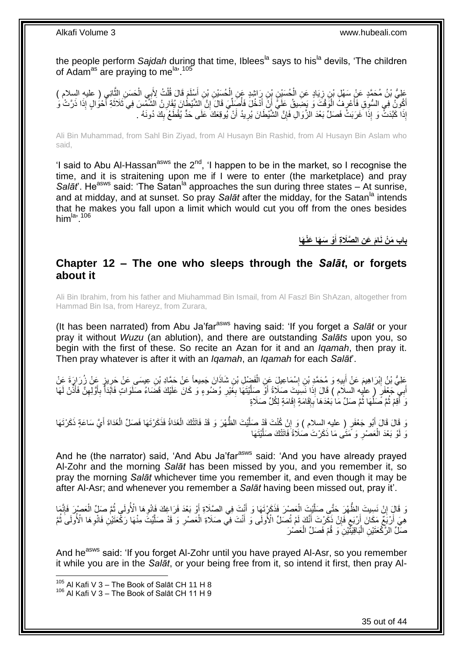the people perform *Sajdah* during that time, Iblees<sup>la</sup> says to his<sup>la</sup> devils, 'The children of Adam<sup>as</sup> are praying to me<sup>la, 105</sup>

عَلِيُّ بْنُ مُحَمَّدٍ عَنْ سَهْلِ بْنِ زِيَادٍ عَنِ الْحُسَيْنِ بْنِ رَاشِدٍ عَنِ الْحُسَيْنِ بْنِ أَسْلَمَ قَالَ قُلْتُ لِأَبِي الْحَسَنِ الثَّانِي ( عليهِ السلام )<br>وَيَسْيَمُونَ مَنْ سَهْلِ بْنِ زِيَادٍ عَنِ الْحُسَيْنِ َّ ْ ْ َ ْ ْ ِ أَكُونَّ فِي السُّوِقِ فَأَعْرِفُ الْوَقْتَ وَ يَضِّيقُ عَلَيَّ أَنْ أَذْخُلَ فَأُصِّلِّيَ قَالَ إِنَّ الشَّيْطُنَ يُقَارِنُ الشَّمْسَ فِي ثَلَاثَةِ أَحْوُالٍ إِذَا ذَرَّتْ وَ ِ ِ ِّ ا<br>ا َ َ ا.<br>ا ِ اً<br>ا َ َ إِذَا كَبَّدَتْْ وَ إِذَا خَرَبَتْ فَصَلِّ بَعْدَ الزَّوَالِ فَإِنَّ الشَّيْطَانَ يُرِيدُ أَنْ يُوقِعَكَ عَلَى حَدٍّ يُقْطَعُ بِكَ دُونَهُ . اُ ِ ِ ِ

Ali Bin Muhammad, from Sahl Bin Ziyad, from Al Husayn Bin Rashid, from Al Husayn Bin Aslam who said,

'I said to Abu Al-Hassan<sup>asws</sup> the  $2<sup>nd</sup>$ , 'I happen to be in the market, so I recognise the time, and it is straitening upon me if I were to enter (the marketplace) and pray *Salāt*'. He<sup>asws</sup> said: 'The Satan<sup>la</sup> approaches the sun during three states – At sunrise, and at midday, and at sunset. So pray *Salāt* after the midday, for the Satan<sup>la</sup> intends that he makes you fall upon a limit which would cut you off from the ones besides him $\lim$ <sup>la</sup>'.<sup>106</sup>

> **ْو َس َها َعْن َه َم َع ِن ال َّصَال ِة أ باب َم ْن ا َنا َ**

## <span id="page-34-0"></span>**Chapter 12 – The one who sleeps through the** *Salāt***, or forgets about it**

Ali Bin Ibrahim, from his father and Miuhammad Bin Ismail, from Al Faszl Bin ShAzan, altogether from Hammad Bin Isa, from Hareyz, from Zurara,

(It has been narrated) from Abu Ja'far<sup>asws</sup> having said: 'If you forget a Salat or your pray it without *Wuzu* (an ablution), and there are outstanding *Salāts* upon you, so begin with the first of these. So recite an Azan for it and an *Iqamah*, then pray it. Then pray whatever is after it with an *Iqamah*, an *Iqamah* for each *Salāt*'.

عَلِيُّ بْنُ إِبْرَاهِيمَ عَنْ أَبِيهِ وَ مُحَمَّدِ بْنِ إِسْمَاعِيلِ عَنِ الْفَضْلِ بْنِ شَاذَانَ جَمِيعاً عَنْ حَمَّادِ بْنِ عِيسَى عَنْ حَرِيزٍ عَنْ زُرَارَةَ عَنْ ْ ِ **!** َ <u>ุ้</u> أَبِي جَعْفَرٍ ( عليه السلام ) قَالَ إِذَا نَسِيتَ صَلَاةً أَوْ صِلَّيْتَهَا بِغَيْرِ وُضمُوءٍ وَ كَانَ عَلَيْكَ قَضَاءُ صَلَوَاتٍ فَائَذَأْ بِأَوَّلِهِنَّ فَأَنْنْ لَهَا َ َ ِ َ ِ ا<br>ا ِ **∶** َّ َ نَ أَقِمْ ثُمَّ صَلِّهَا ثُمَّ صَلِّ مَا بَعْدَهَا بِإِقَامَةٍ إِقَامَةٍ لِكُلِّ صَلَاةٍ ∣∣<br>∶ ِ ِ ۔<br>۔ ِّ ُ

ِ َد قَالَ قَالَ أَبُو جَعْفَرٍ ( عليه السلام ) وَ إِنْ كُنْتَ قَدْ صَلَّيْتَ الظُّهْرَ وَ قَدْ فَاتَتْكَ الْغَدَاةُ فَذَكَرْتَهَا فَصَلِّ الْغَدَاةَ أَيَّ سَاعَةٍ ذَكَرْتَهَا َ َ ْ ْ َّ وَ لَوْ بَعْدَ الْعَصْرِ وَ مَتَى مَا ذَكَرْتَ صُلَاةً فَاتَتْكَ صَلَّيْتَهَا َّ ِ ْ

And he (the narrator) said, 'And Abu Ja'far<sup>asws</sup> said: 'And you have already prayed Al-Zohr and the morning *Salāt* has been missed by you, and you remember it, so pray the morning *Salāt* whichever time you remember it, and even though it may be after Al-Asr; and whenever you remember a *Salāt* having been missed out, pray it'.

وَ قَالَ إِنْ نَسِيتَ الظُّهْرَ حَتَّى صَلَّيْتَ الْعَصْرَ فَذَكَرْتَهَا وَ أَنْتَ فِي الصَّلَاةِ أَوْ بَعْدَ فَرَاغِكَ فَإِنْهِا الْأُولَى ثُمَّ صَلِّ الْعَصْرِرَ فَإِنَّهَا َ ْ َّ ֧<u>׀</u>  $\frac{1}{2}$ ْ ا دیکھیے ِ هِيَ أَرْبَعٌ مَكَانَ أَرْبَعٍ فَإِنْ ذَكَرْتَ أَنَّكَ لَمْ تُصَلِّ الْأُولَى وَ أَنْتَ فِي صَلَاةِ الْعَصْرِ وَ قَدْ صَلَّيْتُ مِنْهَا رَكْعَتَيْنِ فَانْوِهَا الْأُولَى ثُمَّ َ ِ ٍ ر<br>: ِ َّ ِ ْ َ صَلِّ الرَّكْعَتَيْنِ الْبَاقِيَتَّيْنِ وَ قُمْ فَصَلِّ الْعَصْرَ ْ ا<br>ا

And he<sup>asws</sup> said: 'If you forget Al-Zohr until you have prayed Al-Asr, so you remember it while you are in the *Salāt*, or your being free from it, so intend it first, then pray Al-

<sup>105</sup> Al Kafi V 3 - The Book of Salāt CH 11 H 8

<sup>106</sup> Al Kafi V 3 – The Book of Salāt CH 11 H 9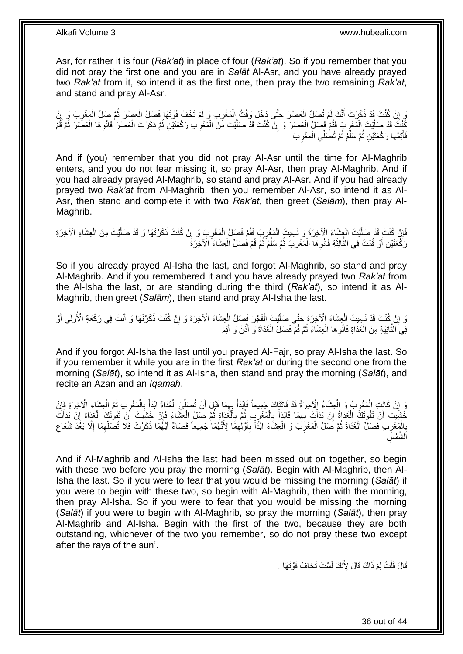Asr, for rather it is four (*Rak'at*) in place of four (*Rak'at*). So if you remember that you did not pray the first one and you are in *Salāt* Al-Asr, and you have already prayed two *Rak'at* from it, so intend it as the first one, then pray the two remaining *Rak'at*, and stand and pray Al-Asr.

َوَ إِنْ كُنْتَ قَدْ ذَكَرْتَ أَنَّكَ لَمْ تُصَلِّ الْعَصْرَ حَتَّى دَخَلَ وَقْتُ اِلْمَغْرِبِ وَ لَمْ تَخَفْ فَوْتَهَا فَصِلّ الْعَصِرَ ثُمَّ صَلِّ الْمَغْرِبَ وَ إِنْ ِ ْ ْ َ ِ ِ ِ ْ ُ ْ َّفْذْ صَلَّيْتَ الْمَغْرِبِ فَقُمْ فَصَلٍّ الْعَصْرَ وَ إِنْ كُنْتَ قَدْ صَلَّيْتَ مِنَ الْمَغْرِبِ رَكْعَتَيْنِ ثُمَّ ذَكَرْتَ الْعَصْرَ فَالْعِهَا الْعَصَْرَ ثُمَّ قُمْ ُ ِ ْ اُ<br>ا ֧<u>׀</u> ْ ِ ْ َّ ُ ْ ِ ْ فَأَتِمَّهَا رَكْعَتَيْنِ ثُمَّ سَلِّمْ ثُمَّ تُصَلِّي الْمَغْرِبَ ِّ ُ َ ِ ْ ُ

And if (you) remember that you did not pray Al-Asr until the time for Al-Maghrib enters, and you do not fear missing it, so pray Al-Asr, then pray Al-Maghrib. And if you had already prayed Al-Maghrib, so stand and pray Al-Asr. And if you had already prayed two *Rak'at* from Al-Maghrib, then you remember Al-Asr, so intend it as Al-Asr, then stand and complete it with two *Rak'at*, then greet (*Salām*), then pray Al-Maghrib.

فَإِنْ كُنْتَ قَدْ صَلَّيْتَ الْعِشَاءَ الْأَخِرَةَ وَ نَسِيتَ الْمَغْرِبَ فَقُمْ فَصَلٍّ الْمَغْرِبَ وَ إِنْ كُنْتَ ذَكَرْتَهَا وَ قَدْ صَلَّيْتَ مِنَ الْعِشَاءِ الْأَخِرَةِ ْ َّ ِ ْ َّ ِ **∶** ْ ِ ْ رَكْعَتَيْنِ أَوْ قُمْتَ فِي الثَّالِثَةِ فَانْوِهَا الْمَغْرِبَ ثُمَّ سَلِّمْ ثُمَّ قُمْ فَصَلِّ الْعِشَاءَ الْآخِرَةَ ْ ُ ِّ ُ ِ ْ ِ َ َّ َ

So if you already prayed Al-Isha the last, and forgot Al-Maghrib, so stand and pray Al-Maghrib. And if you remembered it and you have already prayed two *Rak'at* from the Al-Isha the last, or are standing during the third (*Rak'at*), so intend it as Al-Maghrib, then greet (*Salām*), then stand and pray Al-Isha the last.

وَ إِنْ كُنْتَ قَدْ نَسِيتَ الْعِشَاءَ الْأَخِرَةَ حَتَّى صَلَّيْتَ الْفَجْرَ فِصَلِّ الْعِشَاءَ الْأَخِرَةَ وَ إِنْ كُنْتَ ذَكَرْتَهَا وَ أَنْتَ فِي رَكْعَةِ الْأُولَى أَوْ ِ ْ ْ َّ ْ ِ َ َ فِّي النُّانِيَةِ مِنَ الْغَدَاةِ فَانْوِ هَا الْعِشَاءَ ثُمَّ قُمْ فَصَلِّ الْغَدَاةَ وَ أَذَّنْ وَ أَقِمْ ْ **∶** ْ َ َ ْ ا ماہ<br>سال

And if you forgot Al-Isha the last until you prayed Al-Fajr, so pray Al-Isha the last. So if you remember it while you are in the first *Rak'at* or during the second one from the morning (*Salāt*), so intend it as Al-Isha, then stand and pray the morning (*Salāt*), and recite an Azan and an *Iqamah*.

وَ إِنْ كَانَتِ الْمَغْرِبُ وَ الْعِشَاءُ الْآخِرَةُ قَدْ فَاتَتَاكَ جَمِيعاً فَابْدَأْ بِهِمَا قَبْلَ أَنْ تُصَلِّيَ الْغَدَاةَ ابْدَأْ بِالْمَغْرِبِ ثُمَّ الْعِشَاءِ الْآخِرَةِ فَإِنْ<br>وَ إِنْ كَانَتِ الْمَغْرِبُ فِي الْ ْ ِّ َ ِ ْ ْ ِ ْ ِ ْ ُ ِ ْ ِ ∣ٍ إا ا خَشِيتَ أَنْ تَفُوتَكَ الْغَدَاةُ إِنْ يَذَاتَ بِهِمَا فَابْدَأْ بِالْمَغْرِبِ ثُمَّ بِالْغَذَاةِ ثُمَّ صَلِّ الْعِشَاءَ فَإِنْ خَشِيتَ أَنْ تَفُوتَكَ الْغَذَاةُ إِنْ بَدَأْتَ<br>مَقَبَّنِينَ أَنْ تَفُوت ْ ُ ْ ِ ُ ِ ْ **∶** ْ ِ ْ ِ ْ َ ْ ِ ْ َ بِالْمَغْرِبِ فَصَلِّ الْغَدَاةَ ثُمَّ صَلِّ الْمَغْرِبَ وَ الْعِشَاءَ ابْذَأْ بِأَوَّلِهِمَا لِأَنَّهُمَا جَمِيعاً قَضَاءٌ أَيَّهُمَا ذَكَرْتَ فَلَّا تُصَلِّهِمَا إِلَّا بَغُدَ شُعَاعِ<br>يَذَبَّهُ ْ ُ ْ **∶** ْ **∶** ِ ِ ِّ َ ِ َ ِ ْ ْ ِ ِس الشَّمْا

And if Al-Maghrib and Al-Isha the last had been missed out on together, so begin with these two before you pray the morning (*Salāt*). Begin with Al-Maghrib, then Al-Isha the last. So if you were to fear that you would be missing the morning (*Salāt*) if you were to begin with these two, so begin with Al-Maghrib, then with the morning, then pray Al-Isha. So if you were to fear that you would be missing the morning (*Salāt*) if you were to begin with Al-Maghrib, so pray the morning (*Salāt*), then pray Al-Maghrib and Al-Isha. Begin with the first of the two, because they are both outstanding, whichever of the two you remember, so do not pray these two except after the rays of the sun'.

> قَالَ قُلْتُ لِمَ ذَاكَ قَالَ لِأَنَّكَ لَسْتَ تَخَافُ فَوْتَهَا . ْ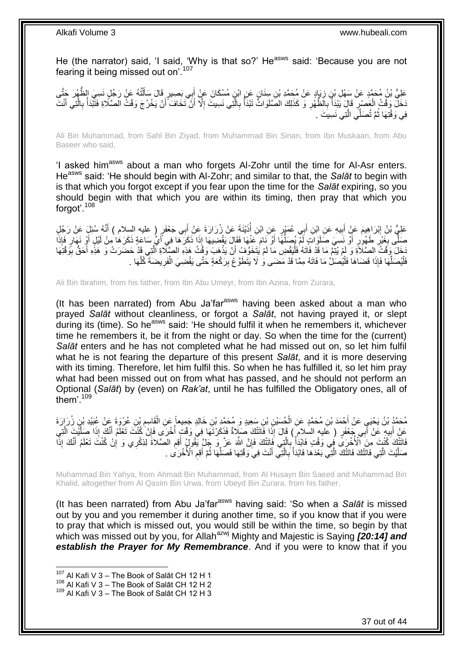He (the narrator) said, 'I said, 'Why is that so?' He<sup>asws</sup> said: 'Because you are not fearing it being missed out on'.<sup>107</sup>

عَلِيُّ بْنُ مُحَمَّدٍ عَنْ سَهْلِ بْنِ زِيَإِدٍ عَنْ مُحَمَّدِ بْنِ سِنَانٍ عَنِ ابْنِ مُسْكَانَ عَنْ أَبِي بَصِيرٍ قَالَ سَأَلْتُهُ عَنْ رَجُلٍ نَسِيَ الظَّهْرَ جَتَّى ْ َ ِ َخَلَّ وَقْتُ الْعَصْرِ ۖ قَالَ يَبْدَأُ بِالْظُّهْرِ وَ كَذَلِكَ الصَّلَوَاتُّ تَبْدَأُ بِالَّتِي نَسِيتَ إِلَّا أَنْ تَخَافَ أَنْ يَخْرُجَ وَقْتُ الْصَّلَاةِ فَثَبْدَأُ بِالَّتِي أَنْتَ َّ **∶** ا<br>ا **∶ ∶** ا<br>ا ِ ْ َ َّ ِ ُ َ َ ا<br>ا فِي وَقْتِهَا ثُمَّ تُصَلِّّي الَّذِي نَسِيتَ . َّ ُ

Ali Bin Muhammad, from Sahl Bin Ziyad, from Muhammad Bin Sinan, from Ibn Muskaan, from Abu Baseer who said,

'I asked him<sup>asws</sup> about a man who forgets Al-Zohr until the time for Al-Asr enters. He<sup>asws</sup> said: 'He should begin with Al-Zohr; and similar to that, the *Salat* to begin with is that which you forgot except if you fear upon the time for the *Salāt* expiring, so you should begin with that which you are within its timing, then pray that which you forgot'.<sup>108</sup>

عَلِيُّ بْنُ إِبْرَاهِيمَ عَنٍْ أَبِيهِ عَنِ ابْنِ أَبِي عُمَيْرٍ عَنِ ابْنِ أُذَيْنَةَ عَنْ زُرَارَةَ عَنْ أَبِي جَعْفَرٍ ( عليه السلام ) أَنَّهُ سُئِلٍَ عَنْ رَجُلٍ َ ُ َ **!** َ َ صَلَّى بِغَيْرِ طَهُورٍ أَوْ نَسِيَ صَلَوَاتٍ لَمْ يُصَلِّهًا أَوْ نَامَ عَنْهَا فَقَالَ يَقْضِيهَا إِذَا ذَكَرَهَا فِي أَيٍّ سَاعَةٍ ذَكَرَهَا مِنْ لَيْلٍ أَوْ نَهَارٍ فَإِذَا َ َ ِّ ِ ِ َ ِ َ َجَلَ وَفَّتُ الصَّلَاةِ وَ لَمْ يُتِمَّ مَا قَدْ فَاتَهُ فَلْيَقْضِ مَا لَمْ يَتَخَوَّفْ أَنْ يَذْهَبَ وَفِّتُ هَذِهِ الصِّلَاةِ الَّتِي قَدْ حَضَرَتْ وَ هَذِهِ أَحَقُّ بِوَقْتِهَا :<br>ا ِ َ َّ **ٔ** َ فَلْيُصَلِّّهَا فَإِذَا قَضَاهَا فَلْيُصَلِّ مَا فَاتَهُ مِمَّا قَدْ مَضَى وَٰ لَا يَتَطَوَّعْ بِرَكْعَةٍ حَتَّى يَقْضِيَ الْفَرِيضَةَ كُلَّهَا . ْ ِ :<br>ا ِّ :<br>ا َّ ِ

Ali Bin Ibrahim, from his father, from Ibn Abu Umeyr, from Ibn Azina, from Zurara,

(It has been narrated) from Abu Ja'far<sup>asws</sup> having been asked about a man who prayed *Salāt* without cleanliness, or forgot a *Salāt*, not having prayed it, or slept during its (time). So he<sup>asws</sup> said: 'He should fulfil it when he remembers it, whichever time he remembers it, be it from the night or day. So when the time for the (current) *Salāt* enters and he has not completed what he had missed out on, so let him fulfil what he is not fearing the departure of this present *Salāt*, and it is more deserving with its timing. Therefore, let him fulfil this. So when he has fulfilled it, so let him pray what had been missed out on from what has passed, and he should not perform an Optional (*Salāt*) by (even) on *Rak'at*, until he has fulfilled the Obligatory ones, all of them'.<sup>109</sup>

ْ مُحَمَّدُ بْنُ يَحْيَى عَنْ أَحْمَدَ بْنِ مُحَمَّدٍ عَنِ الْحُسَيْنِ بْنِ سَعِيدٍ وَ مُحَمَّدٍ بْنِ خَالِدٍ جَمِيعاً عَنِ الْقَاسِمِ بْنِ عُرْوَةٍ عَنْ عُبَيْدِ بْنِي زُرَ إِرَةَ ْ َ ِ َ عَنْ أَبِيهِ عَنْ أَبِي جَعْفَرٍ ( عَليه السلام ) قَالَ إِذَا فَاتَتْكَ صَلَاةٌ فَذَكَرْتَهَا فِي وَقْتٍ أُخْرَى فَإِنْ كُنْتَ تَعْلَمُ أَنَّكَ إِذَا صَلَّيْتَ الَّتِي ِ ا<br>ا َ **!** َّ َّ َ َاتَثَّلَّكَ كُنْتَ مِنَ الْأُخْرَى فِي وَقْتٍ فَائِذَاْ بِالَّتِي فَاتَتْكَ فَإِنَّ اللَّهَ عَلَّ وَ جَلَّ يَقُولُهُ أَقِرِ الْصَّلاةَ لِّذِكْرِي وَ إِنْ كُنْتَ تَعْلَمُ أَنَّكَ إِذَاْ ِ َّ **∶** ْ **ٔ** َ ِ ِ َ صَلَّيْتَ الَّتِي فَاتَتْكَ فَاتَتْكَ الَّتِي بَعْدَهُا فَابْدَأْ بِالَّتِي أَنْتَ فِي وَقْتِهَا فَصَلِّهَا ثُمَّ أَقِم الْأُخْرَىٰ . ِ َ ُ ِّ َ َّ **∶**  $\frac{1}{2}$ َّ َّ

Muhammad Bin Yahya, from Ahmad Bin Muhammad, from Al Husayn Bin Saeed and Muhammad Bin Khalid, altogether from Al Qasim Bin Urwa, from Ubeyd Bin Zurara, from his father,

(It has been narrated) from Abu Ja'far<sup>asws</sup> having said: 'So when a Salat is missed out by you and you remember it during another time, so if you know that if you were to pray that which is missed out, you would still be within the time, so begin by that which was missed out by you, for Allah<sup>azwj</sup> Mighty and Majestic is Saying **[20:14] and** *establish the Prayer for My Remembrance*. And if you were to know that if you

 $107$  Al Kafi V 3 – The Book of Salāt CH 12 H 1

 $108$  Al Kafi V 3 – The Book of Salāt CH 12 H 2

<sup>109</sup> Al Kafi V 3 – The Book of Salāt CH 12 H 3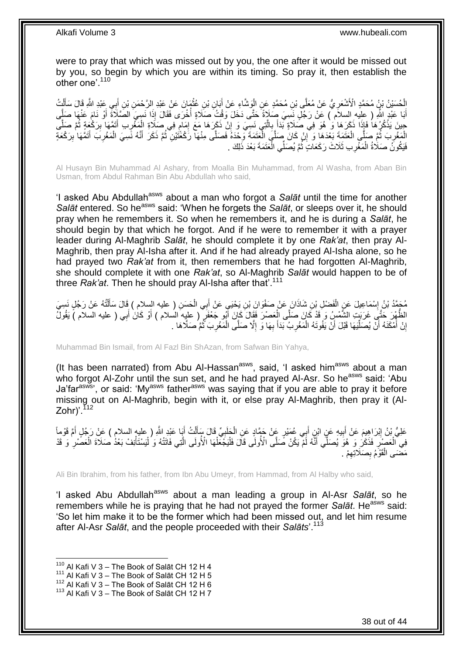were to pray that which was missed out by you, the one after it would be missed out by you, so begin by which you are within its timing. So pray it, then establish the other one'.<sup>110</sup>

ِ الْحُسَيْنُ بْنُ مُحَمَّدٍ الْأَشْعَرِ يُّ عَنْ مُعَلَّى بْنِ مُحَمَّدٍ عَنِ الْوَشَّاءِ عَنْ أَبَانِ بْنِ عُثْمَانَ عَنْ عَبْدِ الرَّحْمَنِ بْنِ أَبِي عَبْدِ الثَّهِ قَالَ سَأَلْتُ ْ َ **ٔ** َ ْ ْ َ أَبَا عَبْدٍ اللَّهِ ( عِلْيهِ السلاَم ) عَنْ رَجُلٍ نَسِيَ صَلَاةً حَتَّى دَخَلَ وَقْتُ صَلَاةٍ أُخْرَى فَقَالَ إِذَا نَسِيَ الصَّلَاةَ أَوْ نَامَ عَنْهَا صَلَّى َّ َ ْ حِينَ يَذْكُرُهَا فَإِذَا ذَكَرَهَا وَ هُوَ فِي صَلَاةٍ بِّدَأَ بِالَّتِي نَسِيَ وَ إِنْ ذَكَرَهَا مَعَ إِمَامٍ فِي صَلَاةِ الْمَغْرِبِ أَتَمَّهَا بِرَكْعِةٍ ثُمَّ صَلَّى ֧֧֩֩֓׆ ِ ِ َّ **∶** َ َّ ُ ِ َ ِ الْمَغْرِبَ ثُمَّ صَلُّي الْعَنَمَةَ بَعْدَهَا وَ إِنْ كَانَ صِلَّيَ الْعَقَمَةَ وَحْدَهُ فَصَلَّى مِنْهَا رَكْعَتَيْنِ ثُمَّ ذَكَرَ أَنَّهُ نَسِيَ الْمَغْرِبَ أَتَمَّهَا بِرَكْعَةٍ ْ ُ ¦ َ ِ ْ َ ُ ا<br>ا ِ ِ فَيَكُونَُ صَلَاةُ الْمَغْرِبِ ثَلَاثَ رَكَعَاتٍ ثُمَّ يُصَلِّي الْعَتَمَةَ بَعْدَ ذَلِكَ . ْ ان<br>المقامات ِ ْ

Al Husayn Bin Muhammad Al Ashary, from Moalla Bin Muhammad, from Al Washa, from Aban Bin Usman, from Abdul Rahman Bin Abu Abdullah who said,

'I asked Abu Abdullah<sup>asws</sup> about a man who forgot a Salat until the time for another *Salāt* entered. So he<sup>asws</sup> said: 'When he forgets the *Salāt*, or sleeps over it, he should pray when he remembers it. So when he remembers it, and he is during a *Salāt*, he should begin by that which he forgot. And if he were to remember it with a prayer leader during Al-Maghrib *Salāt*, he should complete it by one *Rak'at*, then pray Al-Maghrib, then pray Al-Isha after it. And if he had already prayed Al-Isha alone, so he had prayed two *Rak'at* from it, then remembers that he had forgotten Al-Maghrib, she should complete it with one *Rak'at*, so Al-Maghrib *Salāt* would happen to be of three *Rak'at*. Then he should pray Al-Isha after that'.<sup>111</sup>

مُحَمَّدُ بْنُ إِسْمَاعِيلَ عَنِ الْفَضْلِ بْنِ شَاذَانَ عَنْ صَفْوَانَ بْنِ يَحْيَيِ عَنْ أَبِي الْحَسَنِ ( عليه السلام ) قَالَ سَأَلْتُهُ عَنْ رَجُلٍ نَسِيَ ْ َ ْ ْ ĺ الظَّهْرَ حَتَّى غَرَبَتٍ الشَّمْسُ وَ قَدْ كَانَ صَلَّى الْعَصْرَ فَقَالَ كَإِنَ أَبُو جَعْفَرٍ ۚ ( عليه السلام ) أَوْ كَانَ أَبِي ( عليه السلام ) يَقُولُ َ َ َ ْ إِنْ أَمْكَنَهُ أَنْ يُصَلِّيَهَا قَبْلَ أَنْ يَفُوتَهُ الْمَغْرِبُ بَدَأَ بِهَا وَ إِلَّا صَلَّى الْمَغْرِبَ ثُمَّ صَلَّاهَا . ُ **ٍ** ْ ِ ِ َ **∶** ْ اً، ِّ اً َ ا

Muhammad Bin Ismail, from Al Fazl Bin ShAzan, from Safwan Bin Yahya,

(It has been narrated) from Abu Al-Hassan $a_{\text{sws}}$ , said, 'I asked him $a_{\text{sws}}$  about a man who forgot Al-Zohr until the sun set, and he had prayed Al-Asr. So he<sup>asws</sup> said: 'Abu Ja'farasws', or said: 'Myasws fatherasws was saying that if you are able to pray it before missing out on Al-Maghrib, begin with it, or else pray Al-Maghrib, then pray it (Al-Zohr $)$ '.<sup>1</sup>

عَلِيُّ بْنُ إِبْرَاهِيمَ عَنْ أَبِيهِ عَنٍ ابْنٍ أَبِي عُمَيْرٍ عَنْ حَمَّادٍ عَنِ الْحَلَبِيِّ قَالَ سَأَلْتُ أَيَا عَبْدِ اللَّهِ ( عليه السلام ) عَنْ رَجُلٍ أَمَّ قَوْماً ْ َ ِ َ ِ َ َ ْ َ ِ فِي الْعَصِّنِ فَذَكْرُ وَ هُوَ يُصَلِّي أَنَّهُ لَمْ يَكُنْ صَلَّى الْأُولَى قَالَ فَلْيَجْعَلْهَا الْأُولَى الَّتِي فَاتَتْهُ وَ لُيُسْتَأْنِفْ بَعْدُ صَلَاةَ الْعَصَّنِ وَ قَدْ َّ ْ ْ َ ِ ِ ْ ْ ْ مَضَى الْقَوْمُ بِصَلَاتِهِمْ . ِ ِ ْ

Ali Bin Ibrahim, from his father, from Ibn Abu Umeyr, from Hammad, from Al Halby who said,

'I asked Abu Abdullah<sup>asws</sup> about a man leading a group in Al-Asr Salat, so he remembers while he is praying that he had not prayed the former *Salāt*. He<sup>asws</sup> said: 'So let him make it to be the former which had been missed out, and let him resume after Al-Asr *Salāt*, and the people proceeded with their *Salāts*'.<sup>113</sup>

 $110$  Al Kafi V 3 – The Book of Salāt CH 12 H 4

 $111$  Al Kafi V 3 – The Book of Salāt CH 12 H 5

<sup>112</sup> Al Kafi V 3 – The Book of Salāt CH 12 H 6

 $113$  Al Kafi V 3 – The Book of Salāt CH 12 H 7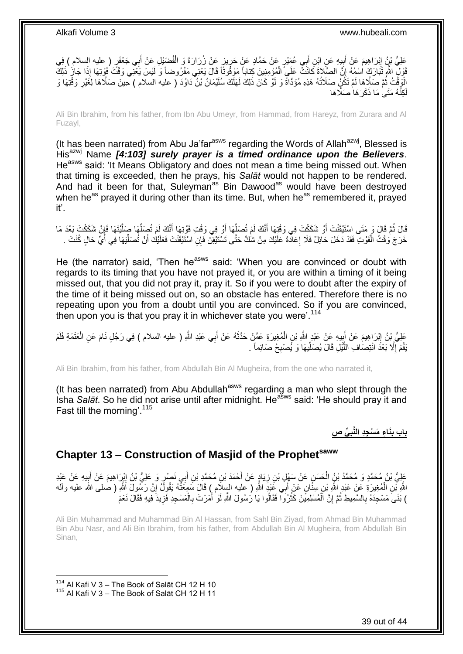َعْلِيُّ بْنُ إِبْرَاهِيمَ عَنْ أَبِيهِ عَنِ ابْنِ أَبِي عُمَيْرٍ عَنْ حَمَّادٍ عَنْ حَرِيزٍ عَنْ زُرَارَةَ وَ الْفُضَيْلِ عَنْ أَبِي جَعْفَرٍ ( عليه السلام ) فِي َ ِ َ َ ْ ِ قَوْلٍ اللَّهِ ثَبَارَكَ اسْمُهُ إِنَّ الصَّلَاةَ كَانَتْ عَلَيَ الْمُؤْمِنِينَ كِتاباً مَوْقُوتًا قَالَ يَعْنِي مَفْرُوضاً وَ لَيْسَ يَعْنِي وَقْتَ فَوْتِهَا إِذَا جَازٍ ذَلِكَ ْ ِ الْوَقْتُ ثُمَّ صَلَّاهَا لَمْ تَكُنٍّ صَلَاتُهُ هَذِهِ مُؤَدَّاةً وَ لَوْ كَانَ ذَلِكَ لَهَلَكَ سُلَيْمَانُ بْنُ دَاوُدَ ( عليه السلام ) حِينَ صَلَّاهَا لِغَيْرِ وَقْتِهَا وَ ُ ِ كِنَّهُ مَتَى مَا ذَكَرَ هَا صَلَّاهَا لَ

Ali Bin Ibrahim, from his father, from Ibn Abu Umeyr, from Hammad, from Hareyz, from Zurara and Al Fuzayl,

(It has been narrated) from Abu Ja'far<sup>asws</sup> regarding the Words of Allah<sup>azwj</sup>, Blessed is Hisazwj Name *[4:103] surely prayer is a timed ordinance upon the Believers*. He<sup>asws</sup> said: 'It Means Obligatory and does not mean a time being missed out. When that timing is exceeded, then he prays, his *Salāt* would not happen to be rendered. And had it been for that, Suleyman<sup>as</sup> Bin Dawood<sup>as</sup> would have been destroyed when he<sup>as</sup> prayed it during other than its time. But, when he<sup>as</sup> remembered it, prayed it'.

قَالَ ثُمَّ قَالَ وَ مَتَى اسْتَيْقَنْتَ أَوْ شَكَكْتَ فِي وَقْتِهَا أَنَّكَ لَمْ تُصَلِّهَا أَوْ فِي وَقْتِ فَوْتِهَا أَنَّكَ لَمْ تُصِلِّهَا صِلَّيْتَهَا فَإِنْ شَكَكْتَ بَعْدَ مَا َ َ ِّ َ َ ُ ا َّ ِّ لَ خَرَجَ وَقْتُ الْفَوْتِ فَقَدْ دَخَلَ حَائِلٌ فَلَا إِعَادَةَ عَلَيْكَ مِنْ شَكٍّ حَتَّى تَسْتَيْقِنَ فَإِنِ اسْنَيْقَنْتَ فَعَلَيْكَ أَنْ تُصَلِّيَهَا فِي أَيٍّ حَالٍ كُنْتَ . َ ِ ْ َ ِّ

He (the narrator) said, 'Then he<sup>asws</sup> said: 'When you are convinced or doubt with regards to its timing that you have not prayed it, or you are within a timing of it being missed out, that you did not pray it, pray it. So if you were to doubt after the expiry of the time of it being missed out on, so an obstacle has entered. Therefore there is no repeating upon you from a doubt until you are convinced. So if you are convinced, then upon you is that you pray it in whichever state you were'.<sup>114</sup>

عَلِيُّ بِنُ إِبْرَاهِيمَ عَنْ أَبِيهِ عَنْ عَبْدٍ اللَّهِ بْنِ الْمُغِيرَةِ عَمَّنْ حَدَّثَهُ عَنْ أَبِي عَبْدِ اللَّهِ ( عليه السلام ) فِي رَجُلٍ نَامَ عَنِ الْعَتَمَةِ فَلَمْ َ  $\ddot{\phantom{0}}$ ْ  $\frac{1}{2}$ َ ֚֡<u>֚֓</u>֢ׅ֚֚֚֚֚֚֚֚֓֡֡֡֘֡֘ ْ يَقُمْ إِلَّا بَعْدَ انْتِصَافِ اللَّيْلِ قَالَ يُصَلِّيهَا وَ يُصْبِحُ صَائِماً . ِ ِّ َّ ِ

Ali Bin Ibrahim, from his father, from Abdullah Bin Al Mugheira, from the one who narrated it,

(It has been narrated) from Abu Abdullah<sup>asws</sup> regarding a man who slept through the Isha *Salāt*. So he did not arise until after midnight. Heasws said: 'He should pray it and Fast till the morning'.<sup>115</sup>

> **ِّي ص َنا ِء َم ْس ِجِد الَّنب باب ب ِ ِ**

# <span id="page-38-0"></span>**Chapter 13 – Construction of Masjid of the Prophetsaww**

عَلِيُّ بْنُ مُحَمَّدٍ وَ مُحَمَّدُ بْنُ الْحَسَنِ عَنْ سَهْلِ بْنِ زِيَادٍ عَنْ أَحْمَدَ بْنِ مُحَمَّدِ بْنِ أَبِي نَصْرٍ وَ عَلِيُّ بْنُ إِبْرِاهِيمَ عَنْ غَيْدِ عَنْ عَبْدِ َ َ **∶** ِ َ ِ اللَّهِ ْبْنِ الْمُغِيرَةِ عَنْ عَبْدِ اللَّهِ بْنِ سِنَّانٍ عَنْ أَبِي عَبْدٍ اللَّهِ ( عليه السِلَام ) قَالَ سَمِعْتُهُ يَقُولُ إِنَّ رَسُولَ اللَّهِ ( صلى الله عليه وألمه ْ ِ َ ) بَنَى َمَسْجِدَهُ بِالسَّمِيطِ ثُمَّ إِنَّ الْمُسْلِمِيَّنَ كَثُرُوا فَقَالُوا يَا رُسُولَ اللَّهِ لَوْ أَمَرْتَ بِالْمَسْجِدِ فَزِيدَ فِيهِ فَقَالَ نَعَمْ ْ ِ اً ان<br>المعاملات ا ْ ِ .<br>د مون **∶** ِ

Ali Bin Muhammad and Muhammad Bin Al Hassan, from Sahl Bin Ziyad, from Ahmad Bin Muhammad Bin Abu Nasr, and Ali Bin Ibrahim, from his father, from Abdullah Bin Al Mugheira, from Abdullah Bin Sinan,

<sup>114</sup> Al Kafi V 3 - The Book of Salāt CH 12 H 10 <sup>115</sup> Al Kafi V 3 - The Book of Salāt CH 12 H 11

1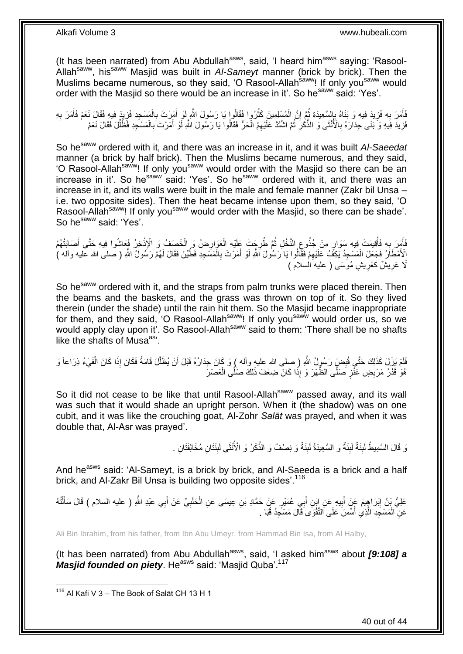(It has been narrated) from Abu Abdullah<sup>asws</sup>, said, 'I heard him<sup>asws</sup> saying: 'Rasool-Allahsaww, hissaww Masjid was built in *Al-Sameyt* manner (brick by brick). Then the Muslims became numerous, so they said, 'O Rasool-Allah<sup>saww</sup>! If only you<sup>saww</sup> would order with the Masjid so there would be an increase in it'. So he<sup>saww</sup> said: 'Yes'.

فَأَمَرَ بِهِ فَزِيدَ فِيهِ وَ بَنَاهُ بِإِسْعِيدَةِ ثُمَّ إِنَّ الْمُسْلِمِينَ كَثُرُوا فَقَالُوا يَا رَسُولَ اللَّهِ لَوْ أُمَرِّتَ بِالْمَسْجِدِ فَزِيدَ فِيهِ فَقَالَ نَعَمْ فَأَمَرَ بِهِ ان<br>سال ْ ِ ُ ِ ِ ِ َ ِ َ ِ ْ ِ َ َفزِيدَ فِيهِ وَ ۖ بَنَى جِدَارَهُ بِالْأُنْثَى وَ الذَّكَٰرِ ۖ ثُمَّ اشْنَدَّ عَلَيْهِمُ الْحَرُّ فَقَالُوا يَا رَسُولَ اللَّهِ لَّو أَمَّرْتَ بِالْمَسْجِدِ فَظُلِّلَ فَقَالَ نَعَمْ **∶** ْ ِ َ ْ ان<br>المقام المقام المقام المقام المقام المقام المقام المقام المقام المقام المقام المقام المقام المقام المقام المقا ِ **∶** ِّ

So he<sup>saww</sup> ordered with it, and there was an increase in it, and it was built Al-Saeedat manner (a brick by half brick). Then the Muslims became numerous, and they said, 'O Rasool-Allah<sup>saww</sup>! If only you<sup>saww</sup> would order with the Masjid so there can be an increase in it'. So he<sup>saww</sup> said: 'Yes'. So he<sup>saww</sup> ordered with it, and there was an increase in it, and its walls were built in the male and female manner (Zakr bil Unsa – i.e. two opposite sides). Then the heat became intense upon them, so they said, 'O Rasool-Allah<sup>saww</sup>! If only you<sup>saww</sup> would order with the Masjid, so there can be shade'. So he<sup>saww</sup> said: 'Yes'.

َأَمَرَ بِهِ فَأُقِيمَتْ فِيهِ سَوَارٍ مِنْ جُذُوعٍ النَّخْلِ ثُمَّ طُرِجَتْ عَلَيْهِ الْعَوَارِضُ وَ الْخَصَفُ وَ الْإِذْخِرُ فَعَاشُوا فِيهِ حَتَّى أَصَابَتْهُمُ<br>فَيَمَدِّدُ فَعَاشُوا فِيهِ سَوَارٍ مِنْ جُذُوعٍ النَّخْل ْ ْ ِ ْ ِ ان<br>المقام المقام المقام المقام المقام المقام المقام المقام المقام المقام المقام المقام المقام المقام المقام المقا ِ ُ **∶** َ َ الْأَمْطَاَرُ فَجَعَلَ الْمَسْجِدُ يَكِفَّ عَلَيْهِمْ فَقَالُوا يَا رَسُولَ اللَّهِ لَوْ أَمَرْتَ بِالْمَسْجِدِ فَطُيِّنَ فَقَالَ لَهُمْ رَسُولٌ اللَّهِ ( صلى الله عليه وآله ) َ ِ ْ ْ **∶** َلَا عَرِيشٌ كَعَرِيشٍ مُوسَى ( عليه السلام ) **∶** ِ

So he<sup>saww</sup> ordered with it, and the straps from palm trunks were placed therein. Then the beams and the baskets, and the grass was thrown on top of it. So they lived therein (under the shade) until the rain hit them. So the Masjid became inappropriate for them, and they said, 'O Rasool-Allahsaww! If only yousaww would order us, so we would apply clay upon it'. So Rasool-Allah<sup>saww</sup> said to them: 'There shall be no shafts like the shafts of Musa<sup>as</sup>'.

فَلَمْ يَزَلْ كَذَلِكَ حَتَّى قُبِضٍ رَسُورٍلُ اللَّهِ ( صِلى الله عليه وأله ) وَ كَانَ جِدَارُهُ قَبْلَ أَنْ يُظَلَّلَ قَامَةً فَكَانَ إِذَا كَانَ الْفَيْءُ ذِرَاعاً وَ َّ اُ ْ هُوَٰ قَدْرُ مَرْبِضِ عَنَّزٍ صَلَّى الظَّهْرَ وَ إِذَا كَانَ ضِعْفَ ذَلِكَ صَلَّى الْعَصْرَ ِ ْ

So it did not cease to be like that until Rasool-Allah<sup>saww</sup> passed away, and its wall was such that it would shade an upright person. When it (the shadow) was on one cubit, and it was like the crouching goat, Al-Zohr *Salāt* was prayed, and when it was double that, Al-Asr was prayed'.

> وَ قَالَ السَّمِيطُ لَبِنَةٌ لَبِنَةٌ وَ السَّعِيدَةُ لَبِنَةٌ وَ نِصْفٌ وَ الذَّكَرُ وَ الْأُنْثَى لَبِنَتَانِ مُخَالِفَتَانِ . **! ∣** لَ ِ

And he<sup>asws</sup> said: 'Al-Sameyt, is a brick by brick, and Al-Saeeda is a brick and a half brick, and Al-Zakr Bil Unsa is building two opposite sides'.<sup>116</sup>

عَلِيُّ بِنُ إِبْرَاهِيمَ عَٖنْ أَبِيهِ عَنِ إِبْنِ أَبِي عُمَيْرٍ عَنْ حَمَّادِ بْنِ عِيسَى عَنِ الْحَلَبِيِّ عَنْ أَبِي عَبْدِ اللَّهِ ( عليه السلام ) قَالَ سَأَلْتُهُ َ ِ ْ َ ِ َ ِ ْ َ عَنِ الْمَسْجِدِ الَّذِي أَسِّسَ عَلَى الثَّقْوَى قَالَ مَسْجِدُ قُبَا . ؚ<br>ا ر<br>ا ْ

Ali Bin Ibrahim, from his father, from Ibn Abu Umeyr, from Hammad Bin Isa, from Al Halby,

(It has been narrated) from Abu Abdullah<sup>asws</sup>, said, 'I asked him<sup>asws</sup> about *[9:108] a Masjid founded on piety.* He<sup>asws</sup> said: 'Masjid Quba'.<sup>117</sup>

<sup>1</sup> <sup>116</sup> Al Kafi V 3 – The Book of Salāt CH 13 H 1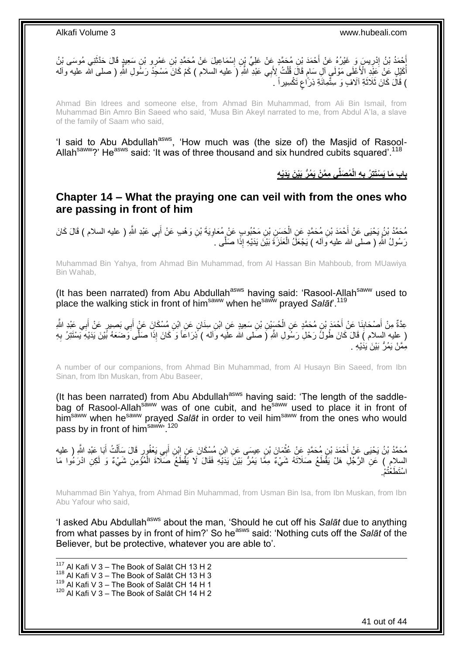

Ahmad Bin Idrees and someone else, from Ahmad Bin Muhammad, from Ali Bin Ismail, from Muhammad Bin Amro Bin Saeed who said, 'Musa Bin Akeyl narrated to me, from Abdul A'la, a slave of the family of Saam who said,

'I said to Abu Abdullah<sup>asws</sup>, 'How much was (the size of) the Masjid of Rasool-Allah<sup>saww</sup>?' He<sup>asws</sup> said: 'It was of three thousand and six hundred cubits squared'.<sup>118</sup>

> **ُم َصلِّي ِم َّم ْن َي ُم ُّر َبْي َن َيَدْي ِه ِه الْ باب َما َي ْسَتتِ ُر ب ِ**

<span id="page-40-0"></span>**Chapter 14 – What the praying one can veil with from the ones who are passing in front of him**

مُحَمَّدُ بْنُ يَحْيَى عَنْ أَحْمَدَ بْنِ مُحَمَّدٍ عَنِ الْحَسِنِ بْنِ مَحْبُوبٍ عَنْ مُعَاوِيَةَ بْنِ وَهْبِ عَنْ أَبِي عَبْدِ اللَّهِ ( عليه السلام ) قَالَ كَانَ َ **∶** ْ رَسُولُ اللَّهِ ( صلـى الله عليه وَالـه ) يَجْعَلُ الْعَنَزَةَ بَيْنَ بَدَيْهِ إِذَا صَلَّـى . ْ

Muhammad Bin Yahya, from Ahmad Bin Muhammad, from Al Hassan Bin Mahboub, from MUawiya Bin Wahab,

(It has been narrated) from Abu Abdullah<sup>asws</sup> having said: 'Rasool-Allah<sup>saww</sup> used to place the walking stick in front of himsaww when hesaww prayed *Salāt*'.<sup>119</sup>

عِدَّةٌ مِنْ أَصْحَابِنَا عَنْ أَحْمَدَ بْنِ مُحَمَّدٍ عَنِ الْحُسَيْنِ بْنِ سَعِيدٍ عَنِ ابْنِ سِنَانٍ عَنِ إِبْنِ مُسْكَانَ عَنٍْ أَبِي بَصِيرٍ عَنْ أَبِي عَبْدِ اللَّهِ ِ َ ْ َ ِ َ َ ِ ( عِليه السلام ) قَالَ كَانَ طُولً رَحْلِ رَسُولِ اللَّهِ ( صَلى الله علَيه وَاله ) َّذِرَاعاً وَ كَانَ إِذَا صَلَّى وَضَعَهُ بَّيْنَ يَدَيْهِ يَبْسْتَتِرُ بِهِ مِمَّنْ يَمُرُّ بَيْنَ يَدَيْهِ .

A number of our companions, from Ahmad Bin Muhammad, from Al Husayn Bin Saeed, from Ibn Sinan, from Ibn Muskan, from Abu Baseer,

(It has been narrated) from Abu Abdullah<sup>asws</sup> having said: 'The length of the saddlehas seen narrated, we have a sensor the same of the saww used to place it in front of him<sup>saww</sup> when he<sup>saww</sup> prayed *Salāt* in order to veil him<sup>saww</sup> from the ones who would pass by in front of him<sup>saww</sup><sup>120</sup>

مُحَمَّدُ بْنُ يَحْيَى عَنْ أَحْمَدَ بْنِ مُحَمَّدٍ عَنْ عُثْمَانَ بْنِ عِيسَى عَنِ ابْنِ مُسْكَانَ عَنِ ابْنِ أَبِي يَعْفُورِ قَالَ سَأَلْتُ أَبَا عَبْدِ اللَّهِ ( عليه<br>. ْ اً ا َ ْ َ السِلامِ ) عَنِ الرَّجُلِ هَلْ يَقْطَعُ صَلَاتَهُ شَيْءٌ مِمَّا يَمُرُّ بَيْنَ يَدَيْهِ فَقَالَ لَا يَقْطَعُ صَلَاةَ الْمُؤْمِنِ شَيْءٌ وَ لَكِنِ ادْرَءُوا مَا ْ ه<br>م. اسْتَطَعْتُ

Muhammad Bin Yahya, from Ahmad Bin Muhammad, from Usman Bin Isa, from Ibn Muskan, from Ibn Abu Yafour who said,

'I asked Abu Abdullah<sup>asws</sup> about the man, 'Should he cut off his Salat due to anything from what passes by in front of him?' So he<sup>asws</sup> said: 'Nothing cuts off the *Salat* of the Believer, but be protective, whatever you are able to'.

1  $117$  Al Kafi V 3 – The Book of Salāt CH 13 H 2  $118$  Al Kafi V 3 – The Book of Salāt CH 13 H 3 119 Al Kafi V  $3 -$  The Book of Salāt CH 14 H 1 <sup>120</sup> Al Kafi V 3 – The Book of Salāt CH 14 H 2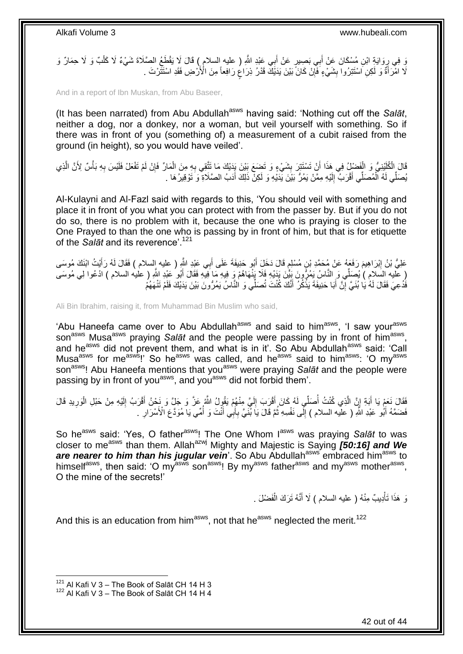وَ فِي رِوَايَةٍ ابْنِ مُسْكَانَ عَنْ أَبِي بَصِيرٍ عَنْ أَبِي عَبْدِ اللَّهِ ( عليه السلام ) قَالَ لَا يَقْطَعُ الصَّلَاةَ شَيْءٌ لَا كَلْبٌ وَ لَا حِمَارٌ وَ َ َ ِ ْ لَا اهْرَأَةٌ وَ لَكِنِ اسْتَتِرُوا بِشَيْءٍ فَأَإِنْ كَانَّ بَيْنَ يَدَيْكَ قَدْرُ ذِرَاعٍ رَافِعاً مِنَ الْأَرْضِ فَقَدِ اسْتَتْرْتَ . **∣** ا<br>ا ;<br>; ِ

And in a report of Ibn Muskan, from Abu Baseer,

(It has been narrated) from Abu Abdullah<sup>asws</sup> having said: 'Nothing cut off the Salat, neither a dog, nor a donkey, nor a woman, but veil yourself with something. So if there was in front of you (something of) a measurement of a cubit raised from the ground (in height), so you would have veiled'.

قَالَ الْكُلَيْنِيُّ وَ الْفَضْلِ ُ فِي هَذَا أَنْ تَسْتَتِرَ بِشَيْءٍ وَ تَضَعَ بَيْنَ يَدَيْكَ مَا تَتَّقِي بِهِ مِنَ الْمَارِّ فَإِنْ لَمْ تَفْعَلْ فَلَيْسَ بِهِ بَأْسٌ لِأَنَّ الَّذِي **∣** َ ْ َّ ْ ِ ِ ْ ِ يُصَلِّي لَهُ الْمُصَلِّي أَقْرَبُ ۚ إِلَيْهِ مِمَّنْ يَمُرُّ بَيْنَ يَدَيْهِ وَ لَكِنّْ ذَلِكَ أَدَبُ الصَّلَاةِ وَ تَوْقِيرُ هَا . َ ْ َ لَ  $\frac{1}{2}$ 

Al-Kulayni and Al-Fazl said with regards to this, 'You should veil with something and place it in front of you what you can protect with from the passer by. But if you do not do so, there is no problem with it, because the one who is praying is closer to the One Prayed to than the one who is passing by in front of him, but that is for etiquette of the *Salāt* and its reverence'.<sup>121</sup>

عَلِيُّ بْنُ إِبْرَاهِيمَ رَفَعَهُ عَنْ مُحَمَّدِ بْنِ مُسْلِمٍ قَالَ دَخَلَ أَبُو حَنِيفَةَ عَلَى أَبِي عَنْدِ اللَّهِ ( عليه إلسلام ) فَقَالَ لَهُ رَأَيْتُ النَّكَ مُوسَى ِ َ َ َ ٍ ( عَلَيه السَلام ) يُصَلِّي وَ النَّاسُ يَمُرُّونَ بَِيْنَ بَدَيْهِ فَلَا يَنْهَاهُمْ وَ فِيهِ مَا فِيهِ فَقَالَ أَبُو ُعَبْدِ اللَّهِ ( عليه السلام ) ادْعُوا لِي مُوسَى َ فَدُعِيَ فَقَالَ لَمُهُ يَا بُنَيَّ إِنَّ أَبَا حَنِيفَةَ يَذْكُرُ أَنَّكَ كُنْتَ تُصَلِّّي وَ النَّاسُ يَمُرُّونَ بَيْنَ يَدَيْكَ فَلَمْ تَنْهَهُمْ **ٔ** َ יֲ<br>י

Ali Bin Ibrahim, raising it, from Muhammad Bin Muslim who said,

'Abu Haneefa came over to Abu Abdullah<sup>asws</sup> and said to him<sup>asws</sup>, 'I saw your<sup>asws</sup> son<sup>asws</sup> Musa<sup>asws</sup> praying Salat and the people were passing by in front of him<sup>asws</sup>, and he<sup>asws</sup> did not prevent them, and what is in it'. So Abu Abdullah<sup>asws</sup> said: 'Call Musa<sup>asws</sup> for me<sup>asws</sup>!' So he<sup>asws</sup> was called, and he<sup>asws</sup> said to him<sup>asws</sup>: 'O my<sup>asws</sup> son<sup>asws</sup>! Abu Haneefa mentions that you<sup>asws</sup> were praying *Salat* and the people were passing by in front of you<sup>asws</sup>, and you<sup>asws</sup> did not forbid them'.

ِ فَقَالَ نَعَمْ يَا أَبَةِ إِنَّ الَّذِي كُنْتُ أُصَلِّي لَهُ كَانَ أَقْرَبَ إِلَيَّ مِنْهُمْ يَقُولُ اللَّهُ عَزَّ وَ جَلَّ وَ نَحْنُ أَقْرَبُ إِلَيْهِ مِنْ حَبْلِ الْوَرِيدِ قَالَ َ لَ ِ َ لَ ِ َ ا<br>ا ِ ْ فَضَمَّهُ أَبُو عَبْدِ اللَّهِ ( عليه السلام ) إِلَّمى نَفْسِهِ ثُمَّ قَالَ يَا بُنِّيَّ بِأَبِي أَنْتَ وَ أُمِّي يَا مُوَدَّعَ الْأَسْرَارِ . َ َ ِ ا دیکھیے ِ َ **∶** ُ

So he<sup>asws</sup> said: 'Yes, O father<sup>asws</sup>! The One Whom I<sup>asws</sup> was praying Salat to was closer to me<sup>asws</sup> than them. Allah<sup>azwj</sup> Mighty and Majestic is Saying *[50:16] and We* are nearer to him than his jugular vein'. So Abu Abdullah<sup>asws</sup> embraced him<sup>asws</sup> to himself<sup>asws</sup>, then said: 'O my<sup>asws</sup> son<sup>asws</sup>! By my<sup>asws</sup> father<sup>asws</sup> and my<sup>asws</sup> mother<sup>asws</sup>, O the mine of the secrets!'

> نَ هَذَا تَأْدِيبٌ مِنْهُ ( عليه السلام ) لَا أَنَّهُ تَرَكَ الْفَضْلَ . ْ َ ْ

And this is an education from him<sup>asws</sup>, not that he<sup>asws</sup> neglected the merit.<sup>122</sup>

 $121$  Al Kafi V 3 – The Book of Salāt CH 14 H 3

 $122$  Al Kafi V 3 – The Book of Salāt CH 14 H 4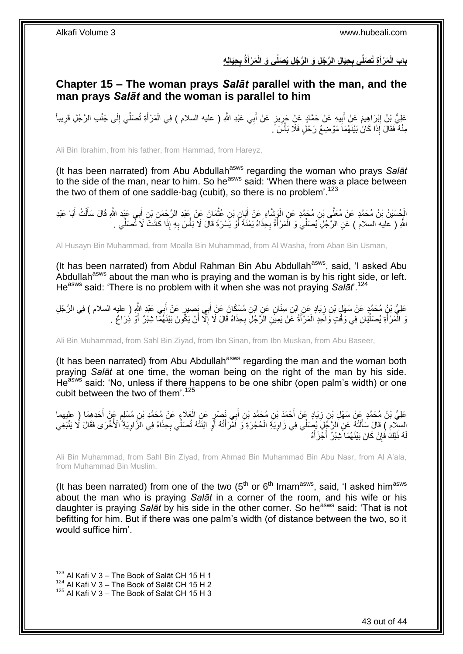باب الْمَرْأَةِ تُصَلَّى بِحِيَالِ الرَّجُلِ وَ الرَّجُلِ يُصَلَّى وَ الْمَرْأَةُ بِحِيَالِهِ **ِ َ ِ َ**

<span id="page-42-0"></span>**Chapter 15 – The woman prays** *Salāt* **parallel with the man, and the man prays** *Salāt* **and the woman is parallel to him**

عَلِيُّ بِنُ إِبْرَاهِيمَ عَنْ أَبِيهِ عَنْ حَمَّادٍ عَنْ جَرِيزٍ عَنْ أَبِي عَبْدِ اللَّهِ ( عليه السلام ) فِي الْمَرْأَةِ تُصَلِّي إِلَى جَنْبِ الرَّجُلِ قَرِيباً ِّ َ ْ **∶ !** َ ِ ِ ِ مِنْهُ فَقَالَ إِذَا كَانَ بَيْنَهُمَاً مَوْضِعُ رَحْلٍ فَلَا بَأْسَ ً. **ٔ** 

Ali Bin Ibrahim, from his father, from Hammad, from Hareyz,

(It has been narrated) from Abu Abdullah<sup>asws</sup> regarding the woman who prays Salat to the side of the man, near to him. So he<sup>asws</sup> said: 'When there was a place between the two of them of one saddle-bag (cubit), so there is no problem'. $123$ 

الْجُسَيْنُ بْنُ مُحَمَّدٍ عَنْ مُعَلِّي بْنِ مُحَمَّدٍ عَنِ الْوَشَاءِ عَنْ أَبَانٍ بْنِ عُثْمَانَ عَنْ عَبْدِ الرَّحْمَنِ بْنٍ أَبِي عَيْدِ الثَّهِ قَالَ سَأَلْتُ أَبَا عَبْدِ ْ َ ْ َ ْ َ َ ِ اللَّهِ ( عليه السلام ) عَنِ الزَّجُلِ يُصَلِّي وَ الْمَرْ أَةُ بِحِذَاهُ يَمْنَةً أَوْ يَسْرَةً قَالَ لَا بَأْسَ بِهِ إِذَا كَانَتْ لَا نَّصَلِّي . <u>أ</u> ْ **∶** ْ َ

Al Husayn Bin Muhammad, from Moalla Bin Muhammad, from Al Washa, from Aban Bin Usman,

(It has been narrated) from Abdul Rahman Bin Abu Abdullah<sup>asws</sup>, said, 'I asked Abu Abdullah<sup>asws</sup> about the man who is praying and the woman is by his right side, or left. Heasws said: 'There is no problem with it when she was not praying *Salāt*'.<sup>124</sup>

**∶** عَلِيُّ بْنٍُ مُحَمَّدٍ عَنْ سَهْلٍ بْنِ زِيَادٍ عَنِ ابْنِ سِنَانٍ عَنِ ابْنِ مُسْكَانَ عَنْ أَبِي بِصِيرٍ عَنْ أَبِي عَبْدِ اللَّهِ ( عليه السلام ) فِي الرَّجُلِ ِ َ وَ الْمَرْأَةِ يُصَلِّيَانِ فِي وَقْتٍ وَاحَدٍ الْمَرْأَةُ عََنْ يَمِيَّنِ الرَّجُلِّ بِحِذَاهُ قَالَ لَا إِلَّا أَنْ يَكُونَ بَيْنَهُمَا شِبْرٌ ۚ أَوْ ذِرَاعٌ . َ ِ ِ َ ْ ِّ َ ْ َ

Ali Bin Muhammad, from Sahl Bin Ziyad, from Ibn Sinan, from Ibn Muskan, from Abu Baseer,

(It has been narrated) from Abu Abdullah<sup>asws</sup> regarding the man and the woman both praying *Salāt* at one time, the woman being on the right of the man by his side. He<sup>asws</sup> said: 'No, unless if there happens to be one shibr (open palm's width) or one cubit between the two of them'.  $125$ 

عَلِيُّ بْنُ مُحَمَّدٍ عَنْ سَهْلِ بْنِ زِيَادٍ عَنْ أَحْمَدَ بْنِ مُحَمَّدِ بْنِ أَبِي نَصْرٍ عَنِ الْعَلَاءِ<br>عَلَيُّ بْنُ مُحَمَّدٍ عَهُ ْ َ َ ِ َ ֧֖֖֖֖֧֧֧֧֦֧ׅ֧֧ׅ֧֛֧ׅ֧֛֛֛֚֚֚֚֚֚֚֚֓֝֝֬֝֟֓֝֓֝֓֝֓֜֟֓֟֓֝֬֜֓֜֜֡֓֜֜֜ السَّلام ) قَالَ سَأَلْتُهُ عَنِّ الزَّجْلِ بُصِّلًى فِي زَاوِيَةِ الْحُجْرَةِ ۖ وَ اَمْرَ أَتُهُ أَوِّ ابْنَثَّهُ تُصَلِّي بِحِذَاهُ فِي الْزَاوِيَةِ ۗ الْأُخْرَى فَقَالَ لَا يَنْبَغِي **∶** ِ َ َ ْ ِ ֦֧֦֧֧֦֧֦֧֦֧֦֧֦֧֦֧֧֦֧֦֪֧֪֦֪֦֧֧֧֧֧֧֧֟֟֟֓֕֟֓֕֝֓֟֓֡֟֓֡֟֓֡֟֓֡֟֓֡֟֟֓֡֟֓֡֟֟֩֓֞֟֓֞֟֓֡֟֓֞֟֓֟֓֝֬֝֓֟֝֓֟֝֬֝֬֝֬֝֬֝֬֝֬֝֬<br>֧֪֪֧֪֧֪֪֪֪֦֧֪֧֪֪֪֪֪֦֧֝֝֝֬֝֝֬֝ ِ هُ ذَلِكَ فَإِنْ كَانَ بَيْنَهُمَا َشِبْرٌ ۖ أَجْرَأَهُ َ َ ِ لَ

Ali Bin Muhammad, from Sahl Bin Ziyad, from Ahmad Bin Muhammad Bin Abu Nasr, from Al A'ala, from Muhammad Bin Muslim,

(It has been narrated) from one of the two  $(5<sup>th</sup>$  or  $6<sup>th</sup>$  Imam<sup>asws</sup>, said, 'I asked him<sup>asws</sup> about the man who is praying *Salāt* in a corner of the room, and his wife or his daughter is praying *Salāt* by his side in the other corner. So he<sup>asws</sup> said: 'That is not befitting for him. But if there was one palm's width (of distance between the two, so it would suffice him'.

 $123$  Al Kafi V 3 – The Book of Salāt CH 15 H 1

 $124$  Al Kafi V 3 – The Book of Salāt CH 15 H 2

 $125$  Al Kafi V 3 – The Book of Salāt CH 15 H 3